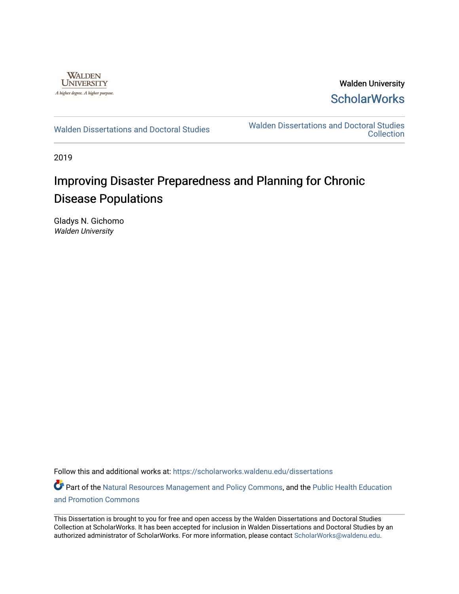

Walden University **ScholarWorks** 

[Walden Dissertations and Doctoral Studies](https://scholarworks.waldenu.edu/dissertations) Walden Dissertations and Doctoral Studies **Collection** 

2019

# Improving Disaster Preparedness and Planning for Chronic Disease Populations

Gladys N. Gichomo Walden University

Follow this and additional works at: [https://scholarworks.waldenu.edu/dissertations](https://scholarworks.waldenu.edu/dissertations?utm_source=scholarworks.waldenu.edu%2Fdissertations%2F7648&utm_medium=PDF&utm_campaign=PDFCoverPages)

Part of the [Natural Resources Management and Policy Commons](http://network.bepress.com/hgg/discipline/170?utm_source=scholarworks.waldenu.edu%2Fdissertations%2F7648&utm_medium=PDF&utm_campaign=PDFCoverPages), and the [Public Health Education](http://network.bepress.com/hgg/discipline/743?utm_source=scholarworks.waldenu.edu%2Fdissertations%2F7648&utm_medium=PDF&utm_campaign=PDFCoverPages) [and Promotion Commons](http://network.bepress.com/hgg/discipline/743?utm_source=scholarworks.waldenu.edu%2Fdissertations%2F7648&utm_medium=PDF&utm_campaign=PDFCoverPages)

This Dissertation is brought to you for free and open access by the Walden Dissertations and Doctoral Studies Collection at ScholarWorks. It has been accepted for inclusion in Walden Dissertations and Doctoral Studies by an authorized administrator of ScholarWorks. For more information, please contact [ScholarWorks@waldenu.edu](mailto:ScholarWorks@waldenu.edu).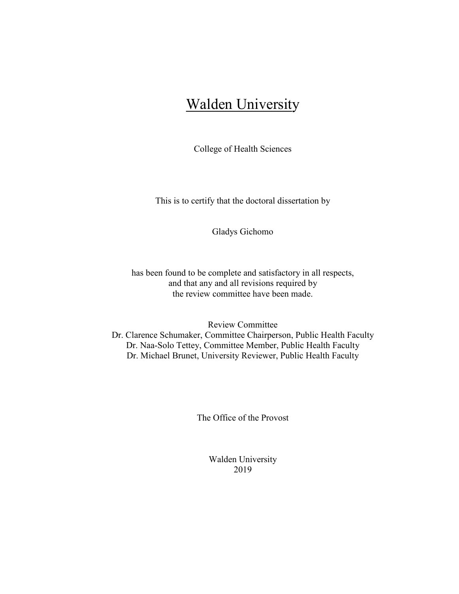# Walden University

College of Health Sciences

This is to certify that the doctoral dissertation by

Gladys Gichomo

has been found to be complete and satisfactory in all respects, and that any and all revisions required by the review committee have been made.

Review Committee

Dr. Clarence Schumaker, Committee Chairperson, Public Health Faculty Dr. Naa-Solo Tettey, Committee Member, Public Health Faculty Dr. Michael Brunet, University Reviewer, Public Health Faculty

The Office of the Provost

Walden University 2019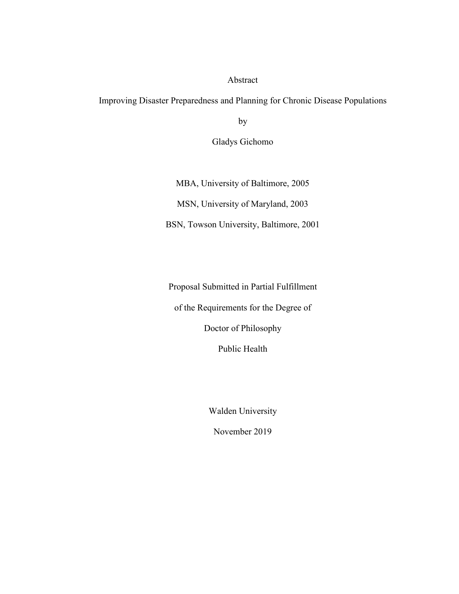## Abstract

Improving Disaster Preparedness and Planning for Chronic Disease Populations

by

Gladys Gichomo

MBA, University of Baltimore, 2005 MSN, University of Maryland, 2003 BSN, Towson University, Baltimore, 2001

Proposal Submitted in Partial Fulfillment of the Requirements for the Degree of Doctor of Philosophy Public Health

Walden University

November 2019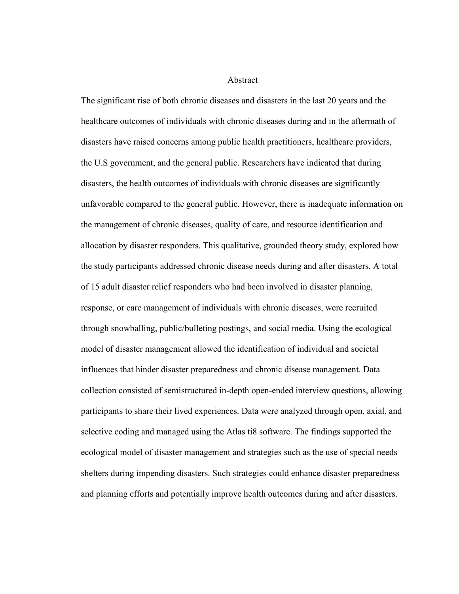Abstract

The significant rise of both chronic diseases and disasters in the last 20 years and the healthcare outcomes of individuals with chronic diseases during and in the aftermath of disasters have raised concerns among public health practitioners, healthcare providers, the U.S government, and the general public. Researchers have indicated that during disasters, the health outcomes of individuals with chronic diseases are significantly unfavorable compared to the general public. However, there is inadequate information on the management of chronic diseases, quality of care, and resource identification and allocation by disaster responders. This qualitative, grounded theory study, explored how the study participants addressed chronic disease needs during and after disasters. A total of 15 adult disaster relief responders who had been involved in disaster planning, response, or care management of individuals with chronic diseases, were recruited through snowballing, public/bulleting postings, and social media. Using the ecological model of disaster management allowed the identification of individual and societal influences that hinder disaster preparedness and chronic disease management. Data collection consisted of semistructured in-depth open-ended interview questions, allowing participants to share their lived experiences. Data were analyzed through open, axial, and selective coding and managed using the Atlas ti8 software. The findings supported the ecological model of disaster management and strategies such as the use of special needs shelters during impending disasters. Such strategies could enhance disaster preparedness and planning efforts and potentially improve health outcomes during and after disasters.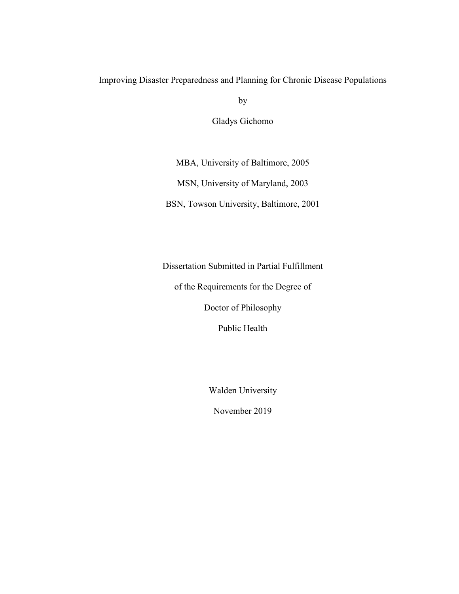## Improving Disaster Preparedness and Planning for Chronic Disease Populations

by

Gladys Gichomo

MBA, University of Baltimore, 2005

MSN, University of Maryland, 2003

BSN, Towson University, Baltimore, 2001

Dissertation Submitted in Partial Fulfillment

of the Requirements for the Degree of

Doctor of Philosophy

Public Health

Walden University

November 2019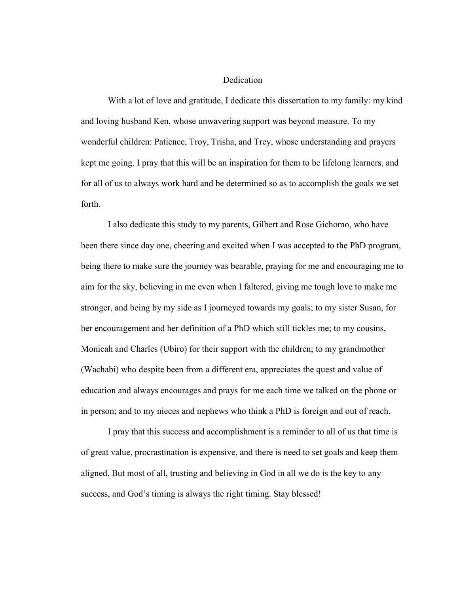### Dedication

With a lot of love and gratitude, I dedicate this dissertation to my family: my kind and loving husband Ken, whose unwavering support was beyond measure. To my wonderful children: Patience, Troy, Trisha, and Trey, whose understanding and prayers kept me going. I pray that this will be an inspiration for them to be lifelong learners, and for all of us to always work hard and be determined so as to accomplish the goals we set forth.

I also dedicate this study to my parents, Gilbert and Rose Gichomo, who have been there since day one, cheering and excited when I was accepted to the PhD program, being there to make sure the journey was bearable, praying for me and encouraging me to aim for the sky, believing in me even when I faltered, giving me tough love to make me stronger, and being by my side as I journeyed towards my goals; to my sister Susan, for her encouragement and her definition of a PhD which still tickles me; to my cousins, Monicah and Charles (Ubiro) for their support with the children; to my grandmother (Wachabi) who despite been from a different era, appreciates the quest and value of education and always encourages and prays for me each time we talked on the phone or in person; and to my nieces and nephews who think a PhD is foreign and out of reach.

I pray that this success and accomplishment is a reminder to all of us that time is of great value, procrastination is expensive, and there is need to set goals and keep them aligned. But most of all, trusting and believing in God in all we do is the key to any success, and God's timing is always the right timing. Stay blessed!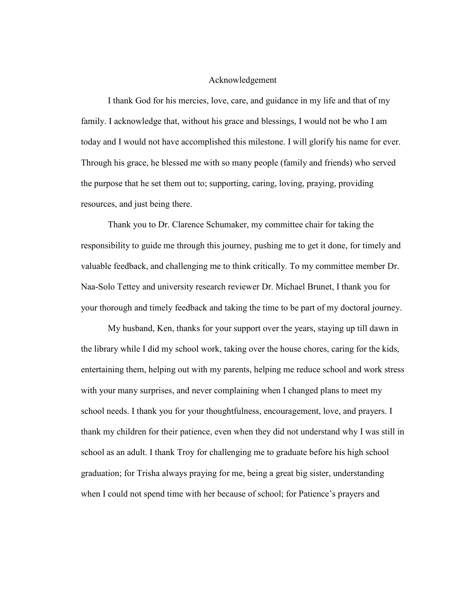## Acknowledgement

I thank God for his mercies, love, care, and guidance in my life and that of my family. I acknowledge that, without his grace and blessings, I would not be who I am today and I would not have accomplished this milestone. I will glorify his name for ever. Through his grace, he blessed me with so many people (family and friends) who served the purpose that he set them out to; supporting, caring, loving, praying, providing resources, and just being there.

Thank you to Dr. Clarence Schumaker, my committee chair for taking the responsibility to guide me through this journey, pushing me to get it done, for timely and valuable feedback, and challenging me to think critically. To my committee member Dr. Naa-Solo Tettey and university research reviewer Dr. Michael Brunet, I thank you for your thorough and timely feedback and taking the time to be part of my doctoral journey.

My husband, Ken, thanks for your support over the years, staying up till dawn in the library while I did my school work, taking over the house chores, caring for the kids, entertaining them, helping out with my parents, helping me reduce school and work stress with your many surprises, and never complaining when I changed plans to meet my school needs. I thank you for your thoughtfulness, encouragement, love, and prayers. I thank my children for their patience, even when they did not understand why I was still in school as an adult. I thank Troy for challenging me to graduate before his high school graduation; for Trisha always praying for me, being a great big sister, understanding when I could not spend time with her because of school; for Patience's prayers and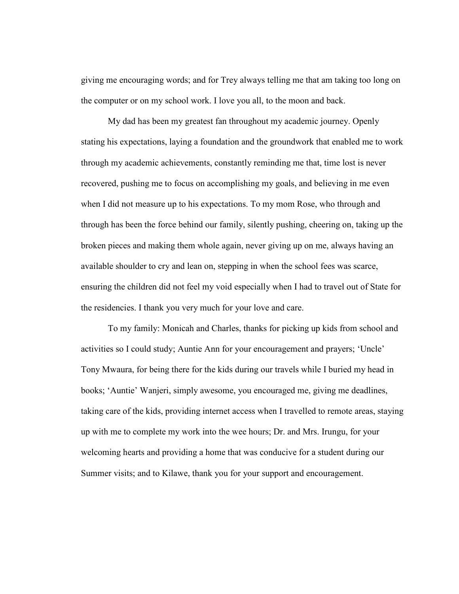giving me encouraging words; and for Trey always telling me that am taking too long on the computer or on my school work. I love you all, to the moon and back.

My dad has been my greatest fan throughout my academic journey. Openly stating his expectations, laying a foundation and the groundwork that enabled me to work through my academic achievements, constantly reminding me that, time lost is never recovered, pushing me to focus on accomplishing my goals, and believing in me even when I did not measure up to his expectations. To my mom Rose, who through and through has been the force behind our family, silently pushing, cheering on, taking up the broken pieces and making them whole again, never giving up on me, always having an available shoulder to cry and lean on, stepping in when the school fees was scarce, ensuring the children did not feel my void especially when I had to travel out of State for the residencies. I thank you very much for your love and care.

To my family: Monicah and Charles, thanks for picking up kids from school and activities so I could study; Auntie Ann for your encouragement and prayers; 'Uncle' Tony Mwaura, for being there for the kids during our travels while I buried my head in books; 'Auntie' Wanjeri, simply awesome, you encouraged me, giving me deadlines, taking care of the kids, providing internet access when I travelled to remote areas, staying up with me to complete my work into the wee hours; Dr. and Mrs. Irungu, for your welcoming hearts and providing a home that was conducive for a student during our Summer visits; and to Kilawe, thank you for your support and encouragement.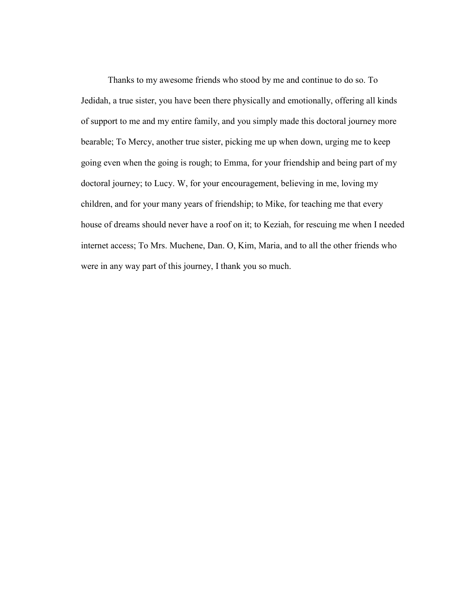Thanks to my awesome friends who stood by me and continue to do so. To Jedidah, a true sister, you have been there physically and emotionally, offering all kinds of support to me and my entire family, and you simply made this doctoral journey more bearable; To Mercy, another true sister, picking me up when down, urging me to keep going even when the going is rough; to Emma, for your friendship and being part of my doctoral journey; to Lucy. W, for your encouragement, believing in me, loving my children, and for your many years of friendship; to Mike, for teaching me that every house of dreams should never have a roof on it; to Keziah, for rescuing me when I needed internet access; To Mrs. Muchene, Dan. O, Kim, Maria, and to all the other friends who were in any way part of this journey, I thank you so much.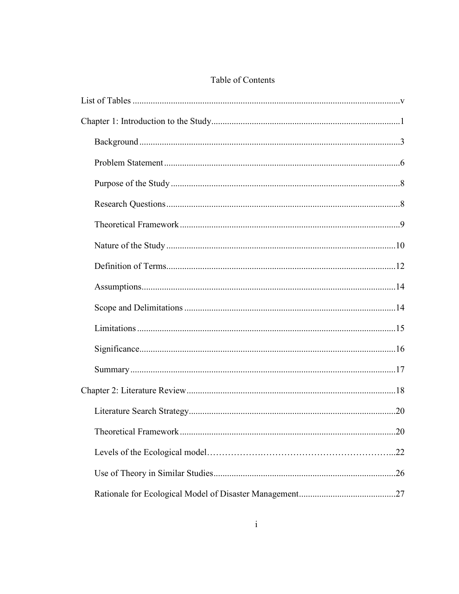|  | Table of Contents |
|--|-------------------|
|--|-------------------|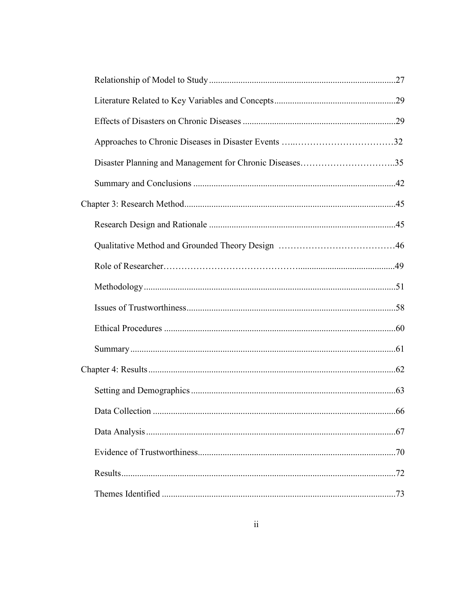| 66 |
|----|
|    |
|    |
|    |
|    |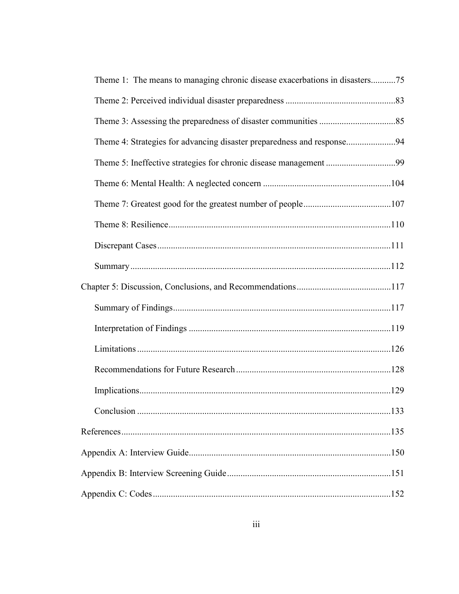| Theme 1: The means to managing chronic disease exacerbations in disasters75 |     |
|-----------------------------------------------------------------------------|-----|
|                                                                             |     |
|                                                                             |     |
| Theme 4: Strategies for advancing disaster preparedness and response94      |     |
|                                                                             |     |
|                                                                             |     |
|                                                                             |     |
|                                                                             |     |
|                                                                             |     |
|                                                                             |     |
|                                                                             |     |
|                                                                             |     |
|                                                                             |     |
|                                                                             |     |
|                                                                             |     |
|                                                                             |     |
| Conclusion                                                                  | 133 |
|                                                                             |     |
|                                                                             |     |
|                                                                             |     |
|                                                                             |     |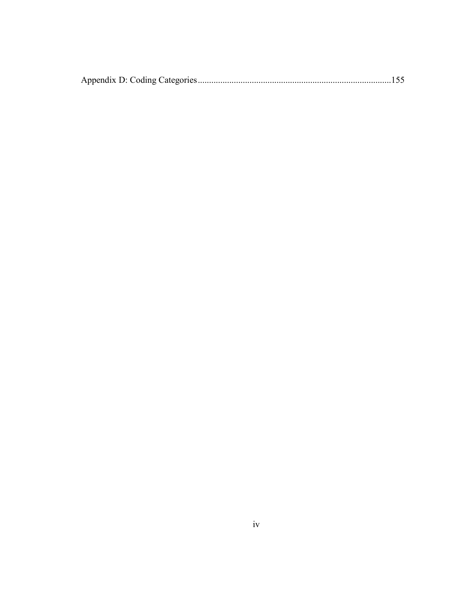|--|--|--|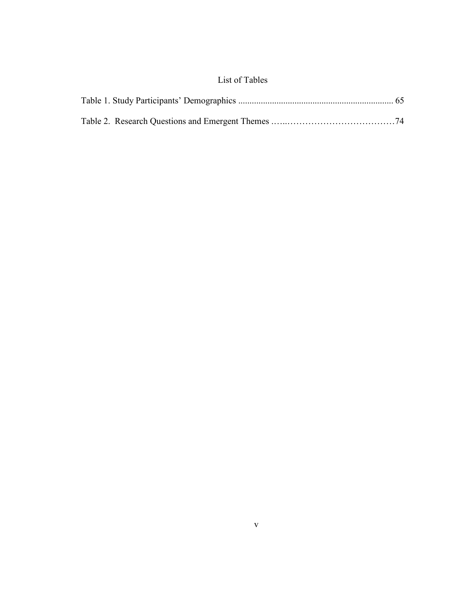## List of Tables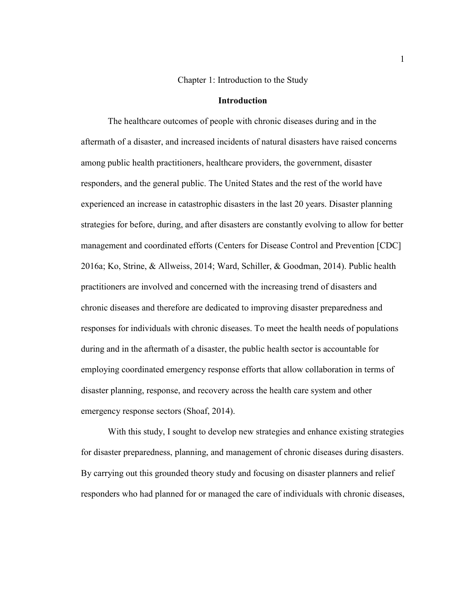### Chapter 1: Introduction to the Study

### **Introduction**

The healthcare outcomes of people with chronic diseases during and in the aftermath of a disaster, and increased incidents of natural disasters have raised concerns among public health practitioners, healthcare providers, the government, disaster responders, and the general public. The United States and the rest of the world have experienced an increase in catastrophic disasters in the last 20 years. Disaster planning strategies for before, during, and after disasters are constantly evolving to allow for better management and coordinated efforts (Centers for Disease Control and Prevention [CDC] 2016a; Ko, Strine, & Allweiss, 2014; Ward, Schiller, & Goodman, 2014). Public health practitioners are involved and concerned with the increasing trend of disasters and chronic diseases and therefore are dedicated to improving disaster preparedness and responses for individuals with chronic diseases. To meet the health needs of populations during and in the aftermath of a disaster, the public health sector is accountable for employing coordinated emergency response efforts that allow collaboration in terms of disaster planning, response, and recovery across the health care system and other emergency response sectors (Shoaf, 2014).

With this study, I sought to develop new strategies and enhance existing strategies for disaster preparedness, planning, and management of chronic diseases during disasters. By carrying out this grounded theory study and focusing on disaster planners and relief responders who had planned for or managed the care of individuals with chronic diseases,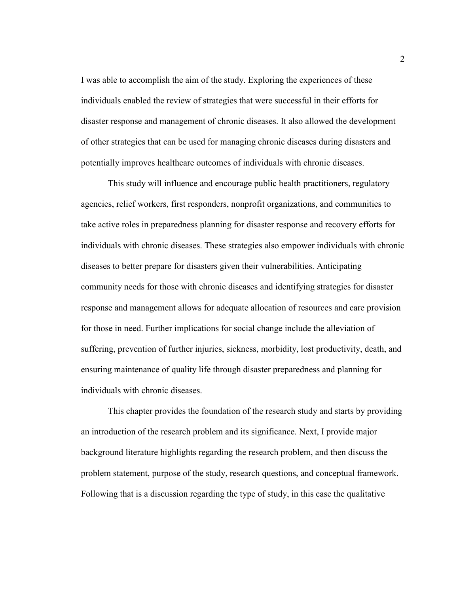I was able to accomplish the aim of the study. Exploring the experiences of these individuals enabled the review of strategies that were successful in their efforts for disaster response and management of chronic diseases. It also allowed the development of other strategies that can be used for managing chronic diseases during disasters and potentially improves healthcare outcomes of individuals with chronic diseases.

This study will influence and encourage public health practitioners, regulatory agencies, relief workers, first responders, nonprofit organizations, and communities to take active roles in preparedness planning for disaster response and recovery efforts for individuals with chronic diseases. These strategies also empower individuals with chronic diseases to better prepare for disasters given their vulnerabilities. Anticipating community needs for those with chronic diseases and identifying strategies for disaster response and management allows for adequate allocation of resources and care provision for those in need. Further implications for social change include the alleviation of suffering, prevention of further injuries, sickness, morbidity, lost productivity, death, and ensuring maintenance of quality life through disaster preparedness and planning for individuals with chronic diseases.

This chapter provides the foundation of the research study and starts by providing an introduction of the research problem and its significance. Next, I provide major background literature highlights regarding the research problem, and then discuss the problem statement, purpose of the study, research questions, and conceptual framework. Following that is a discussion regarding the type of study, in this case the qualitative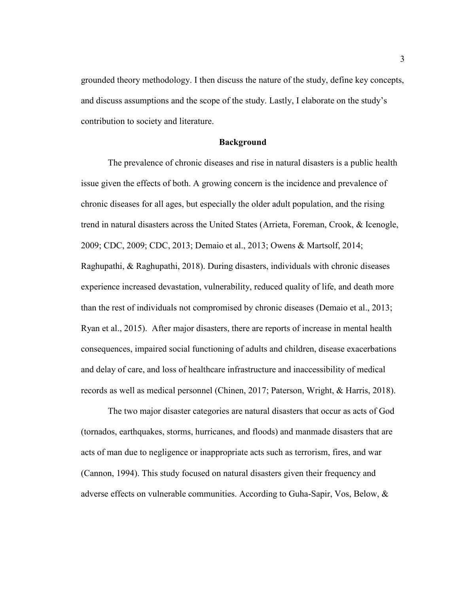grounded theory methodology. I then discuss the nature of the study, define key concepts, and discuss assumptions and the scope of the study. Lastly, I elaborate on the study's contribution to society and literature.

#### **Background**

The prevalence of chronic diseases and rise in natural disasters is a public health issue given the effects of both. A growing concern is the incidence and prevalence of chronic diseases for all ages, but especially the older adult population, and the rising trend in natural disasters across the United States (Arrieta, Foreman, Crook, & Icenogle, 2009; CDC, 2009; CDC, 2013; Demaio et al., 2013; Owens & Martsolf, 2014; Raghupathi, & Raghupathi, 2018). During disasters, individuals with chronic diseases experience increased devastation, vulnerability, reduced quality of life, and death more than the rest of individuals not compromised by chronic diseases (Demaio et al., 2013; Ryan et al., 2015). After major disasters, there are reports of increase in mental health consequences, impaired social functioning of adults and children, disease exacerbations and delay of care, and loss of healthcare infrastructure and inaccessibility of medical records as well as medical personnel (Chinen, 2017; Paterson, Wright, & Harris, 2018).

The two major disaster categories are natural disasters that occur as acts of God (tornados, earthquakes, storms, hurricanes, and floods) and manmade disasters that are acts of man due to negligence or inappropriate acts such as terrorism, fires, and war (Cannon, 1994). This study focused on natural disasters given their frequency and adverse effects on vulnerable communities. According to Guha-Sapir, Vos, Below, &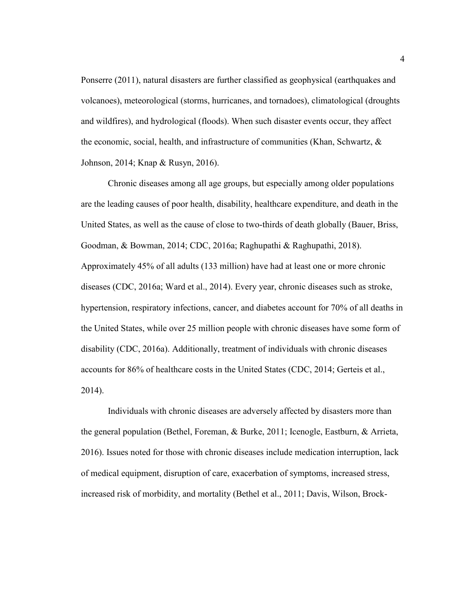Ponserre (2011), natural disasters are further classified as geophysical (earthquakes and volcanoes), meteorological (storms, hurricanes, and tornadoes), climatological (droughts and wildfires), and hydrological (floods). When such disaster events occur, they affect the economic, social, health, and infrastructure of communities (Khan, Schwartz,  $\&$ Johnson, 2014; Knap & Rusyn, 2016).

Chronic diseases among all age groups, but especially among older populations are the leading causes of poor health, disability, healthcare expenditure, and death in the United States, as well as the cause of close to two-thirds of death globally (Bauer, Briss, Goodman, & Bowman, 2014; CDC, 2016a; Raghupathi & Raghupathi, 2018). Approximately 45% of all adults (133 million) have had at least one or more chronic diseases (CDC, 2016a; Ward et al., 2014). Every year, chronic diseases such as stroke, hypertension, respiratory infections, cancer, and diabetes account for 70% of all deaths in the United States, while over 25 million people with chronic diseases have some form of disability (CDC, 2016a). Additionally, treatment of individuals with chronic diseases accounts for 86% of healthcare costs in the United States (CDC, 2014; Gerteis et al., 2014).

Individuals with chronic diseases are adversely affected by disasters more than the general population (Bethel, Foreman, & Burke, 2011; Icenogle, Eastburn, & Arrieta, 2016). Issues noted for those with chronic diseases include medication interruption, lack of medical equipment, disruption of care, exacerbation of symptoms, increased stress, increased risk of morbidity, and mortality (Bethel et al., 2011; Davis, Wilson, Brock-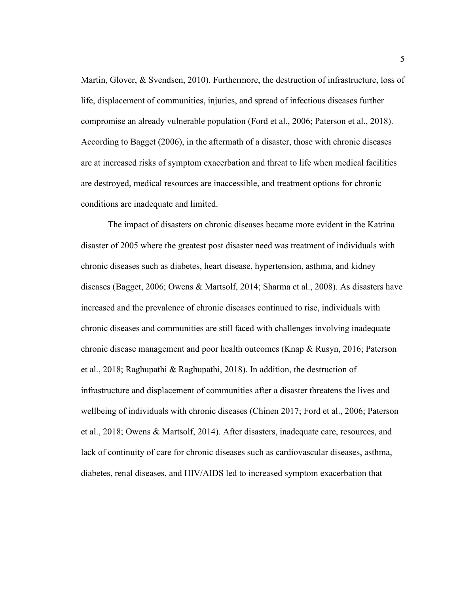Martin, Glover, & Svendsen, 2010). Furthermore, the destruction of infrastructure, loss of life, displacement of communities, injuries, and spread of infectious diseases further compromise an already vulnerable population (Ford et al., 2006; Paterson et al., 2018). According to Bagget (2006), in the aftermath of a disaster, those with chronic diseases are at increased risks of symptom exacerbation and threat to life when medical facilities are destroyed, medical resources are inaccessible, and treatment options for chronic conditions are inadequate and limited.

The impact of disasters on chronic diseases became more evident in the Katrina disaster of 2005 where the greatest post disaster need was treatment of individuals with chronic diseases such as diabetes, heart disease, hypertension, asthma, and kidney diseases (Bagget, 2006; Owens & Martsolf, 2014; Sharma et al., 2008). As disasters have increased and the prevalence of chronic diseases continued to rise, individuals with chronic diseases and communities are still faced with challenges involving inadequate chronic disease management and poor health outcomes (Knap & Rusyn, 2016; Paterson et al., 2018; Raghupathi & Raghupathi, 2018). In addition, the destruction of infrastructure and displacement of communities after a disaster threatens the lives and wellbeing of individuals with chronic diseases (Chinen 2017; Ford et al., 2006; Paterson et al., 2018; Owens & Martsolf, 2014). After disasters, inadequate care, resources, and lack of continuity of care for chronic diseases such as cardiovascular diseases, asthma, diabetes, renal diseases, and HIV/AIDS led to increased symptom exacerbation that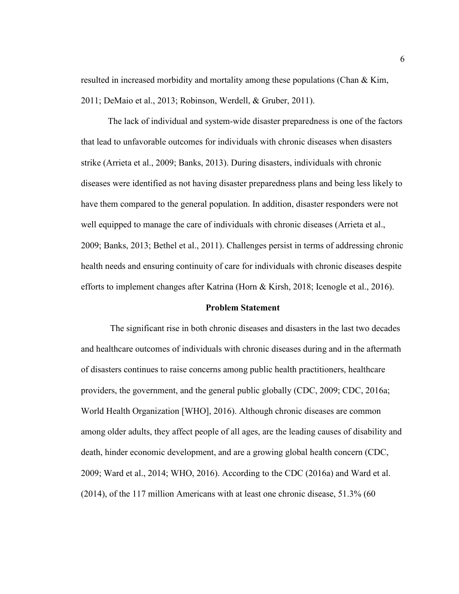resulted in increased morbidity and mortality among these populations (Chan  $\&$  Kim, 2011; DeMaio et al., 2013; Robinson, Werdell, & Gruber, 2011).

The lack of individual and system-wide disaster preparedness is one of the factors that lead to unfavorable outcomes for individuals with chronic diseases when disasters strike (Arrieta et al., 2009; Banks, 2013). During disasters, individuals with chronic diseases were identified as not having disaster preparedness plans and being less likely to have them compared to the general population. In addition, disaster responders were not well equipped to manage the care of individuals with chronic diseases (Arrieta et al., 2009; Banks, 2013; Bethel et al., 2011). Challenges persist in terms of addressing chronic health needs and ensuring continuity of care for individuals with chronic diseases despite efforts to implement changes after Katrina (Horn & Kirsh, 2018; Icenogle et al., 2016).

#### **Problem Statement**

 The significant rise in both chronic diseases and disasters in the last two decades and healthcare outcomes of individuals with chronic diseases during and in the aftermath of disasters continues to raise concerns among public health practitioners, healthcare providers, the government, and the general public globally (CDC, 2009; CDC, 2016a; World Health Organization [WHO], 2016). Although chronic diseases are common among older adults, they affect people of all ages, are the leading causes of disability and death, hinder economic development, and are a growing global health concern (CDC, 2009; Ward et al., 2014; WHO, 2016). According to the CDC (2016a) and Ward et al. (2014), of the 117 million Americans with at least one chronic disease, 51.3% (60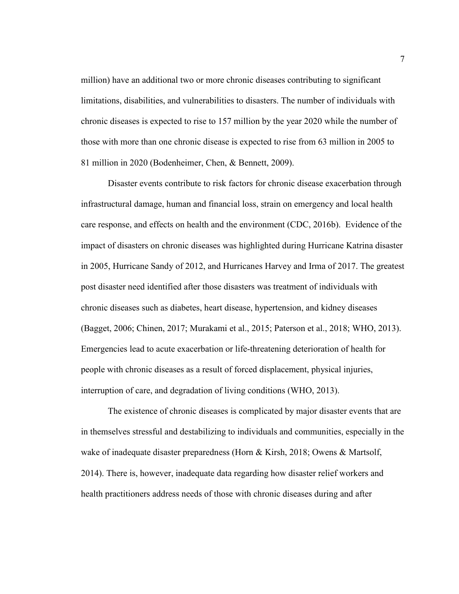million) have an additional two or more chronic diseases contributing to significant limitations, disabilities, and vulnerabilities to disasters. The number of individuals with chronic diseases is expected to rise to 157 million by the year 2020 while the number of those with more than one chronic disease is expected to rise from 63 million in 2005 to 81 million in 2020 (Bodenheimer, Chen, & Bennett, 2009).

Disaster events contribute to risk factors for chronic disease exacerbation through infrastructural damage, human and financial loss, strain on emergency and local health care response, and effects on health and the environment (CDC, 2016b). Evidence of the impact of disasters on chronic diseases was highlighted during Hurricane Katrina disaster in 2005, Hurricane Sandy of 2012, and Hurricanes Harvey and Irma of 2017. The greatest post disaster need identified after those disasters was treatment of individuals with chronic diseases such as diabetes, heart disease, hypertension, and kidney diseases (Bagget, 2006; Chinen, 2017; Murakami et al., 2015; Paterson et al., 2018; WHO, 2013). Emergencies lead to acute exacerbation or life-threatening deterioration of health for people with chronic diseases as a result of forced displacement, physical injuries, interruption of care, and degradation of living conditions (WHO, 2013).

The existence of chronic diseases is complicated by major disaster events that are in themselves stressful and destabilizing to individuals and communities, especially in the wake of inadequate disaster preparedness (Horn & Kirsh, 2018; Owens & Martsolf, 2014). There is, however, inadequate data regarding how disaster relief workers and health practitioners address needs of those with chronic diseases during and after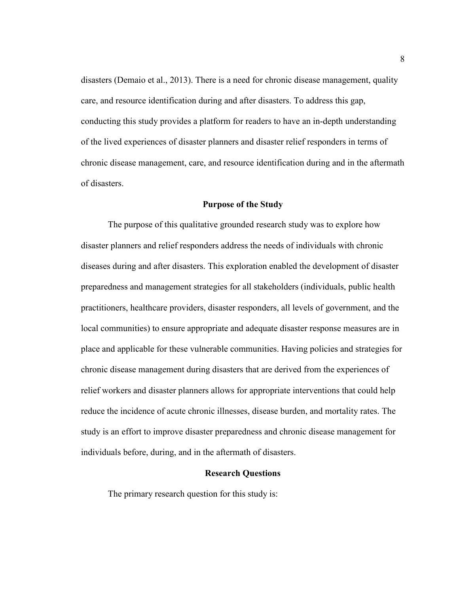disasters (Demaio et al., 2013). There is a need for chronic disease management, quality care, and resource identification during and after disasters. To address this gap, conducting this study provides a platform for readers to have an in-depth understanding of the lived experiences of disaster planners and disaster relief responders in terms of chronic disease management, care, and resource identification during and in the aftermath of disasters.

## **Purpose of the Study**

The purpose of this qualitative grounded research study was to explore how disaster planners and relief responders address the needs of individuals with chronic diseases during and after disasters. This exploration enabled the development of disaster preparedness and management strategies for all stakeholders (individuals, public health practitioners, healthcare providers, disaster responders, all levels of government, and the local communities) to ensure appropriate and adequate disaster response measures are in place and applicable for these vulnerable communities. Having policies and strategies for chronic disease management during disasters that are derived from the experiences of relief workers and disaster planners allows for appropriate interventions that could help reduce the incidence of acute chronic illnesses, disease burden, and mortality rates. The study is an effort to improve disaster preparedness and chronic disease management for individuals before, during, and in the aftermath of disasters.

#### **Research Questions**

The primary research question for this study is: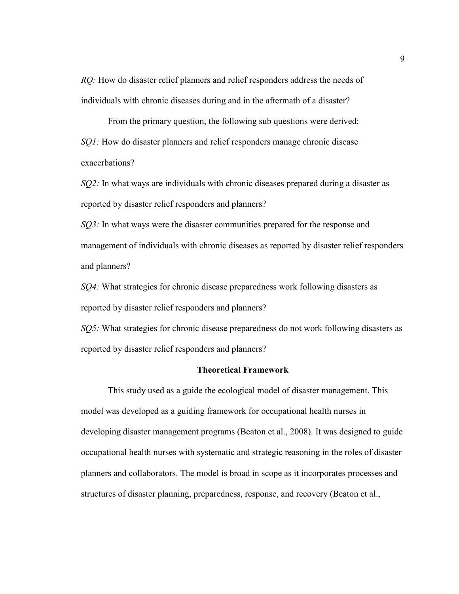*RQ*: How do disaster relief planners and relief responders address the needs of individuals with chronic diseases during and in the aftermath of a disaster?

From the primary question, the following sub questions were derived: *SQ1*: How do disaster planners and relief responders manage chronic disease exacerbations?

*SQ2*: In what ways are individuals with chronic diseases prepared during a disaster as reported by disaster relief responders and planners?

*SQ3*: In what ways were the disaster communities prepared for the response and management of individuals with chronic diseases as reported by disaster relief responders and planners?

*SQ4:* What strategies for chronic disease preparedness work following disasters as reported by disaster relief responders and planners?

*SQ5:* What strategies for chronic disease preparedness do not work following disasters as reported by disaster relief responders and planners?

## **Theoretical Framework**

This study used as a guide the ecological model of disaster management. This model was developed as a guiding framework for occupational health nurses in developing disaster management programs (Beaton et al., 2008). It was designed to guide occupational health nurses with systematic and strategic reasoning in the roles of disaster planners and collaborators. The model is broad in scope as it incorporates processes and structures of disaster planning, preparedness, response, and recovery (Beaton et al.,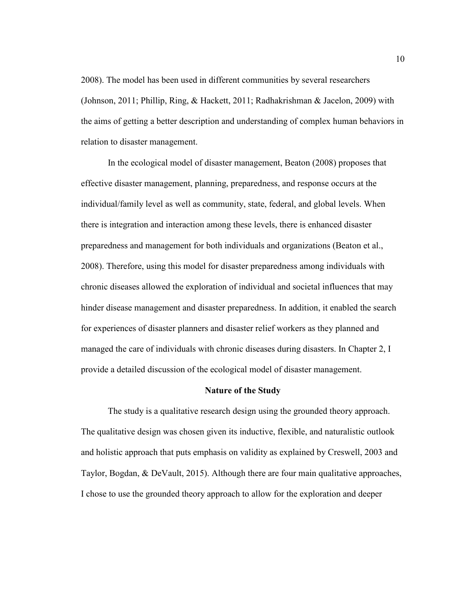2008). The model has been used in different communities by several researchers (Johnson, 2011; Phillip, Ring, & Hackett, 2011; Radhakrishman & Jacelon, 2009) with the aims of getting a better description and understanding of complex human behaviors in relation to disaster management.

In the ecological model of disaster management, Beaton (2008) proposes that effective disaster management, planning, preparedness, and response occurs at the individual/family level as well as community, state, federal, and global levels. When there is integration and interaction among these levels, there is enhanced disaster preparedness and management for both individuals and organizations (Beaton et al., 2008). Therefore, using this model for disaster preparedness among individuals with chronic diseases allowed the exploration of individual and societal influences that may hinder disease management and disaster preparedness. In addition, it enabled the search for experiences of disaster planners and disaster relief workers as they planned and managed the care of individuals with chronic diseases during disasters. In Chapter 2, I provide a detailed discussion of the ecological model of disaster management.

## **Nature of the Study**

The study is a qualitative research design using the grounded theory approach. The qualitative design was chosen given its inductive, flexible, and naturalistic outlook and holistic approach that puts emphasis on validity as explained by Creswell, 2003 and Taylor, Bogdan, & DeVault, 2015). Although there are four main qualitative approaches, I chose to use the grounded theory approach to allow for the exploration and deeper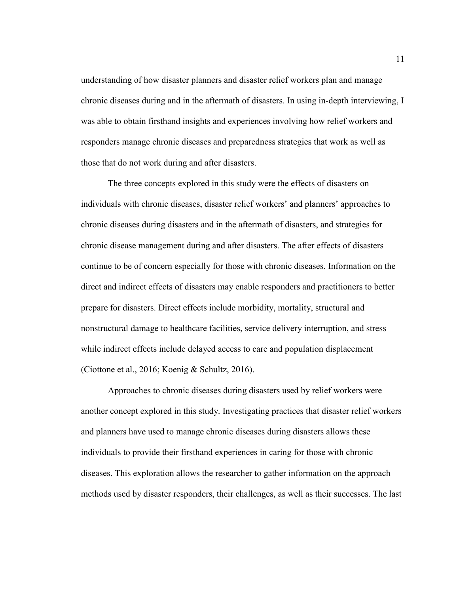understanding of how disaster planners and disaster relief workers plan and manage chronic diseases during and in the aftermath of disasters. In using in-depth interviewing, I was able to obtain firsthand insights and experiences involving how relief workers and responders manage chronic diseases and preparedness strategies that work as well as those that do not work during and after disasters.

The three concepts explored in this study were the effects of disasters on individuals with chronic diseases, disaster relief workers' and planners' approaches to chronic diseases during disasters and in the aftermath of disasters, and strategies for chronic disease management during and after disasters. The after effects of disasters continue to be of concern especially for those with chronic diseases. Information on the direct and indirect effects of disasters may enable responders and practitioners to better prepare for disasters. Direct effects include morbidity, mortality, structural and nonstructural damage to healthcare facilities, service delivery interruption, and stress while indirect effects include delayed access to care and population displacement (Ciottone et al., 2016; Koenig & Schultz, 2016).

Approaches to chronic diseases during disasters used by relief workers were another concept explored in this study. Investigating practices that disaster relief workers and planners have used to manage chronic diseases during disasters allows these individuals to provide their firsthand experiences in caring for those with chronic diseases. This exploration allows the researcher to gather information on the approach methods used by disaster responders, their challenges, as well as their successes. The last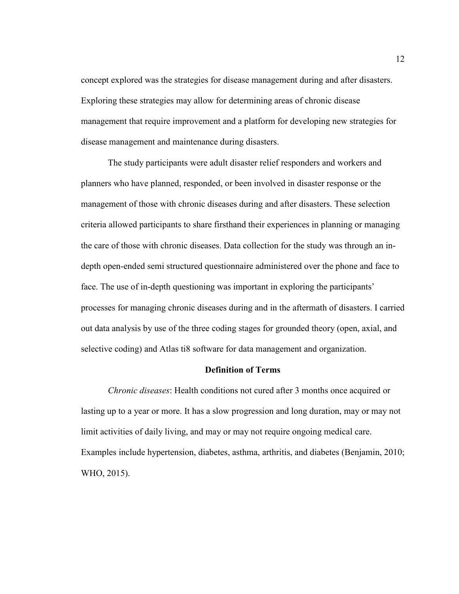concept explored was the strategies for disease management during and after disasters. Exploring these strategies may allow for determining areas of chronic disease management that require improvement and a platform for developing new strategies for disease management and maintenance during disasters.

The study participants were adult disaster relief responders and workers and planners who have planned, responded, or been involved in disaster response or the management of those with chronic diseases during and after disasters. These selection criteria allowed participants to share firsthand their experiences in planning or managing the care of those with chronic diseases. Data collection for the study was through an indepth open-ended semi structured questionnaire administered over the phone and face to face. The use of in-depth questioning was important in exploring the participants' processes for managing chronic diseases during and in the aftermath of disasters. I carried out data analysis by use of the three coding stages for grounded theory (open, axial, and selective coding) and Atlas ti8 software for data management and organization.

## **Definition of Terms**

*Chronic diseases*: Health conditions not cured after 3 months once acquired or lasting up to a year or more. It has a slow progression and long duration, may or may not limit activities of daily living, and may or may not require ongoing medical care. Examples include hypertension, diabetes, asthma, arthritis, and diabetes (Benjamin, 2010; WHO, 2015).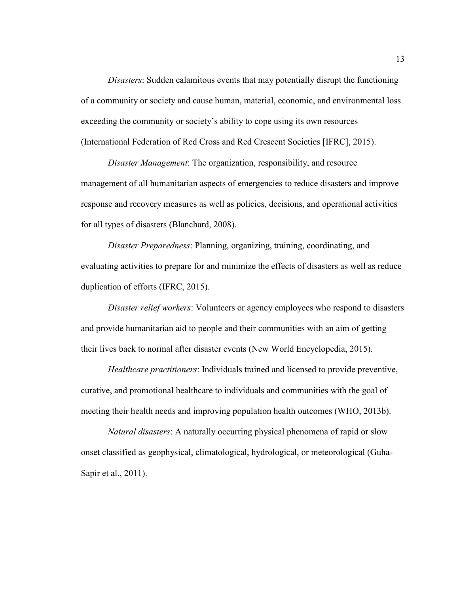*Disasters*: Sudden calamitous events that may potentially disrupt the functioning of a community or society and cause human, material, economic, and environmental loss exceeding the community or society's ability to cope using its own resources (International Federation of Red Cross and Red Crescent Societies [IFRC], 2015).

*Disaster Management*: The organization, responsibility, and resource management of all humanitarian aspects of emergencies to reduce disasters and improve response and recovery measures as well as policies, decisions, and operational activities for all types of disasters (Blanchard, 2008).

*Disaster Preparedness*: Planning, organizing, training, coordinating, and evaluating activities to prepare for and minimize the effects of disasters as well as reduce duplication of efforts (IFRC, 2015).

*Disaster relief workers*: Volunteers or agency employees who respond to disasters and provide humanitarian aid to people and their communities with an aim of getting their lives back to normal after disaster events (New World Encyclopedia, 2015).

*Healthcare practitioners*: Individuals trained and licensed to provide preventive, curative, and promotional healthcare to individuals and communities with the goal of meeting their health needs and improving population health outcomes (WHO, 2013b).

*Natural disasters*: A naturally occurring physical phenomena of rapid or slow onset classified as geophysical, climatological, hydrological, or meteorological (Guha-Sapir et al., 2011).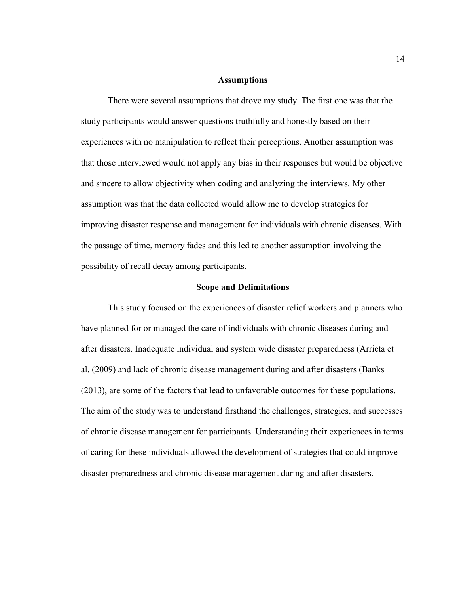### **Assumptions**

There were several assumptions that drove my study. The first one was that the study participants would answer questions truthfully and honestly based on their experiences with no manipulation to reflect their perceptions. Another assumption was that those interviewed would not apply any bias in their responses but would be objective and sincere to allow objectivity when coding and analyzing the interviews. My other assumption was that the data collected would allow me to develop strategies for improving disaster response and management for individuals with chronic diseases. With the passage of time, memory fades and this led to another assumption involving the possibility of recall decay among participants.

#### **Scope and Delimitations**

This study focused on the experiences of disaster relief workers and planners who have planned for or managed the care of individuals with chronic diseases during and after disasters. Inadequate individual and system wide disaster preparedness (Arrieta et al. (2009) and lack of chronic disease management during and after disasters (Banks (2013), are some of the factors that lead to unfavorable outcomes for these populations. The aim of the study was to understand firsthand the challenges, strategies, and successes of chronic disease management for participants. Understanding their experiences in terms of caring for these individuals allowed the development of strategies that could improve disaster preparedness and chronic disease management during and after disasters.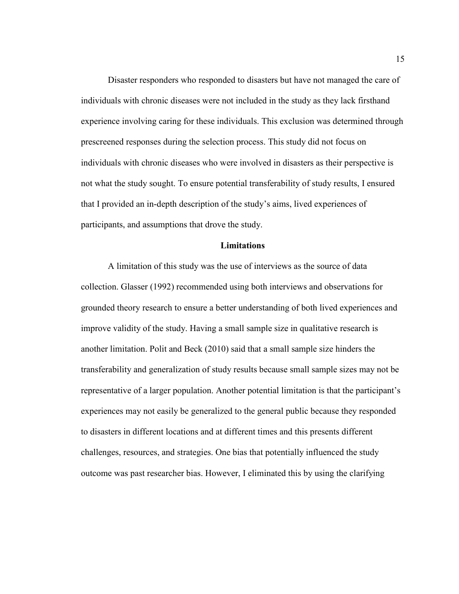Disaster responders who responded to disasters but have not managed the care of individuals with chronic diseases were not included in the study as they lack firsthand experience involving caring for these individuals. This exclusion was determined through prescreened responses during the selection process. This study did not focus on individuals with chronic diseases who were involved in disasters as their perspective is not what the study sought. To ensure potential transferability of study results, I ensured that I provided an in-depth description of the study's aims, lived experiences of participants, and assumptions that drove the study.

## **Limitations**

A limitation of this study was the use of interviews as the source of data collection. Glasser (1992) recommended using both interviews and observations for grounded theory research to ensure a better understanding of both lived experiences and improve validity of the study. Having a small sample size in qualitative research is another limitation. Polit and Beck (2010) said that a small sample size hinders the transferability and generalization of study results because small sample sizes may not be representative of a larger population. Another potential limitation is that the participant's experiences may not easily be generalized to the general public because they responded to disasters in different locations and at different times and this presents different challenges, resources, and strategies. One bias that potentially influenced the study outcome was past researcher bias. However, I eliminated this by using the clarifying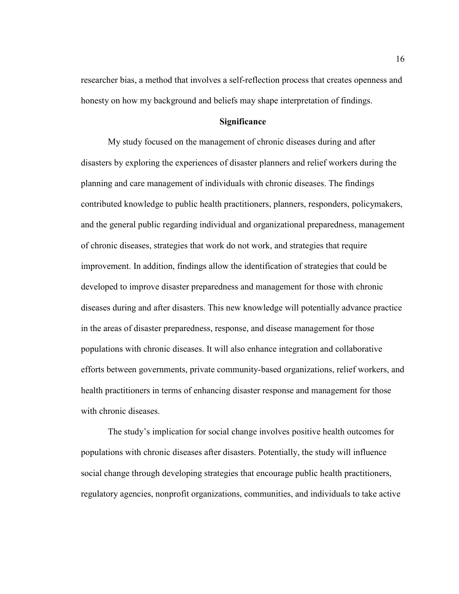researcher bias, a method that involves a self-reflection process that creates openness and honesty on how my background and beliefs may shape interpretation of findings.

## **Significance**

My study focused on the management of chronic diseases during and after disasters by exploring the experiences of disaster planners and relief workers during the planning and care management of individuals with chronic diseases. The findings contributed knowledge to public health practitioners, planners, responders, policymakers, and the general public regarding individual and organizational preparedness, management of chronic diseases, strategies that work do not work, and strategies that require improvement. In addition, findings allow the identification of strategies that could be developed to improve disaster preparedness and management for those with chronic diseases during and after disasters. This new knowledge will potentially advance practice in the areas of disaster preparedness, response, and disease management for those populations with chronic diseases. It will also enhance integration and collaborative efforts between governments, private community-based organizations, relief workers, and health practitioners in terms of enhancing disaster response and management for those with chronic diseases.

The study's implication for social change involves positive health outcomes for populations with chronic diseases after disasters. Potentially, the study will influence social change through developing strategies that encourage public health practitioners, regulatory agencies, nonprofit organizations, communities, and individuals to take active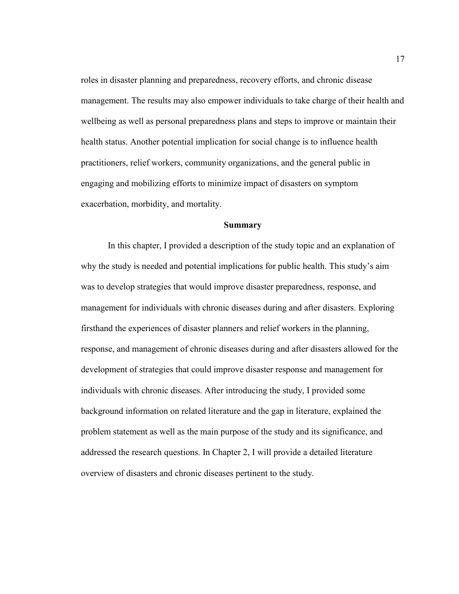roles in disaster planning and preparedness, recovery efforts, and chronic disease management. The results may also empower individuals to take charge of their health and wellbeing as well as personal preparedness plans and steps to improve or maintain their health status. Another potential implication for social change is to influence health practitioners, relief workers, community organizations, and the general public in engaging and mobilizing efforts to minimize impact of disasters on symptom exacerbation, morbidity, and mortality.

## **Summary**

In this chapter, I provided a description of the study topic and an explanation of why the study is needed and potential implications for public health. This study's aim was to develop strategies that would improve disaster preparedness, response, and management for individuals with chronic diseases during and after disasters. Exploring firsthand the experiences of disaster planners and relief workers in the planning, response, and management of chronic diseases during and after disasters allowed for the development of strategies that could improve disaster response and management for individuals with chronic diseases. After introducing the study, I provided some background information on related literature and the gap in literature, explained the problem statement as well as the main purpose of the study and its significance, and addressed the research questions. In Chapter 2, I will provide a detailed literature overview of disasters and chronic diseases pertinent to the study.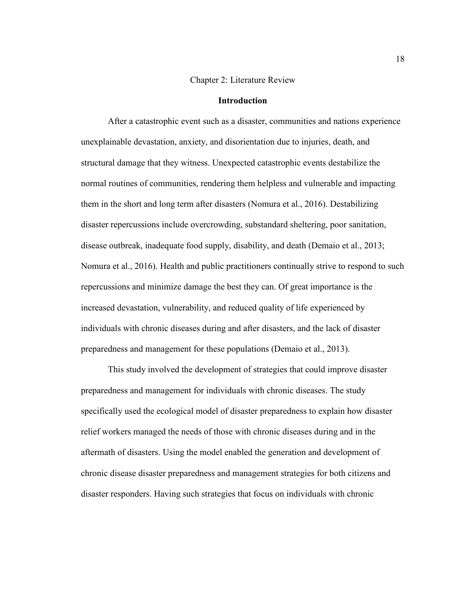## Chapter 2: Literature Review

### **Introduction**

After a catastrophic event such as a disaster, communities and nations experience unexplainable devastation, anxiety, and disorientation due to injuries, death, and structural damage that they witness. Unexpected catastrophic events destabilize the normal routines of communities, rendering them helpless and vulnerable and impacting them in the short and long term after disasters (Nomura et al., 2016). Destabilizing disaster repercussions include overcrowding, substandard sheltering, poor sanitation, disease outbreak, inadequate food supply, disability, and death (Demaio et al., 2013; Nomura et al., 2016). Health and public practitioners continually strive to respond to such repercussions and minimize damage the best they can. Of great importance is the increased devastation, vulnerability, and reduced quality of life experienced by individuals with chronic diseases during and after disasters, and the lack of disaster preparedness and management for these populations (Demaio et al., 2013).

This study involved the development of strategies that could improve disaster preparedness and management for individuals with chronic diseases. The study specifically used the ecological model of disaster preparedness to explain how disaster relief workers managed the needs of those with chronic diseases during and in the aftermath of disasters. Using the model enabled the generation and development of chronic disease disaster preparedness and management strategies for both citizens and disaster responders. Having such strategies that focus on individuals with chronic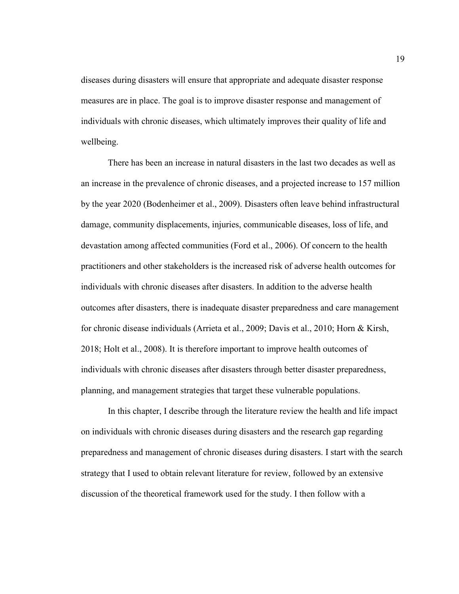diseases during disasters will ensure that appropriate and adequate disaster response measures are in place. The goal is to improve disaster response and management of individuals with chronic diseases, which ultimately improves their quality of life and wellbeing.

There has been an increase in natural disasters in the last two decades as well as an increase in the prevalence of chronic diseases, and a projected increase to 157 million by the year 2020 (Bodenheimer et al., 2009). Disasters often leave behind infrastructural damage, community displacements, injuries, communicable diseases, loss of life, and devastation among affected communities (Ford et al., 2006). Of concern to the health practitioners and other stakeholders is the increased risk of adverse health outcomes for individuals with chronic diseases after disasters. In addition to the adverse health outcomes after disasters, there is inadequate disaster preparedness and care management for chronic disease individuals (Arrieta et al., 2009; Davis et al., 2010; Horn & Kirsh, 2018; Holt et al., 2008). It is therefore important to improve health outcomes of individuals with chronic diseases after disasters through better disaster preparedness, planning, and management strategies that target these vulnerable populations.

In this chapter, I describe through the literature review the health and life impact on individuals with chronic diseases during disasters and the research gap regarding preparedness and management of chronic diseases during disasters. I start with the search strategy that I used to obtain relevant literature for review, followed by an extensive discussion of the theoretical framework used for the study. I then follow with a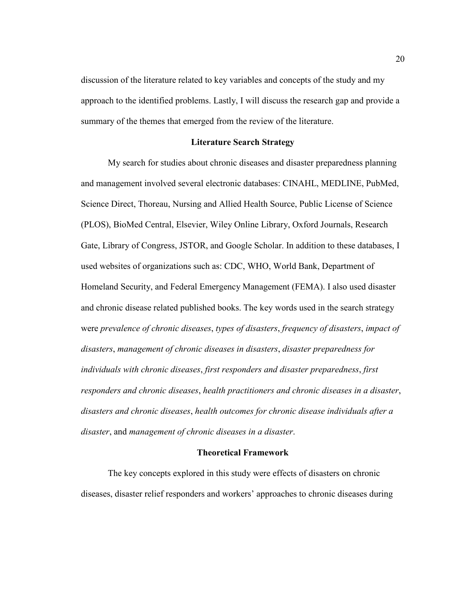discussion of the literature related to key variables and concepts of the study and my approach to the identified problems. Lastly, I will discuss the research gap and provide a summary of the themes that emerged from the review of the literature.

## **Literature Search Strategy**

My search for studies about chronic diseases and disaster preparedness planning and management involved several electronic databases: CINAHL, MEDLINE, PubMed, Science Direct, Thoreau, Nursing and Allied Health Source, Public License of Science (PLOS), BioMed Central, Elsevier, Wiley Online Library, Oxford Journals, Research Gate, Library of Congress, JSTOR, and Google Scholar. In addition to these databases, I used websites of organizations such as: CDC, WHO, World Bank, Department of Homeland Security, and Federal Emergency Management (FEMA). I also used disaster and chronic disease related published books. The key words used in the search strategy were *prevalence of chronic diseases*, *types of disasters*, *frequency of disasters*, *impact of disasters*, *management of chronic diseases in disasters*, *disaster preparedness for individuals with chronic diseases*, *first responders and disaster preparedness*, *first responders and chronic diseases*, *health practitioners and chronic diseases in a disaster*, *disasters and chronic diseases*, *health outcomes for chronic disease individuals after a disaster*, and *management of chronic diseases in a disaster*.

#### **Theoretical Framework**

The key concepts explored in this study were effects of disasters on chronic diseases, disaster relief responders and workers' approaches to chronic diseases during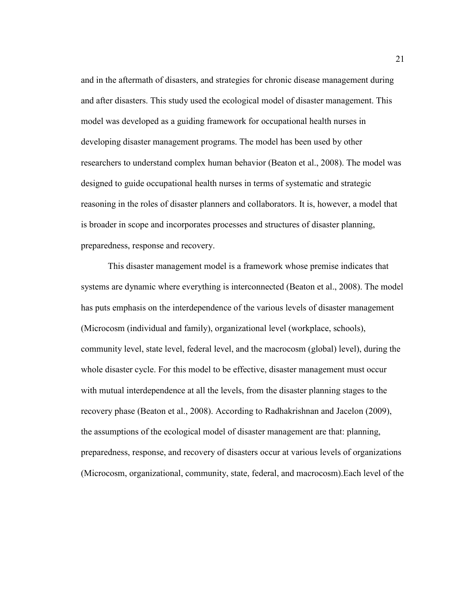and in the aftermath of disasters, and strategies for chronic disease management during and after disasters. This study used the ecological model of disaster management. This model was developed as a guiding framework for occupational health nurses in developing disaster management programs. The model has been used by other researchers to understand complex human behavior (Beaton et al., 2008). The model was designed to guide occupational health nurses in terms of systematic and strategic reasoning in the roles of disaster planners and collaborators. It is, however, a model that is broader in scope and incorporates processes and structures of disaster planning, preparedness, response and recovery.

This disaster management model is a framework whose premise indicates that systems are dynamic where everything is interconnected (Beaton et al., 2008). The model has puts emphasis on the interdependence of the various levels of disaster management (Microcosm (individual and family), organizational level (workplace, schools), community level, state level, federal level, and the macrocosm (global) level), during the whole disaster cycle. For this model to be effective, disaster management must occur with mutual interdependence at all the levels, from the disaster planning stages to the recovery phase (Beaton et al., 2008). According to Radhakrishnan and Jacelon (2009), the assumptions of the ecological model of disaster management are that: planning, preparedness, response, and recovery of disasters occur at various levels of organizations (Microcosm, organizational, community, state, federal, and macrocosm).Each level of the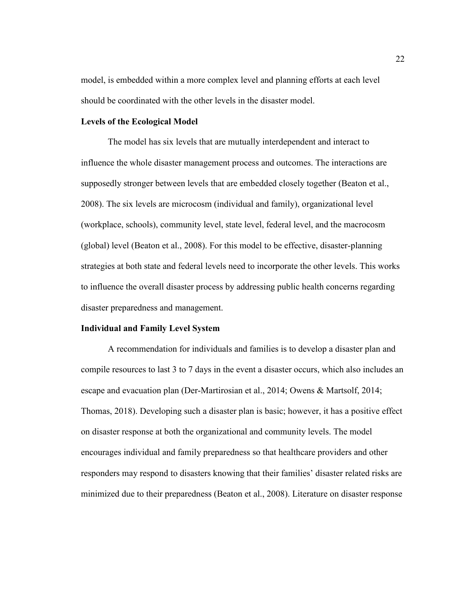model, is embedded within a more complex level and planning efforts at each level should be coordinated with the other levels in the disaster model.

## **Levels of the Ecological Model**

The model has six levels that are mutually interdependent and interact to influence the whole disaster management process and outcomes. The interactions are supposedly stronger between levels that are embedded closely together (Beaton et al., 2008). The six levels are microcosm (individual and family), organizational level (workplace, schools), community level, state level, federal level, and the macrocosm (global) level (Beaton et al., 2008). For this model to be effective, disaster-planning strategies at both state and federal levels need to incorporate the other levels. This works to influence the overall disaster process by addressing public health concerns regarding disaster preparedness and management.

#### **Individual and Family Level System**

A recommendation for individuals and families is to develop a disaster plan and compile resources to last 3 to 7 days in the event a disaster occurs, which also includes an escape and evacuation plan (Der-Martirosian et al., 2014; Owens & Martsolf, 2014; Thomas, 2018). Developing such a disaster plan is basic; however, it has a positive effect on disaster response at both the organizational and community levels. The model encourages individual and family preparedness so that healthcare providers and other responders may respond to disasters knowing that their families' disaster related risks are minimized due to their preparedness (Beaton et al., 2008). Literature on disaster response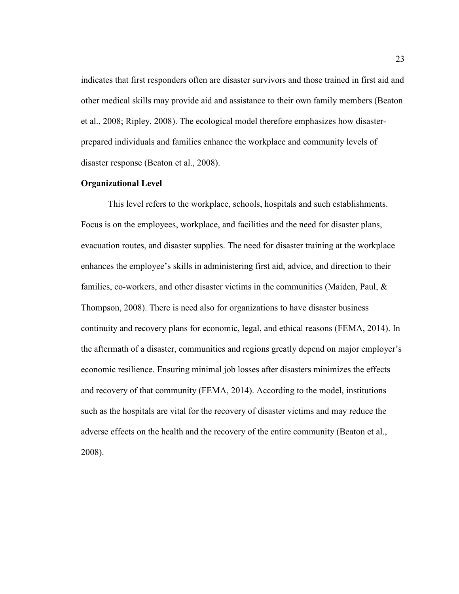indicates that first responders often are disaster survivors and those trained in first aid and other medical skills may provide aid and assistance to their own family members (Beaton et al., 2008; Ripley, 2008). The ecological model therefore emphasizes how disasterprepared individuals and families enhance the workplace and community levels of disaster response (Beaton et al., 2008).

#### **Organizational Level**

This level refers to the workplace, schools, hospitals and such establishments. Focus is on the employees, workplace, and facilities and the need for disaster plans, evacuation routes, and disaster supplies. The need for disaster training at the workplace enhances the employee's skills in administering first aid, advice, and direction to their families, co-workers, and other disaster victims in the communities (Maiden, Paul, & Thompson, 2008). There is need also for organizations to have disaster business continuity and recovery plans for economic, legal, and ethical reasons (FEMA, 2014). In the aftermath of a disaster, communities and regions greatly depend on major employer's economic resilience. Ensuring minimal job losses after disasters minimizes the effects and recovery of that community (FEMA, 2014). According to the model, institutions such as the hospitals are vital for the recovery of disaster victims and may reduce the adverse effects on the health and the recovery of the entire community (Beaton et al., 2008).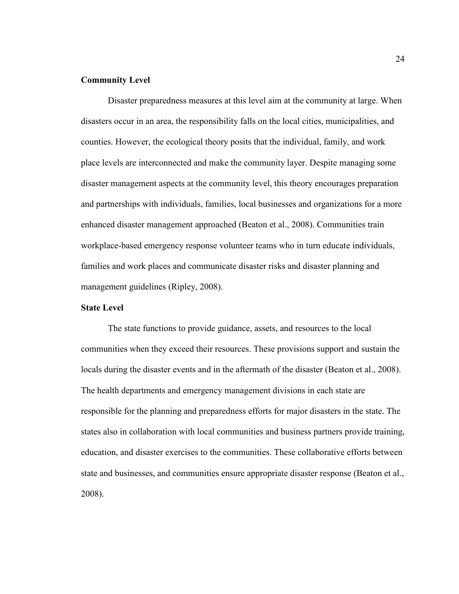### **Community Level**

Disaster preparedness measures at this level aim at the community at large. When disasters occur in an area, the responsibility falls on the local cities, municipalities, and counties. However, the ecological theory posits that the individual, family, and work place levels are interconnected and make the community layer. Despite managing some disaster management aspects at the community level, this theory encourages preparation and partnerships with individuals, families, local businesses and organizations for a more enhanced disaster management approached (Beaton et al., 2008). Communities train workplace-based emergency response volunteer teams who in turn educate individuals, families and work places and communicate disaster risks and disaster planning and management guidelines (Ripley, 2008).

# **State Level**

The state functions to provide guidance, assets, and resources to the local communities when they exceed their resources. These provisions support and sustain the locals during the disaster events and in the aftermath of the disaster (Beaton et al., 2008). The health departments and emergency management divisions in each state are responsible for the planning and preparedness efforts for major disasters in the state. The states also in collaboration with local communities and business partners provide training, education, and disaster exercises to the communities. These collaborative efforts between state and businesses, and communities ensure appropriate disaster response (Beaton et al., 2008).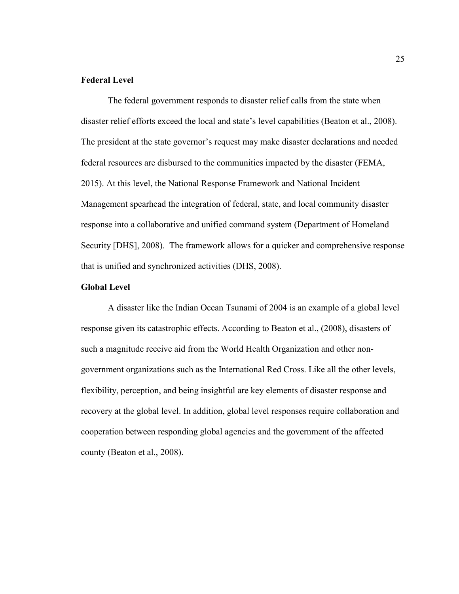# **Federal Level**

The federal government responds to disaster relief calls from the state when disaster relief efforts exceed the local and state's level capabilities (Beaton et al., 2008). The president at the state governor's request may make disaster declarations and needed federal resources are disbursed to the communities impacted by the disaster (FEMA, 2015). At this level, the National Response Framework and National Incident Management spearhead the integration of federal, state, and local community disaster response into a collaborative and unified command system (Department of Homeland Security [DHS], 2008). The framework allows for a quicker and comprehensive response that is unified and synchronized activities (DHS, 2008).

# **Global Level**

A disaster like the Indian Ocean Tsunami of 2004 is an example of a global level response given its catastrophic effects. According to Beaton et al., (2008), disasters of such a magnitude receive aid from the World Health Organization and other nongovernment organizations such as the International Red Cross. Like all the other levels, flexibility, perception, and being insightful are key elements of disaster response and recovery at the global level. In addition, global level responses require collaboration and cooperation between responding global agencies and the government of the affected county (Beaton et al., 2008).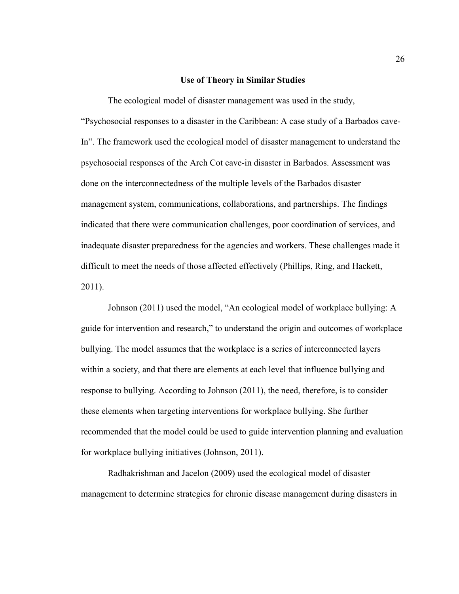#### **Use of Theory in Similar Studies**

The ecological model of disaster management was used in the study, "Psychosocial responses to a disaster in the Caribbean: A case study of a Barbados cave-In". The framework used the ecological model of disaster management to understand the psychosocial responses of the Arch Cot cave-in disaster in Barbados. Assessment was done on the interconnectedness of the multiple levels of the Barbados disaster management system, communications, collaborations, and partnerships. The findings indicated that there were communication challenges, poor coordination of services, and inadequate disaster preparedness for the agencies and workers. These challenges made it difficult to meet the needs of those affected effectively (Phillips, Ring, and Hackett, 2011).

Johnson (2011) used the model, "An ecological model of workplace bullying: A guide for intervention and research," to understand the origin and outcomes of workplace bullying. The model assumes that the workplace is a series of interconnected layers within a society, and that there are elements at each level that influence bullying and response to bullying. According to Johnson (2011), the need, therefore, is to consider these elements when targeting interventions for workplace bullying. She further recommended that the model could be used to guide intervention planning and evaluation for workplace bullying initiatives (Johnson, 2011).

Radhakrishman and Jacelon (2009) used the ecological model of disaster management to determine strategies for chronic disease management during disasters in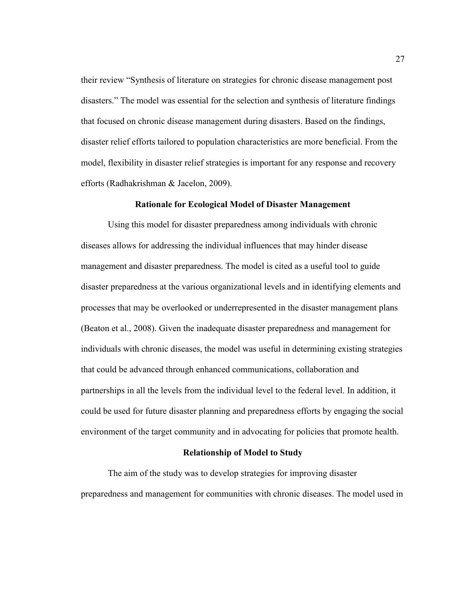their review "Synthesis of literature on strategies for chronic disease management post disasters." The model was essential for the selection and synthesis of literature findings that focused on chronic disease management during disasters. Based on the findings, disaster relief efforts tailored to population characteristics are more beneficial. From the model, flexibility in disaster relief strategies is important for any response and recovery efforts (Radhakrishman & Jacelon, 2009).

## **Rationale for Ecological Model of Disaster Management**

Using this model for disaster preparedness among individuals with chronic diseases allows for addressing the individual influences that may hinder disease management and disaster preparedness. The model is cited as a useful tool to guide disaster preparedness at the various organizational levels and in identifying elements and processes that may be overlooked or underrepresented in the disaster management plans (Beaton et al., 2008). Given the inadequate disaster preparedness and management for individuals with chronic diseases, the model was useful in determining existing strategies that could be advanced through enhanced communications, collaboration and partnerships in all the levels from the individual level to the federal level. In addition, it could be used for future disaster planning and preparedness efforts by engaging the social environment of the target community and in advocating for policies that promote health.

## **Relationship of Model to Study**

The aim of the study was to develop strategies for improving disaster preparedness and management for communities with chronic diseases. The model used in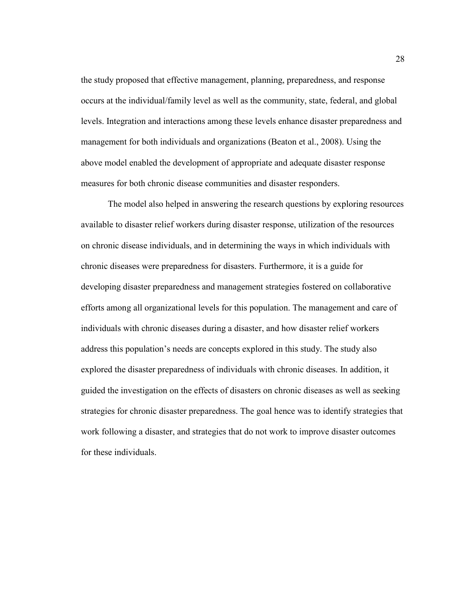the study proposed that effective management, planning, preparedness, and response occurs at the individual/family level as well as the community, state, federal, and global levels. Integration and interactions among these levels enhance disaster preparedness and management for both individuals and organizations (Beaton et al., 2008). Using the above model enabled the development of appropriate and adequate disaster response measures for both chronic disease communities and disaster responders.

The model also helped in answering the research questions by exploring resources available to disaster relief workers during disaster response, utilization of the resources on chronic disease individuals, and in determining the ways in which individuals with chronic diseases were preparedness for disasters. Furthermore, it is a guide for developing disaster preparedness and management strategies fostered on collaborative efforts among all organizational levels for this population. The management and care of individuals with chronic diseases during a disaster, and how disaster relief workers address this population's needs are concepts explored in this study. The study also explored the disaster preparedness of individuals with chronic diseases. In addition, it guided the investigation on the effects of disasters on chronic diseases as well as seeking strategies for chronic disaster preparedness. The goal hence was to identify strategies that work following a disaster, and strategies that do not work to improve disaster outcomes for these individuals.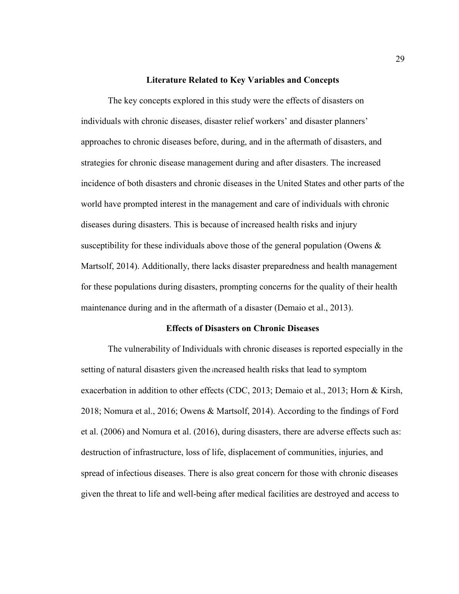#### **Literature Related to Key Variables and Concepts**

The key concepts explored in this study were the effects of disasters on individuals with chronic diseases, disaster relief workers' and disaster planners' approaches to chronic diseases before, during, and in the aftermath of disasters, and strategies for chronic disease management during and after disasters. The increased incidence of both disasters and chronic diseases in the United States and other parts of the world have prompted interest in the management and care of individuals with chronic diseases during disasters. This is because of increased health risks and injury susceptibility for these individuals above those of the general population (Owens  $\&$ Martsolf, 2014). Additionally, there lacks disaster preparedness and health management for these populations during disasters, prompting concerns for the quality of their health maintenance during and in the aftermath of a disaster (Demaio et al., 2013).

#### **Effects of Disasters on Chronic Diseases**

The vulnerability of Individuals with chronic diseases is reported especially in the setting of natural disasters given the increased health risks that lead to symptom exacerbation in addition to other effects (CDC, 2013; Demaio et al., 2013; Horn & Kirsh, 2018; Nomura et al., 2016; Owens & Martsolf, 2014). According to the findings of Ford et al. (2006) and Nomura et al. (2016), during disasters, there are adverse effects such as: destruction of infrastructure, loss of life, displacement of communities, injuries, and spread of infectious diseases. There is also great concern for those with chronic diseases given the threat to life and well-being after medical facilities are destroyed and access to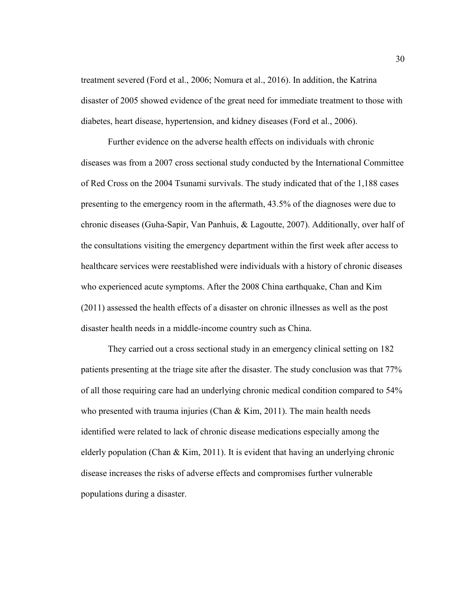treatment severed (Ford et al., 2006; Nomura et al., 2016). In addition, the Katrina disaster of 2005 showed evidence of the great need for immediate treatment to those with diabetes, heart disease, hypertension, and kidney diseases (Ford et al., 2006).

Further evidence on the adverse health effects on individuals with chronic diseases was from a 2007 cross sectional study conducted by the International Committee of Red Cross on the 2004 Tsunami survivals. The study indicated that of the 1,188 cases presenting to the emergency room in the aftermath, 43.5% of the diagnoses were due to chronic diseases (Guha-Sapir, Van Panhuis, & Lagoutte, 2007). Additionally, over half of the consultations visiting the emergency department within the first week after access to healthcare services were reestablished were individuals with a history of chronic diseases who experienced acute symptoms. After the 2008 China earthquake, Chan and Kim (2011) assessed the health effects of a disaster on chronic illnesses as well as the post disaster health needs in a middle-income country such as China.

They carried out a cross sectional study in an emergency clinical setting on 182 patients presenting at the triage site after the disaster. The study conclusion was that 77% of all those requiring care had an underlying chronic medical condition compared to 54% who presented with trauma injuries (Chan  $& Kim, 2011$ ). The main health needs identified were related to lack of chronic disease medications especially among the elderly population (Chan & Kim, 2011). It is evident that having an underlying chronic disease increases the risks of adverse effects and compromises further vulnerable populations during a disaster.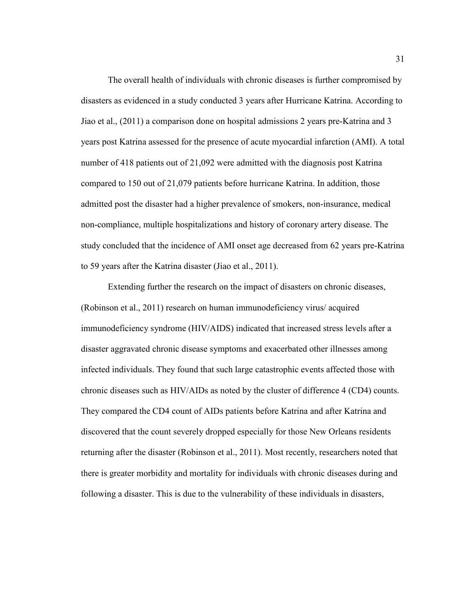The overall health of individuals with chronic diseases is further compromised by disasters as evidenced in a study conducted 3 years after Hurricane Katrina. According to Jiao et al., (2011) a comparison done on hospital admissions 2 years pre-Katrina and 3 years post Katrina assessed for the presence of acute myocardial infarction (AMI). A total number of 418 patients out of 21,092 were admitted with the diagnosis post Katrina compared to 150 out of 21,079 patients before hurricane Katrina. In addition, those admitted post the disaster had a higher prevalence of smokers, non-insurance, medical non-compliance, multiple hospitalizations and history of coronary artery disease. The study concluded that the incidence of AMI onset age decreased from 62 years pre-Katrina to 59 years after the Katrina disaster (Jiao et al., 2011).

Extending further the research on the impact of disasters on chronic diseases, (Robinson et al., 2011) research on human immunodeficiency virus/ acquired immunodeficiency syndrome (HIV/AIDS) indicated that increased stress levels after a disaster aggravated chronic disease symptoms and exacerbated other illnesses among infected individuals. They found that such large catastrophic events affected those with chronic diseases such as HIV/AIDs as noted by the cluster of difference 4 (CD4) counts. They compared the CD4 count of AIDs patients before Katrina and after Katrina and discovered that the count severely dropped especially for those New Orleans residents returning after the disaster (Robinson et al., 2011). Most recently, researchers noted that there is greater morbidity and mortality for individuals with chronic diseases during and following a disaster. This is due to the vulnerability of these individuals in disasters,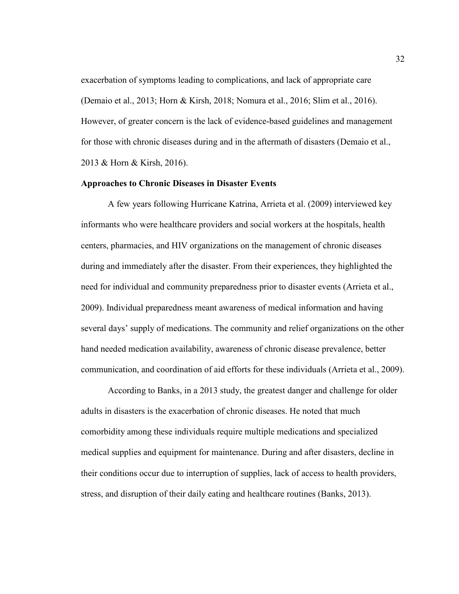exacerbation of symptoms leading to complications, and lack of appropriate care (Demaio et al., 2013; Horn & Kirsh, 2018; Nomura et al., 2016; Slim et al., 2016). However, of greater concern is the lack of evidence-based guidelines and management for those with chronic diseases during and in the aftermath of disasters (Demaio et al., 2013 & Horn & Kirsh, 2016).

## **Approaches to Chronic Diseases in Disaster Events**

A few years following Hurricane Katrina, Arrieta et al. (2009) interviewed key informants who were healthcare providers and social workers at the hospitals, health centers, pharmacies, and HIV organizations on the management of chronic diseases during and immediately after the disaster. From their experiences, they highlighted the need for individual and community preparedness prior to disaster events (Arrieta et al., 2009). Individual preparedness meant awareness of medical information and having several days' supply of medications. The community and relief organizations on the other hand needed medication availability, awareness of chronic disease prevalence, better communication, and coordination of aid efforts for these individuals (Arrieta et al., 2009).

According to Banks, in a 2013 study, the greatest danger and challenge for older adults in disasters is the exacerbation of chronic diseases. He noted that much comorbidity among these individuals require multiple medications and specialized medical supplies and equipment for maintenance. During and after disasters, decline in their conditions occur due to interruption of supplies, lack of access to health providers, stress, and disruption of their daily eating and healthcare routines (Banks, 2013).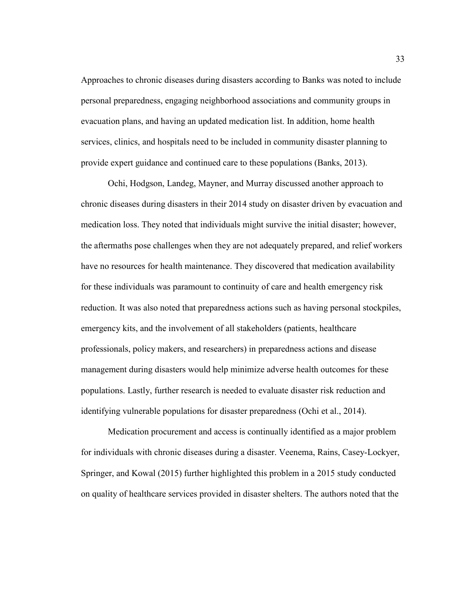Approaches to chronic diseases during disasters according to Banks was noted to include personal preparedness, engaging neighborhood associations and community groups in evacuation plans, and having an updated medication list. In addition, home health services, clinics, and hospitals need to be included in community disaster planning to provide expert guidance and continued care to these populations (Banks, 2013).

Ochi, Hodgson, Landeg, Mayner, and Murray discussed another approach to chronic diseases during disasters in their 2014 study on disaster driven by evacuation and medication loss. They noted that individuals might survive the initial disaster; however, the aftermaths pose challenges when they are not adequately prepared, and relief workers have no resources for health maintenance. They discovered that medication availability for these individuals was paramount to continuity of care and health emergency risk reduction. It was also noted that preparedness actions such as having personal stockpiles, emergency kits, and the involvement of all stakeholders (patients, healthcare professionals, policy makers, and researchers) in preparedness actions and disease management during disasters would help minimize adverse health outcomes for these populations. Lastly, further research is needed to evaluate disaster risk reduction and identifying vulnerable populations for disaster preparedness (Ochi et al., 2014).

Medication procurement and access is continually identified as a major problem for individuals with chronic diseases during a disaster. Veenema, Rains, Casey-Lockyer, Springer, and Kowal (2015) further highlighted this problem in a 2015 study conducted on quality of healthcare services provided in disaster shelters. The authors noted that the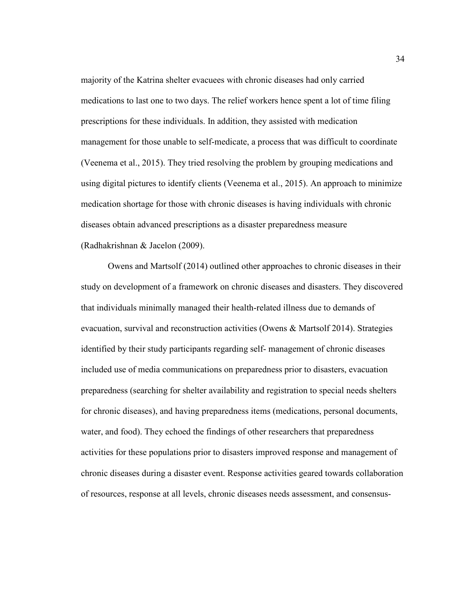majority of the Katrina shelter evacuees with chronic diseases had only carried medications to last one to two days. The relief workers hence spent a lot of time filing prescriptions for these individuals. In addition, they assisted with medication management for those unable to self-medicate, a process that was difficult to coordinate (Veenema et al., 2015). They tried resolving the problem by grouping medications and using digital pictures to identify clients (Veenema et al., 2015). An approach to minimize medication shortage for those with chronic diseases is having individuals with chronic diseases obtain advanced prescriptions as a disaster preparedness measure (Radhakrishnan & Jacelon (2009).

Owens and Martsolf (2014) outlined other approaches to chronic diseases in their study on development of a framework on chronic diseases and disasters. They discovered that individuals minimally managed their health-related illness due to demands of evacuation, survival and reconstruction activities (Owens & Martsolf 2014). Strategies identified by their study participants regarding self- management of chronic diseases included use of media communications on preparedness prior to disasters, evacuation preparedness (searching for shelter availability and registration to special needs shelters for chronic diseases), and having preparedness items (medications, personal documents, water, and food). They echoed the findings of other researchers that preparedness activities for these populations prior to disasters improved response and management of chronic diseases during a disaster event. Response activities geared towards collaboration of resources, response at all levels, chronic diseases needs assessment, and consensus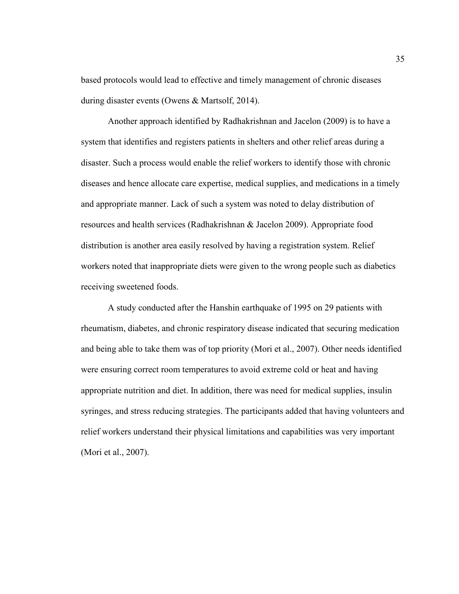based protocols would lead to effective and timely management of chronic diseases during disaster events (Owens & Martsolf, 2014).

Another approach identified by Radhakrishnan and Jacelon (2009) is to have a system that identifies and registers patients in shelters and other relief areas during a disaster. Such a process would enable the relief workers to identify those with chronic diseases and hence allocate care expertise, medical supplies, and medications in a timely and appropriate manner. Lack of such a system was noted to delay distribution of resources and health services (Radhakrishnan & Jacelon 2009). Appropriate food distribution is another area easily resolved by having a registration system. Relief workers noted that inappropriate diets were given to the wrong people such as diabetics receiving sweetened foods.

A study conducted after the Hanshin earthquake of 1995 on 29 patients with rheumatism, diabetes, and chronic respiratory disease indicated that securing medication and being able to take them was of top priority (Mori et al., 2007). Other needs identified were ensuring correct room temperatures to avoid extreme cold or heat and having appropriate nutrition and diet. In addition, there was need for medical supplies, insulin syringes, and stress reducing strategies. The participants added that having volunteers and relief workers understand their physical limitations and capabilities was very important (Mori et al., 2007).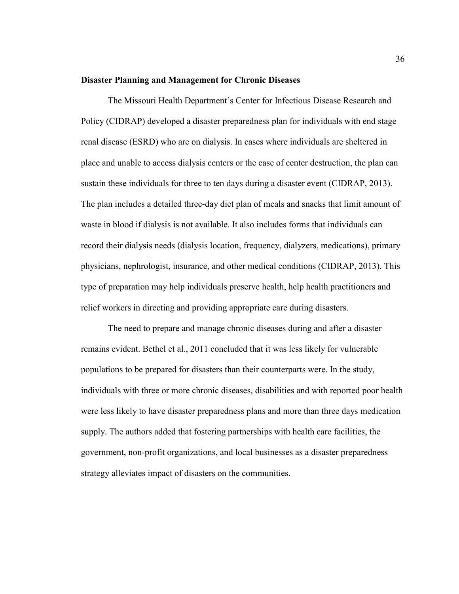#### **Disaster Planning and Management for Chronic Diseases**

The Missouri Health Department's Center for Infectious Disease Research and Policy (CIDRAP) developed a disaster preparedness plan for individuals with end stage renal disease (ESRD) who are on dialysis. In cases where individuals are sheltered in place and unable to access dialysis centers or the case of center destruction, the plan can sustain these individuals for three to ten days during a disaster event (CIDRAP, 2013). The plan includes a detailed three-day diet plan of meals and snacks that limit amount of waste in blood if dialysis is not available. It also includes forms that individuals can record their dialysis needs (dialysis location, frequency, dialyzers, medications), primary physicians, nephrologist, insurance, and other medical conditions (CIDRAP, 2013). This type of preparation may help individuals preserve health, help health practitioners and relief workers in directing and providing appropriate care during disasters.

The need to prepare and manage chronic diseases during and after a disaster remains evident. Bethel et al., 2011 concluded that it was less likely for vulnerable populations to be prepared for disasters than their counterparts were. In the study, individuals with three or more chronic diseases, disabilities and with reported poor health were less likely to have disaster preparedness plans and more than three days medication supply. The authors added that fostering partnerships with health care facilities, the government, non-profit organizations, and local businesses as a disaster preparedness strategy alleviates impact of disasters on the communities.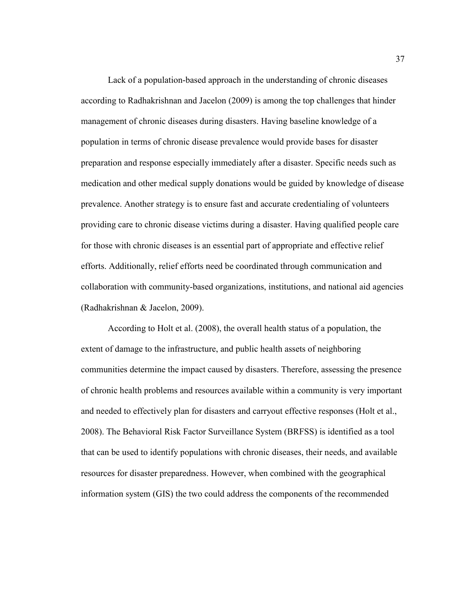Lack of a population-based approach in the understanding of chronic diseases according to Radhakrishnan and Jacelon (2009) is among the top challenges that hinder management of chronic diseases during disasters. Having baseline knowledge of a population in terms of chronic disease prevalence would provide bases for disaster preparation and response especially immediately after a disaster. Specific needs such as medication and other medical supply donations would be guided by knowledge of disease prevalence. Another strategy is to ensure fast and accurate credentialing of volunteers providing care to chronic disease victims during a disaster. Having qualified people care for those with chronic diseases is an essential part of appropriate and effective relief efforts. Additionally, relief efforts need be coordinated through communication and collaboration with community-based organizations, institutions, and national aid agencies (Radhakrishnan & Jacelon, 2009).

According to Holt et al. (2008), the overall health status of a population, the extent of damage to the infrastructure, and public health assets of neighboring communities determine the impact caused by disasters. Therefore, assessing the presence of chronic health problems and resources available within a community is very important and needed to effectively plan for disasters and carryout effective responses (Holt et al., 2008). The Behavioral Risk Factor Surveillance System (BRFSS) is identified as a tool that can be used to identify populations with chronic diseases, their needs, and available resources for disaster preparedness. However, when combined with the geographical information system (GIS) the two could address the components of the recommended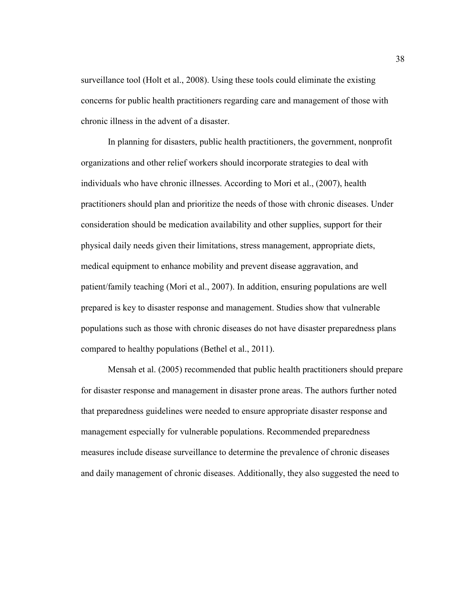surveillance tool (Holt et al., 2008). Using these tools could eliminate the existing concerns for public health practitioners regarding care and management of those with chronic illness in the advent of a disaster.

In planning for disasters, public health practitioners, the government, nonprofit organizations and other relief workers should incorporate strategies to deal with individuals who have chronic illnesses. According to Mori et al., (2007), health practitioners should plan and prioritize the needs of those with chronic diseases. Under consideration should be medication availability and other supplies, support for their physical daily needs given their limitations, stress management, appropriate diets, medical equipment to enhance mobility and prevent disease aggravation, and patient/family teaching (Mori et al., 2007). In addition, ensuring populations are well prepared is key to disaster response and management. Studies show that vulnerable populations such as those with chronic diseases do not have disaster preparedness plans compared to healthy populations (Bethel et al., 2011).

Mensah et al. (2005) recommended that public health practitioners should prepare for disaster response and management in disaster prone areas. The authors further noted that preparedness guidelines were needed to ensure appropriate disaster response and management especially for vulnerable populations. Recommended preparedness measures include disease surveillance to determine the prevalence of chronic diseases and daily management of chronic diseases. Additionally, they also suggested the need to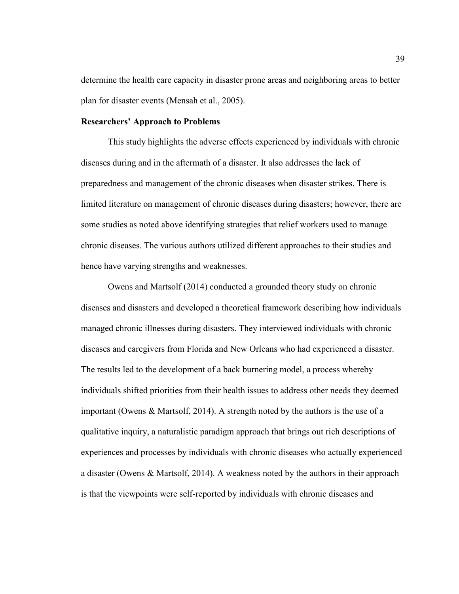determine the health care capacity in disaster prone areas and neighboring areas to better plan for disaster events (Mensah et al., 2005).

## **Researchers' Approach to Problems**

This study highlights the adverse effects experienced by individuals with chronic diseases during and in the aftermath of a disaster. It also addresses the lack of preparedness and management of the chronic diseases when disaster strikes. There is limited literature on management of chronic diseases during disasters; however, there are some studies as noted above identifying strategies that relief workers used to manage chronic diseases. The various authors utilized different approaches to their studies and hence have varying strengths and weaknesses.

Owens and Martsolf (2014) conducted a grounded theory study on chronic diseases and disasters and developed a theoretical framework describing how individuals managed chronic illnesses during disasters. They interviewed individuals with chronic diseases and caregivers from Florida and New Orleans who had experienced a disaster. The results led to the development of a back burnering model, a process whereby individuals shifted priorities from their health issues to address other needs they deemed important (Owens & Martsolf, 2014). A strength noted by the authors is the use of a qualitative inquiry, a naturalistic paradigm approach that brings out rich descriptions of experiences and processes by individuals with chronic diseases who actually experienced a disaster (Owens & Martsolf, 2014). A weakness noted by the authors in their approach is that the viewpoints were self-reported by individuals with chronic diseases and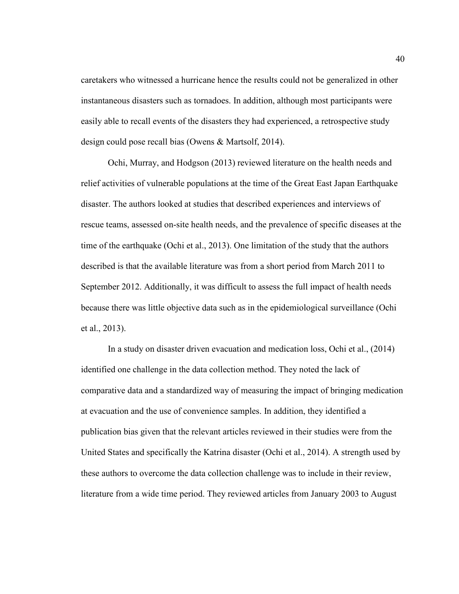caretakers who witnessed a hurricane hence the results could not be generalized in other instantaneous disasters such as tornadoes. In addition, although most participants were easily able to recall events of the disasters they had experienced, a retrospective study design could pose recall bias (Owens & Martsolf, 2014).

Ochi, Murray, and Hodgson (2013) reviewed literature on the health needs and relief activities of vulnerable populations at the time of the Great East Japan Earthquake disaster. The authors looked at studies that described experiences and interviews of rescue teams, assessed on-site health needs, and the prevalence of specific diseases at the time of the earthquake (Ochi et al., 2013). One limitation of the study that the authors described is that the available literature was from a short period from March 2011 to September 2012. Additionally, it was difficult to assess the full impact of health needs because there was little objective data such as in the epidemiological surveillance (Ochi et al., 2013).

In a study on disaster driven evacuation and medication loss, Ochi et al., (2014) identified one challenge in the data collection method. They noted the lack of comparative data and a standardized way of measuring the impact of bringing medication at evacuation and the use of convenience samples. In addition, they identified a publication bias given that the relevant articles reviewed in their studies were from the United States and specifically the Katrina disaster (Ochi et al., 2014). A strength used by these authors to overcome the data collection challenge was to include in their review, literature from a wide time period. They reviewed articles from January 2003 to August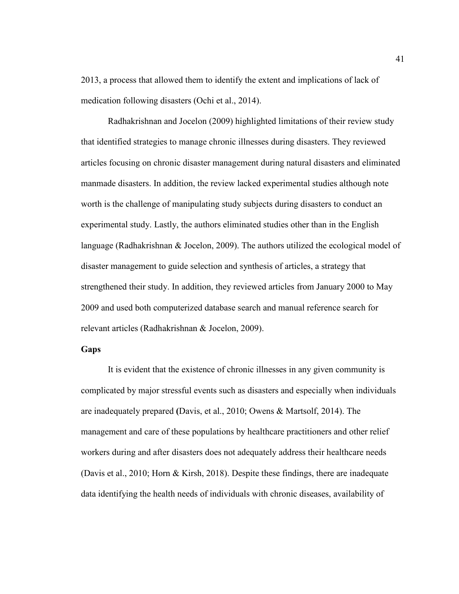2013, a process that allowed them to identify the extent and implications of lack of medication following disasters (Ochi et al., 2014).

Radhakrishnan and Jocelon (2009) highlighted limitations of their review study that identified strategies to manage chronic illnesses during disasters. They reviewed articles focusing on chronic disaster management during natural disasters and eliminated manmade disasters. In addition, the review lacked experimental studies although note worth is the challenge of manipulating study subjects during disasters to conduct an experimental study. Lastly, the authors eliminated studies other than in the English language (Radhakrishnan & Jocelon, 2009). The authors utilized the ecological model of disaster management to guide selection and synthesis of articles, a strategy that strengthened their study. In addition, they reviewed articles from January 2000 to May 2009 and used both computerized database search and manual reference search for relevant articles (Radhakrishnan & Jocelon, 2009).

# **Gaps**

It is evident that the existence of chronic illnesses in any given community is complicated by major stressful events such as disasters and especially when individuals are inadequately prepared **(**Davis, et al., 2010; Owens & Martsolf, 2014). The management and care of these populations by healthcare practitioners and other relief workers during and after disasters does not adequately address their healthcare needs (Davis et al., 2010; Horn & Kirsh, 2018). Despite these findings, there are inadequate data identifying the health needs of individuals with chronic diseases, availability of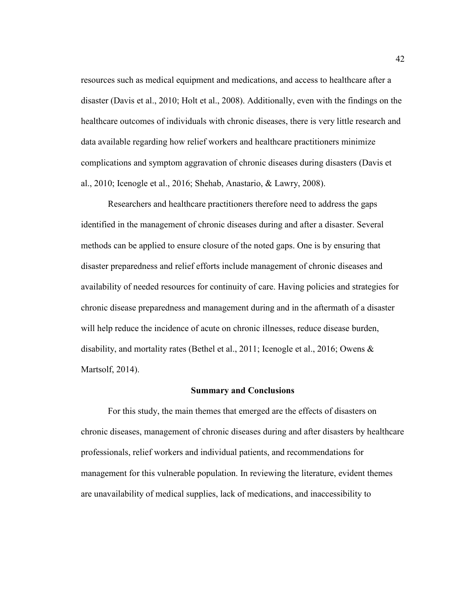resources such as medical equipment and medications, and access to healthcare after a disaster (Davis et al., 2010; Holt et al., 2008). Additionally, even with the findings on the healthcare outcomes of individuals with chronic diseases, there is very little research and data available regarding how relief workers and healthcare practitioners minimize complications and symptom aggravation of chronic diseases during disasters (Davis et al., 2010; Icenogle et al., 2016; Shehab, Anastario, & Lawry, 2008).

Researchers and healthcare practitioners therefore need to address the gaps identified in the management of chronic diseases during and after a disaster. Several methods can be applied to ensure closure of the noted gaps. One is by ensuring that disaster preparedness and relief efforts include management of chronic diseases and availability of needed resources for continuity of care. Having policies and strategies for chronic disease preparedness and management during and in the aftermath of a disaster will help reduce the incidence of acute on chronic illnesses, reduce disease burden, disability, and mortality rates (Bethel et al., 2011; Icenogle et al., 2016; Owens & Martsolf, 2014).

#### **Summary and Conclusions**

For this study, the main themes that emerged are the effects of disasters on chronic diseases, management of chronic diseases during and after disasters by healthcare professionals, relief workers and individual patients, and recommendations for management for this vulnerable population. In reviewing the literature, evident themes are unavailability of medical supplies, lack of medications, and inaccessibility to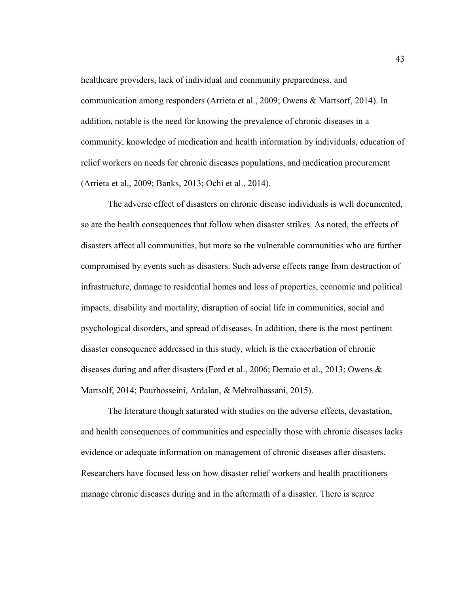healthcare providers, lack of individual and community preparedness, and communication among responders (Arrieta et al., 2009; Owens & Martsorf, 2014). In addition, notable is the need for knowing the prevalence of chronic diseases in a community, knowledge of medication and health information by individuals, education of relief workers on needs for chronic diseases populations, and medication procurement (Arrieta et al., 2009; Banks, 2013; Ochi et al., 2014).

The adverse effect of disasters on chronic disease individuals is well documented, so are the health consequences that follow when disaster strikes. As noted, the effects of disasters affect all communities, but more so the vulnerable communities who are further compromised by events such as disasters. Such adverse effects range from destruction of infrastructure, damage to residential homes and loss of properties, economic and political impacts, disability and mortality, disruption of social life in communities, social and psychological disorders, and spread of diseases. In addition, there is the most pertinent disaster consequence addressed in this study, which is the exacerbation of chronic diseases during and after disasters (Ford et al., 2006; Demaio et al., 2013; Owens & Martsolf, 2014; Pourhosseini, Ardalan, & Mehrolhassani, 2015).

The literature though saturated with studies on the adverse effects, devastation, and health consequences of communities and especially those with chronic diseases lacks evidence or adequate information on management of chronic diseases after disasters. Researchers have focused less on how disaster relief workers and health practitioners manage chronic diseases during and in the aftermath of a disaster. There is scarce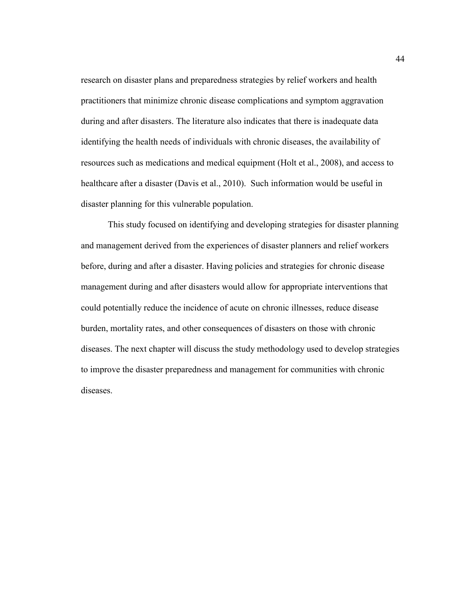research on disaster plans and preparedness strategies by relief workers and health practitioners that minimize chronic disease complications and symptom aggravation during and after disasters. The literature also indicates that there is inadequate data identifying the health needs of individuals with chronic diseases, the availability of resources such as medications and medical equipment (Holt et al., 2008), and access to healthcare after a disaster (Davis et al., 2010). Such information would be useful in disaster planning for this vulnerable population.

This study focused on identifying and developing strategies for disaster planning and management derived from the experiences of disaster planners and relief workers before, during and after a disaster. Having policies and strategies for chronic disease management during and after disasters would allow for appropriate interventions that could potentially reduce the incidence of acute on chronic illnesses, reduce disease burden, mortality rates, and other consequences of disasters on those with chronic diseases. The next chapter will discuss the study methodology used to develop strategies to improve the disaster preparedness and management for communities with chronic diseases.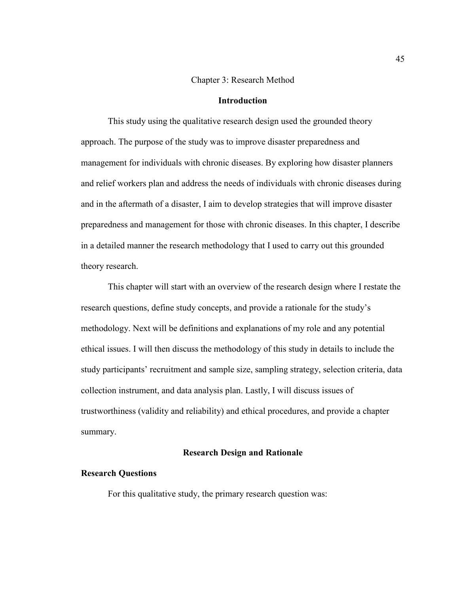## Chapter 3: Research Method

# **Introduction**

This study using the qualitative research design used the grounded theory approach. The purpose of the study was to improve disaster preparedness and management for individuals with chronic diseases. By exploring how disaster planners and relief workers plan and address the needs of individuals with chronic diseases during and in the aftermath of a disaster, I aim to develop strategies that will improve disaster preparedness and management for those with chronic diseases. In this chapter, I describe in a detailed manner the research methodology that I used to carry out this grounded theory research.

This chapter will start with an overview of the research design where I restate the research questions, define study concepts, and provide a rationale for the study's methodology. Next will be definitions and explanations of my role and any potential ethical issues. I will then discuss the methodology of this study in details to include the study participants' recruitment and sample size, sampling strategy, selection criteria, data collection instrument, and data analysis plan. Lastly, I will discuss issues of trustworthiness (validity and reliability) and ethical procedures, and provide a chapter summary.

# **Research Design and Rationale**

#### **Research Questions**

For this qualitative study, the primary research question was: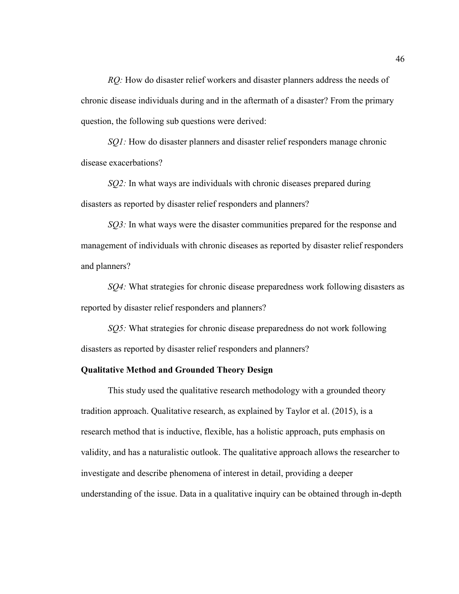*RQ:* How do disaster relief workers and disaster planners address the needs of chronic disease individuals during and in the aftermath of a disaster? From the primary question, the following sub questions were derived:

*SQ1:* How do disaster planners and disaster relief responders manage chronic disease exacerbations?

*SQ2:* In what ways are individuals with chronic diseases prepared during disasters as reported by disaster relief responders and planners?

*SQ3*: In what ways were the disaster communities prepared for the response and management of individuals with chronic diseases as reported by disaster relief responders and planners?

*SQ4:* What strategies for chronic disease preparedness work following disasters as reported by disaster relief responders and planners?

*SQ5:* What strategies for chronic disease preparedness do not work following disasters as reported by disaster relief responders and planners?

## **Qualitative Method and Grounded Theory Design**

This study used the qualitative research methodology with a grounded theory tradition approach. Qualitative research, as explained by Taylor et al. (2015), is a research method that is inductive, flexible, has a holistic approach, puts emphasis on validity, and has a naturalistic outlook. The qualitative approach allows the researcher to investigate and describe phenomena of interest in detail, providing a deeper understanding of the issue. Data in a qualitative inquiry can be obtained through in-depth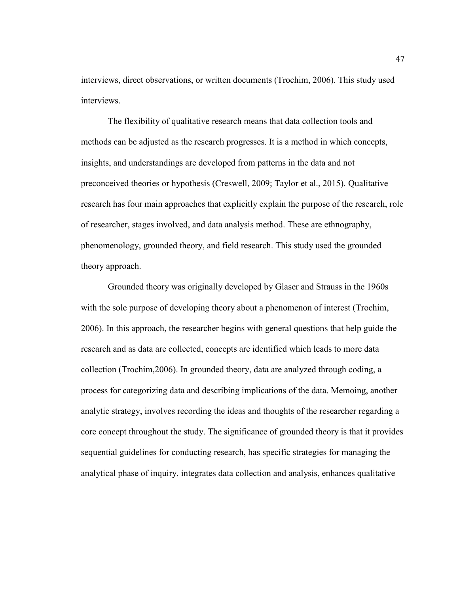interviews, direct observations, or written documents (Trochim, 2006). This study used interviews.

The flexibility of qualitative research means that data collection tools and methods can be adjusted as the research progresses. It is a method in which concepts, insights, and understandings are developed from patterns in the data and not preconceived theories or hypothesis (Creswell, 2009; Taylor et al., 2015). Qualitative research has four main approaches that explicitly explain the purpose of the research, role of researcher, stages involved, and data analysis method. These are ethnography, phenomenology, grounded theory, and field research. This study used the grounded theory approach.

Grounded theory was originally developed by Glaser and Strauss in the 1960s with the sole purpose of developing theory about a phenomenon of interest (Trochim, 2006). In this approach, the researcher begins with general questions that help guide the research and as data are collected, concepts are identified which leads to more data collection (Trochim,2006). In grounded theory, data are analyzed through coding, a process for categorizing data and describing implications of the data. Memoing, another analytic strategy, involves recording the ideas and thoughts of the researcher regarding a core concept throughout the study. The significance of grounded theory is that it provides sequential guidelines for conducting research, has specific strategies for managing the analytical phase of inquiry, integrates data collection and analysis, enhances qualitative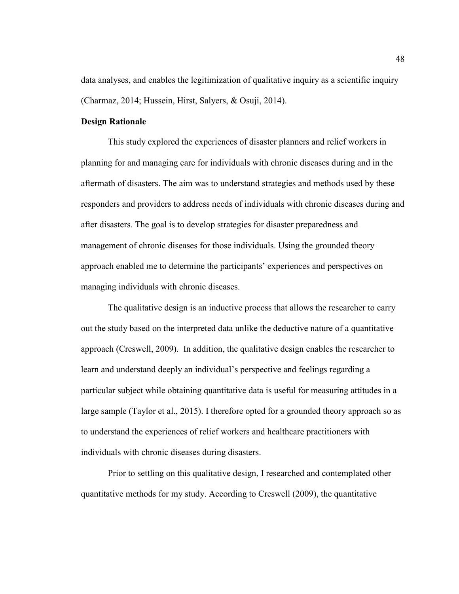data analyses, and enables the legitimization of qualitative inquiry as a scientific inquiry (Charmaz, 2014; Hussein, Hirst, Salyers, & Osuji, 2014).

# **Design Rationale**

This study explored the experiences of disaster planners and relief workers in planning for and managing care for individuals with chronic diseases during and in the aftermath of disasters. The aim was to understand strategies and methods used by these responders and providers to address needs of individuals with chronic diseases during and after disasters. The goal is to develop strategies for disaster preparedness and management of chronic diseases for those individuals. Using the grounded theory approach enabled me to determine the participants' experiences and perspectives on managing individuals with chronic diseases.

The qualitative design is an inductive process that allows the researcher to carry out the study based on the interpreted data unlike the deductive nature of a quantitative approach (Creswell, 2009). In addition, the qualitative design enables the researcher to learn and understand deeply an individual's perspective and feelings regarding a particular subject while obtaining quantitative data is useful for measuring attitudes in a large sample (Taylor et al., 2015). I therefore opted for a grounded theory approach so as to understand the experiences of relief workers and healthcare practitioners with individuals with chronic diseases during disasters.

Prior to settling on this qualitative design, I researched and contemplated other quantitative methods for my study. According to Creswell (2009), the quantitative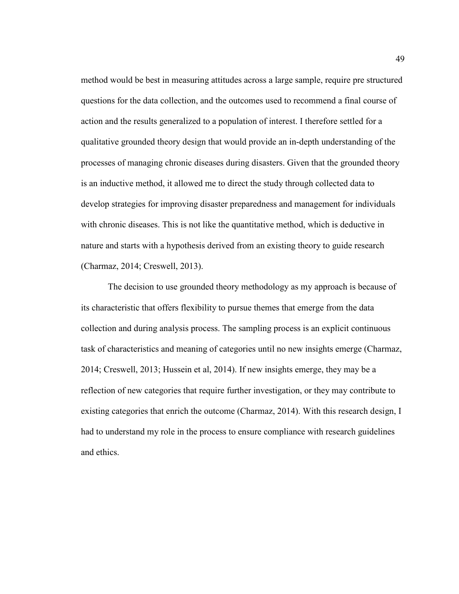method would be best in measuring attitudes across a large sample, require pre structured questions for the data collection, and the outcomes used to recommend a final course of action and the results generalized to a population of interest. I therefore settled for a qualitative grounded theory design that would provide an in-depth understanding of the processes of managing chronic diseases during disasters. Given that the grounded theory is an inductive method, it allowed me to direct the study through collected data to develop strategies for improving disaster preparedness and management for individuals with chronic diseases. This is not like the quantitative method, which is deductive in nature and starts with a hypothesis derived from an existing theory to guide research (Charmaz, 2014; Creswell, 2013).

The decision to use grounded theory methodology as my approach is because of its characteristic that offers flexibility to pursue themes that emerge from the data collection and during analysis process. The sampling process is an explicit continuous task of characteristics and meaning of categories until no new insights emerge (Charmaz, 2014; Creswell, 2013; Hussein et al, 2014). If new insights emerge, they may be a reflection of new categories that require further investigation, or they may contribute to existing categories that enrich the outcome (Charmaz, 2014). With this research design, I had to understand my role in the process to ensure compliance with research guidelines and ethics.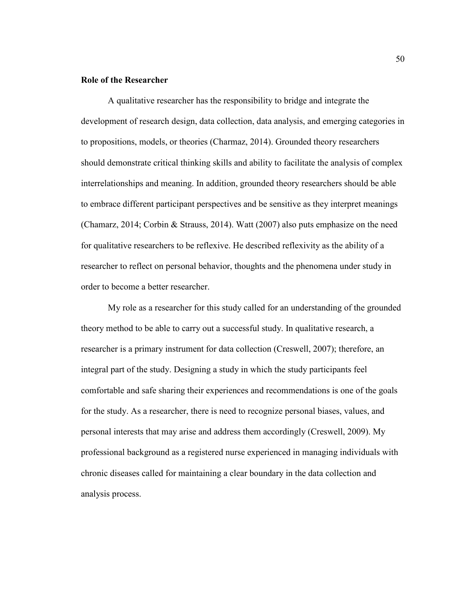# **Role of the Researcher**

A qualitative researcher has the responsibility to bridge and integrate the development of research design, data collection, data analysis, and emerging categories in to propositions, models, or theories (Charmaz, 2014). Grounded theory researchers should demonstrate critical thinking skills and ability to facilitate the analysis of complex interrelationships and meaning. In addition, grounded theory researchers should be able to embrace different participant perspectives and be sensitive as they interpret meanings (Chamarz, 2014; Corbin & Strauss, 2014). Watt (2007) also puts emphasize on the need for qualitative researchers to be reflexive. He described reflexivity as the ability of a researcher to reflect on personal behavior, thoughts and the phenomena under study in order to become a better researcher.

My role as a researcher for this study called for an understanding of the grounded theory method to be able to carry out a successful study. In qualitative research, a researcher is a primary instrument for data collection (Creswell, 2007); therefore, an integral part of the study. Designing a study in which the study participants feel comfortable and safe sharing their experiences and recommendations is one of the goals for the study. As a researcher, there is need to recognize personal biases, values, and personal interests that may arise and address them accordingly (Creswell, 2009). My professional background as a registered nurse experienced in managing individuals with chronic diseases called for maintaining a clear boundary in the data collection and analysis process.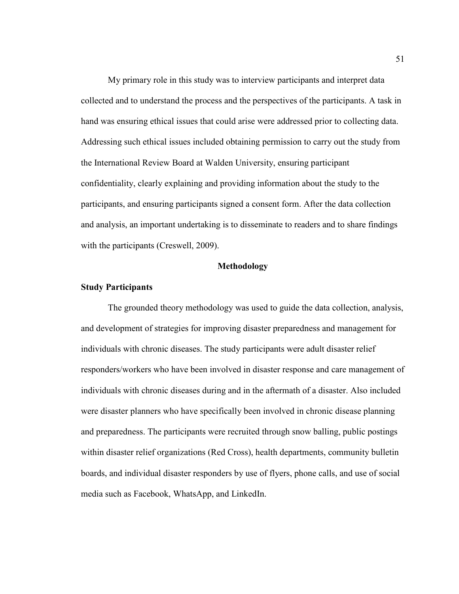My primary role in this study was to interview participants and interpret data collected and to understand the process and the perspectives of the participants. A task in hand was ensuring ethical issues that could arise were addressed prior to collecting data. Addressing such ethical issues included obtaining permission to carry out the study from the International Review Board at Walden University, ensuring participant confidentiality, clearly explaining and providing information about the study to the participants, and ensuring participants signed a consent form. After the data collection and analysis, an important undertaking is to disseminate to readers and to share findings with the participants (Creswell, 2009).

#### **Methodology**

#### **Study Participants**

The grounded theory methodology was used to guide the data collection, analysis, and development of strategies for improving disaster preparedness and management for individuals with chronic diseases. The study participants were adult disaster relief responders/workers who have been involved in disaster response and care management of individuals with chronic diseases during and in the aftermath of a disaster. Also included were disaster planners who have specifically been involved in chronic disease planning and preparedness. The participants were recruited through snow balling, public postings within disaster relief organizations (Red Cross), health departments, community bulletin boards, and individual disaster responders by use of flyers, phone calls, and use of social media such as Facebook, WhatsApp, and LinkedIn.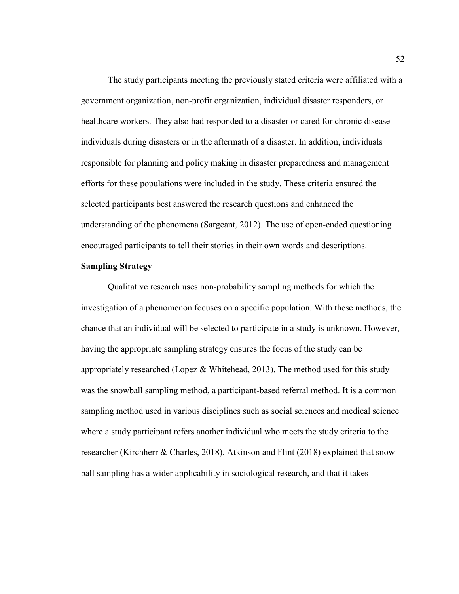The study participants meeting the previously stated criteria were affiliated with a government organization, non-profit organization, individual disaster responders, or healthcare workers. They also had responded to a disaster or cared for chronic disease individuals during disasters or in the aftermath of a disaster. In addition, individuals responsible for planning and policy making in disaster preparedness and management efforts for these populations were included in the study. These criteria ensured the selected participants best answered the research questions and enhanced the understanding of the phenomena (Sargeant, 2012). The use of open-ended questioning encouraged participants to tell their stories in their own words and descriptions.

# **Sampling Strategy**

Qualitative research uses non-probability sampling methods for which the investigation of a phenomenon focuses on a specific population. With these methods, the chance that an individual will be selected to participate in a study is unknown. However, having the appropriate sampling strategy ensures the focus of the study can be appropriately researched (Lopez  $&$  Whitehead, 2013). The method used for this study was the snowball sampling method, a participant-based referral method. It is a common sampling method used in various disciplines such as social sciences and medical science where a study participant refers another individual who meets the study criteria to the researcher (Kirchherr & Charles, 2018). Atkinson and Flint (2018) explained that snow ball sampling has a wider applicability in sociological research, and that it takes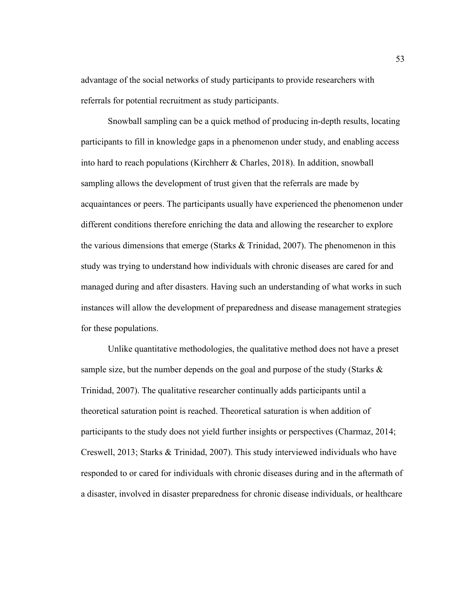advantage of the social networks of study participants to provide researchers with referrals for potential recruitment as study participants.

Snowball sampling can be a quick method of producing in-depth results, locating participants to fill in knowledge gaps in a phenomenon under study, and enabling access into hard to reach populations (Kirchherr & Charles, 2018). In addition, snowball sampling allows the development of trust given that the referrals are made by acquaintances or peers. The participants usually have experienced the phenomenon under different conditions therefore enriching the data and allowing the researcher to explore the various dimensions that emerge (Starks  $&$  Trinidad, 2007). The phenomenon in this study was trying to understand how individuals with chronic diseases are cared for and managed during and after disasters. Having such an understanding of what works in such instances will allow the development of preparedness and disease management strategies for these populations.

Unlike quantitative methodologies, the qualitative method does not have a preset sample size, but the number depends on the goal and purpose of the study (Starks  $\&$ Trinidad, 2007). The qualitative researcher continually adds participants until a theoretical saturation point is reached. Theoretical saturation is when addition of participants to the study does not yield further insights or perspectives (Charmaz, 2014; Creswell, 2013; Starks & Trinidad, 2007). This study interviewed individuals who have responded to or cared for individuals with chronic diseases during and in the aftermath of a disaster, involved in disaster preparedness for chronic disease individuals, or healthcare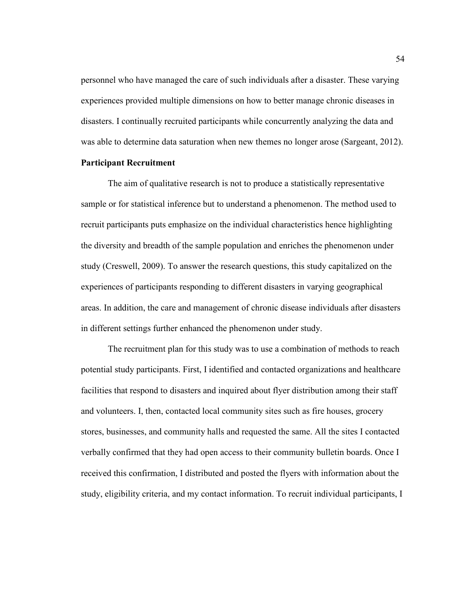personnel who have managed the care of such individuals after a disaster. These varying experiences provided multiple dimensions on how to better manage chronic diseases in disasters. I continually recruited participants while concurrently analyzing the data and was able to determine data saturation when new themes no longer arose (Sargeant, 2012).

# **Participant Recruitment**

The aim of qualitative research is not to produce a statistically representative sample or for statistical inference but to understand a phenomenon. The method used to recruit participants puts emphasize on the individual characteristics hence highlighting the diversity and breadth of the sample population and enriches the phenomenon under study (Creswell, 2009). To answer the research questions, this study capitalized on the experiences of participants responding to different disasters in varying geographical areas. In addition, the care and management of chronic disease individuals after disasters in different settings further enhanced the phenomenon under study.

The recruitment plan for this study was to use a combination of methods to reach potential study participants. First, I identified and contacted organizations and healthcare facilities that respond to disasters and inquired about flyer distribution among their staff and volunteers. I, then, contacted local community sites such as fire houses, grocery stores, businesses, and community halls and requested the same. All the sites I contacted verbally confirmed that they had open access to their community bulletin boards. Once I received this confirmation, I distributed and posted the flyers with information about the study, eligibility criteria, and my contact information. To recruit individual participants, I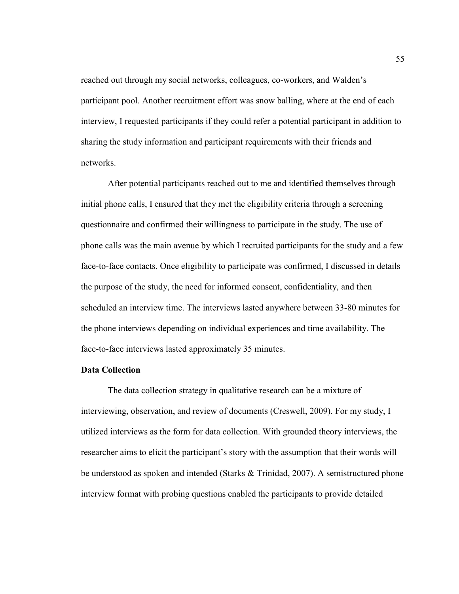reached out through my social networks, colleagues, co-workers, and Walden's participant pool. Another recruitment effort was snow balling, where at the end of each interview, I requested participants if they could refer a potential participant in addition to sharing the study information and participant requirements with their friends and networks.

After potential participants reached out to me and identified themselves through initial phone calls, I ensured that they met the eligibility criteria through a screening questionnaire and confirmed their willingness to participate in the study. The use of phone calls was the main avenue by which I recruited participants for the study and a few face-to-face contacts. Once eligibility to participate was confirmed, I discussed in details the purpose of the study, the need for informed consent, confidentiality, and then scheduled an interview time. The interviews lasted anywhere between 33-80 minutes for the phone interviews depending on individual experiences and time availability. The face-to-face interviews lasted approximately 35 minutes.

# **Data Collection**

The data collection strategy in qualitative research can be a mixture of interviewing, observation, and review of documents (Creswell, 2009). For my study, I utilized interviews as the form for data collection. With grounded theory interviews, the researcher aims to elicit the participant's story with the assumption that their words will be understood as spoken and intended (Starks & Trinidad, 2007). A semistructured phone interview format with probing questions enabled the participants to provide detailed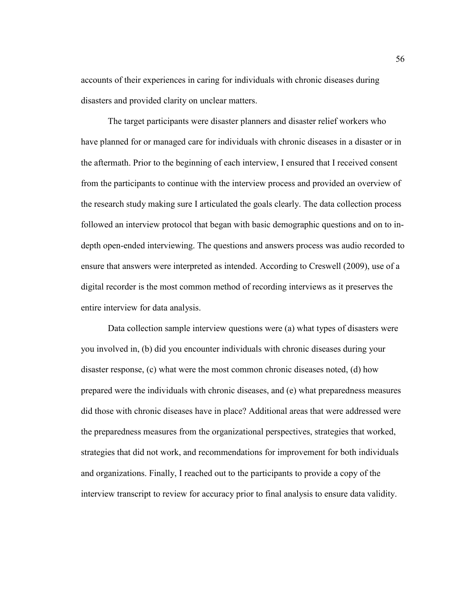accounts of their experiences in caring for individuals with chronic diseases during disasters and provided clarity on unclear matters.

The target participants were disaster planners and disaster relief workers who have planned for or managed care for individuals with chronic diseases in a disaster or in the aftermath. Prior to the beginning of each interview, I ensured that I received consent from the participants to continue with the interview process and provided an overview of the research study making sure I articulated the goals clearly. The data collection process followed an interview protocol that began with basic demographic questions and on to indepth open-ended interviewing. The questions and answers process was audio recorded to ensure that answers were interpreted as intended. According to Creswell (2009), use of a digital recorder is the most common method of recording interviews as it preserves the entire interview for data analysis.

Data collection sample interview questions were (a) what types of disasters were you involved in, (b) did you encounter individuals with chronic diseases during your disaster response, (c) what were the most common chronic diseases noted, (d) how prepared were the individuals with chronic diseases, and (e) what preparedness measures did those with chronic diseases have in place? Additional areas that were addressed were the preparedness measures from the organizational perspectives, strategies that worked, strategies that did not work, and recommendations for improvement for both individuals and organizations. Finally, I reached out to the participants to provide a copy of the interview transcript to review for accuracy prior to final analysis to ensure data validity.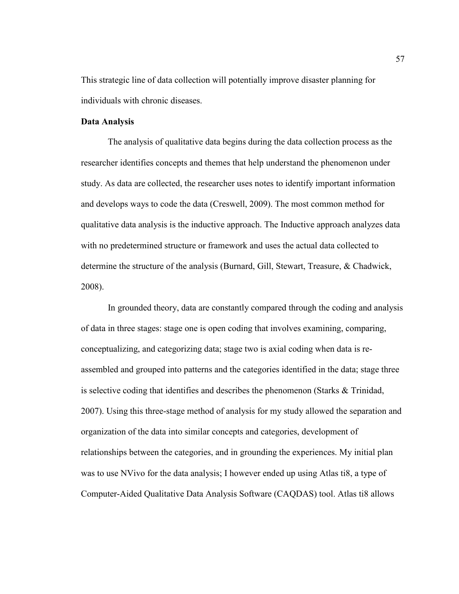This strategic line of data collection will potentially improve disaster planning for individuals with chronic diseases.

# **Data Analysis**

The analysis of qualitative data begins during the data collection process as the researcher identifies concepts and themes that help understand the phenomenon under study. As data are collected, the researcher uses notes to identify important information and develops ways to code the data (Creswell, 2009). The most common method for qualitative data analysis is the inductive approach. The Inductive approach analyzes data with no predetermined structure or framework and uses the actual data collected to determine the structure of the analysis (Burnard, Gill, Stewart, Treasure, & Chadwick, 2008).

In grounded theory, data are constantly compared through the coding and analysis of data in three stages: stage one is open coding that involves examining, comparing, conceptualizing, and categorizing data; stage two is axial coding when data is reassembled and grouped into patterns and the categories identified in the data; stage three is selective coding that identifies and describes the phenomenon (Starks & Trinidad, 2007). Using this three-stage method of analysis for my study allowed the separation and organization of the data into similar concepts and categories, development of relationships between the categories, and in grounding the experiences. My initial plan was to use NVivo for the data analysis; I however ended up using Atlas ti8, a type of Computer-Aided Qualitative Data Analysis Software (CAQDAS) tool. Atlas ti8 allows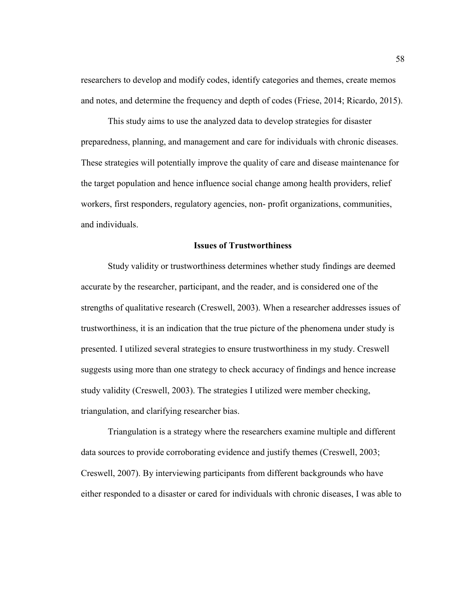researchers to develop and modify codes, identify categories and themes, create memos and notes, and determine the frequency and depth of codes (Friese, 2014; Ricardo, 2015).

This study aims to use the analyzed data to develop strategies for disaster preparedness, planning, and management and care for individuals with chronic diseases. These strategies will potentially improve the quality of care and disease maintenance for the target population and hence influence social change among health providers, relief workers, first responders, regulatory agencies, non- profit organizations, communities, and individuals.

## **Issues of Trustworthiness**

Study validity or trustworthiness determines whether study findings are deemed accurate by the researcher, participant, and the reader, and is considered one of the strengths of qualitative research (Creswell, 2003). When a researcher addresses issues of trustworthiness, it is an indication that the true picture of the phenomena under study is presented. I utilized several strategies to ensure trustworthiness in my study. Creswell suggests using more than one strategy to check accuracy of findings and hence increase study validity (Creswell, 2003). The strategies I utilized were member checking, triangulation, and clarifying researcher bias.

Triangulation is a strategy where the researchers examine multiple and different data sources to provide corroborating evidence and justify themes (Creswell, 2003; Creswell, 2007). By interviewing participants from different backgrounds who have either responded to a disaster or cared for individuals with chronic diseases, I was able to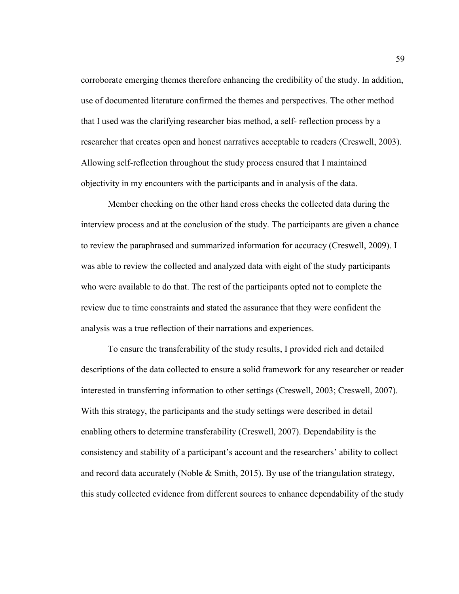corroborate emerging themes therefore enhancing the credibility of the study. In addition, use of documented literature confirmed the themes and perspectives. The other method that I used was the clarifying researcher bias method, a self- reflection process by a researcher that creates open and honest narratives acceptable to readers (Creswell, 2003). Allowing self-reflection throughout the study process ensured that I maintained objectivity in my encounters with the participants and in analysis of the data.

Member checking on the other hand cross checks the collected data during the interview process and at the conclusion of the study. The participants are given a chance to review the paraphrased and summarized information for accuracy (Creswell, 2009). I was able to review the collected and analyzed data with eight of the study participants who were available to do that. The rest of the participants opted not to complete the review due to time constraints and stated the assurance that they were confident the analysis was a true reflection of their narrations and experiences.

To ensure the transferability of the study results, I provided rich and detailed descriptions of the data collected to ensure a solid framework for any researcher or reader interested in transferring information to other settings (Creswell, 2003; Creswell, 2007). With this strategy, the participants and the study settings were described in detail enabling others to determine transferability (Creswell, 2007). Dependability is the consistency and stability of a participant's account and the researchers' ability to collect and record data accurately (Noble  $\&$  Smith, 2015). By use of the triangulation strategy, this study collected evidence from different sources to enhance dependability of the study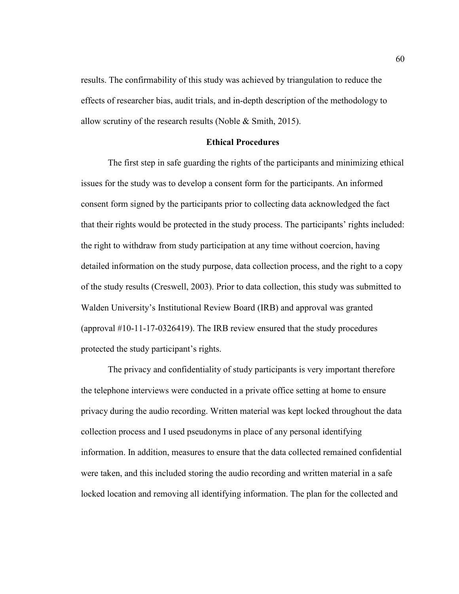results. The confirmability of this study was achieved by triangulation to reduce the effects of researcher bias, audit trials, and in-depth description of the methodology to allow scrutiny of the research results (Noble & Smith, 2015).

#### **Ethical Procedures**

The first step in safe guarding the rights of the participants and minimizing ethical issues for the study was to develop a consent form for the participants. An informed consent form signed by the participants prior to collecting data acknowledged the fact that their rights would be protected in the study process. The participants' rights included: the right to withdraw from study participation at any time without coercion, having detailed information on the study purpose, data collection process, and the right to a copy of the study results (Creswell, 2003). Prior to data collection, this study was submitted to Walden University's Institutional Review Board (IRB) and approval was granted (approval #10-11-17-0326419). The IRB review ensured that the study procedures protected the study participant's rights.

The privacy and confidentiality of study participants is very important therefore the telephone interviews were conducted in a private office setting at home to ensure privacy during the audio recording. Written material was kept locked throughout the data collection process and I used pseudonyms in place of any personal identifying information. In addition, measures to ensure that the data collected remained confidential were taken, and this included storing the audio recording and written material in a safe locked location and removing all identifying information. The plan for the collected and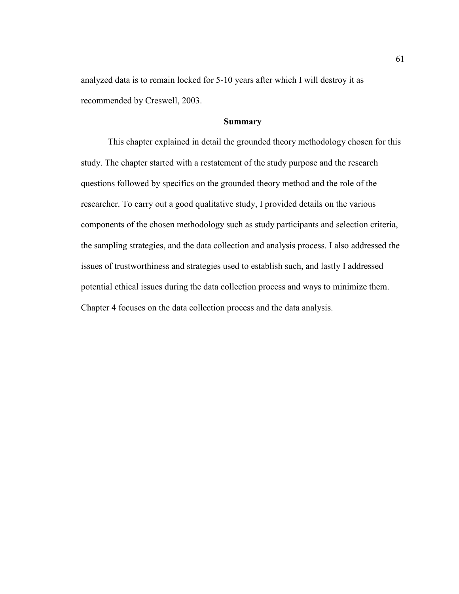analyzed data is to remain locked for 5-10 years after which I will destroy it as recommended by Creswell, 2003.

#### **Summary**

This chapter explained in detail the grounded theory methodology chosen for this study. The chapter started with a restatement of the study purpose and the research questions followed by specifics on the grounded theory method and the role of the researcher. To carry out a good qualitative study, I provided details on the various components of the chosen methodology such as study participants and selection criteria, the sampling strategies, and the data collection and analysis process. I also addressed the issues of trustworthiness and strategies used to establish such, and lastly I addressed potential ethical issues during the data collection process and ways to minimize them. Chapter 4 focuses on the data collection process and the data analysis.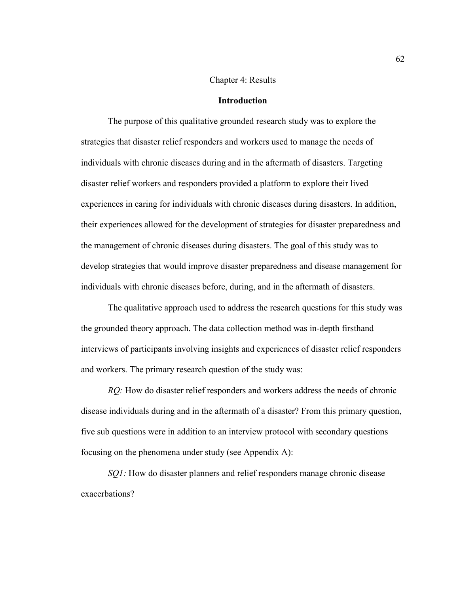#### Chapter 4: Results

#### **Introduction**

The purpose of this qualitative grounded research study was to explore the strategies that disaster relief responders and workers used to manage the needs of individuals with chronic diseases during and in the aftermath of disasters. Targeting disaster relief workers and responders provided a platform to explore their lived experiences in caring for individuals with chronic diseases during disasters. In addition, their experiences allowed for the development of strategies for disaster preparedness and the management of chronic diseases during disasters. The goal of this study was to develop strategies that would improve disaster preparedness and disease management for individuals with chronic diseases before, during, and in the aftermath of disasters.

The qualitative approach used to address the research questions for this study was the grounded theory approach. The data collection method was in-depth firsthand interviews of participants involving insights and experiences of disaster relief responders and workers. The primary research question of the study was:

*RQ:* How do disaster relief responders and workers address the needs of chronic disease individuals during and in the aftermath of a disaster? From this primary question, five sub questions were in addition to an interview protocol with secondary questions focusing on the phenomena under study (see Appendix A):

*SQ1:* How do disaster planners and relief responders manage chronic disease exacerbations?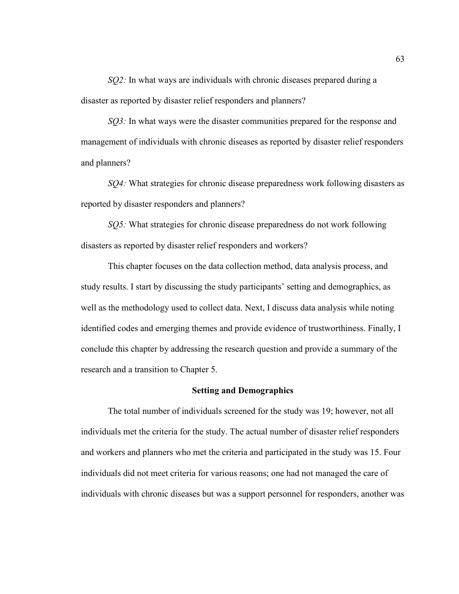*SQ2:* In what ways are individuals with chronic diseases prepared during a disaster as reported by disaster relief responders and planners?

*SQ3:* In what ways were the disaster communities prepared for the response and management of individuals with chronic diseases as reported by disaster relief responders and planners?

*SQ4:* What strategies for chronic disease preparedness work following disasters as reported by disaster responders and planners?

*SQ5:* What strategies for chronic disease preparedness do not work following disasters as reported by disaster relief responders and workers?

This chapter focuses on the data collection method, data analysis process, and study results. I start by discussing the study participants' setting and demographics, as well as the methodology used to collect data. Next, I discuss data analysis while noting identified codes and emerging themes and provide evidence of trustworthiness. Finally, I conclude this chapter by addressing the research question and provide a summary of the research and a transition to Chapter 5.

#### **Setting and Demographics**

The total number of individuals screened for the study was 19; however, not all individuals met the criteria for the study. The actual number of disaster relief responders and workers and planners who met the criteria and participated in the study was 15. Four individuals did not meet criteria for various reasons; one had not managed the care of individuals with chronic diseases but was a support personnel for responders, another was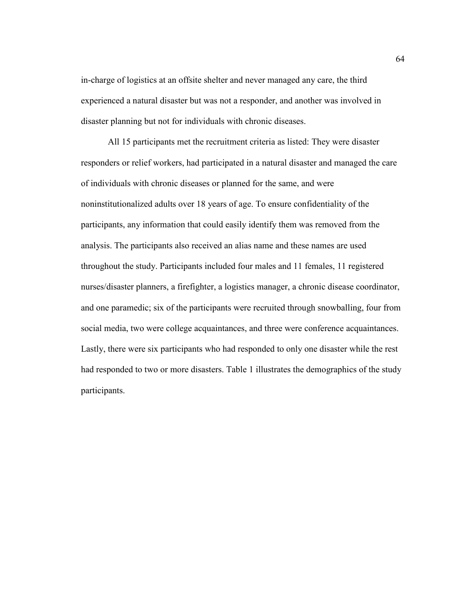in-charge of logistics at an offsite shelter and never managed any care, the third experienced a natural disaster but was not a responder, and another was involved in disaster planning but not for individuals with chronic diseases.

All 15 participants met the recruitment criteria as listed: They were disaster responders or relief workers, had participated in a natural disaster and managed the care of individuals with chronic diseases or planned for the same, and were noninstitutionalized adults over 18 years of age. To ensure confidentiality of the participants, any information that could easily identify them was removed from the analysis. The participants also received an alias name and these names are used throughout the study. Participants included four males and 11 females, 11 registered nurses/disaster planners, a firefighter, a logistics manager, a chronic disease coordinator, and one paramedic; six of the participants were recruited through snowballing, four from social media, two were college acquaintances, and three were conference acquaintances. Lastly, there were six participants who had responded to only one disaster while the rest had responded to two or more disasters. Table 1 illustrates the demographics of the study participants.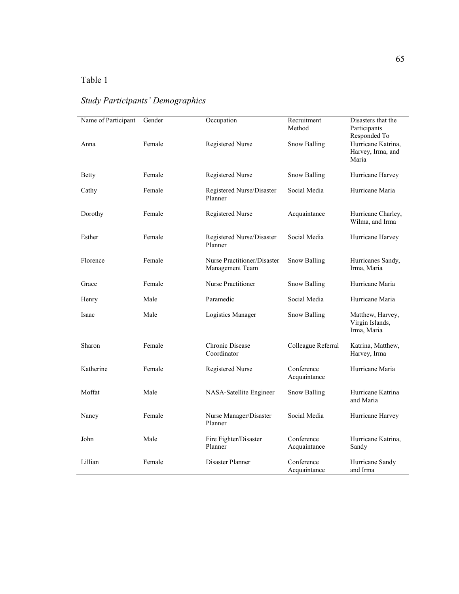## Table 1

# *Study Participants' Demographics*

| Name of Participant | Gender | Occupation                                     | Recruitment<br>Method      | Disasters that the<br>Participants<br>Responded To |
|---------------------|--------|------------------------------------------------|----------------------------|----------------------------------------------------|
| Anna                | Female | <b>Registered Nurse</b>                        | <b>Snow Balling</b>        | Hurricane Katrina,<br>Harvey, Irma, and<br>Maria   |
| <b>Betty</b>        | Female | Registered Nurse                               | <b>Snow Balling</b>        | Hurricane Harvey                                   |
| Cathy               | Female | Registered Nurse/Disaster<br>Planner           | Social Media               | Hurricane Maria                                    |
| Dorothy             | Female | <b>Registered Nurse</b>                        | Acquaintance               | Hurricane Charley,<br>Wilma, and Irma              |
| Esther              | Female | Registered Nurse/Disaster<br>Planner           | Social Media               | Hurricane Harvey                                   |
| Florence            | Female | Nurse Practitioner/Disaster<br>Management Team | <b>Snow Balling</b>        | Hurricanes Sandy,<br>Irma, Maria                   |
| Grace               | Female | <b>Nurse Practitioner</b>                      | Snow Balling               | Hurricane Maria                                    |
| Henry               | Male   | Paramedic                                      | Social Media               | Hurricane Maria                                    |
| Isaac               | Male   | Logistics Manager                              | <b>Snow Balling</b>        | Matthew, Harvey,<br>Virgin Islands,<br>Irma, Maria |
| Sharon              | Female | Chronic Disease<br>Coordinator                 | Colleague Referral         | Katrina, Matthew,<br>Harvey, Irma                  |
| Katherine           | Female | Registered Nurse                               | Conference<br>Acquaintance | Hurricane Maria                                    |
| Moffat              | Male   | NASA-Satellite Engineer                        | Snow Balling               | Hurricane Katrina<br>and Maria                     |
| Nancy               | Female | Nurse Manager/Disaster<br>Planner              | Social Media               | Hurricane Harvey                                   |
| John                | Male   | Fire Fighter/Disaster<br>Planner               | Conference<br>Acquaintance | Hurricane Katrina,<br>Sandy                        |
| Lillian             | Female | Disaster Planner                               | Conference<br>Acquaintance | Hurricane Sandy<br>and Irma                        |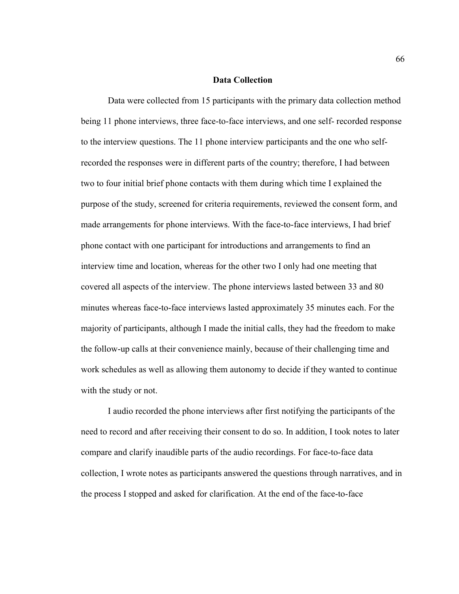#### **Data Collection**

Data were collected from 15 participants with the primary data collection method being 11 phone interviews, three face-to-face interviews, and one self- recorded response to the interview questions. The 11 phone interview participants and the one who selfrecorded the responses were in different parts of the country; therefore, I had between two to four initial brief phone contacts with them during which time I explained the purpose of the study, screened for criteria requirements, reviewed the consent form, and made arrangements for phone interviews. With the face-to-face interviews, I had brief phone contact with one participant for introductions and arrangements to find an interview time and location, whereas for the other two I only had one meeting that covered all aspects of the interview. The phone interviews lasted between 33 and 80 minutes whereas face-to-face interviews lasted approximately 35 minutes each. For the majority of participants, although I made the initial calls, they had the freedom to make the follow-up calls at their convenience mainly, because of their challenging time and work schedules as well as allowing them autonomy to decide if they wanted to continue with the study or not.

I audio recorded the phone interviews after first notifying the participants of the need to record and after receiving their consent to do so. In addition, I took notes to later compare and clarify inaudible parts of the audio recordings. For face-to-face data collection, I wrote notes as participants answered the questions through narratives, and in the process I stopped and asked for clarification. At the end of the face-to-face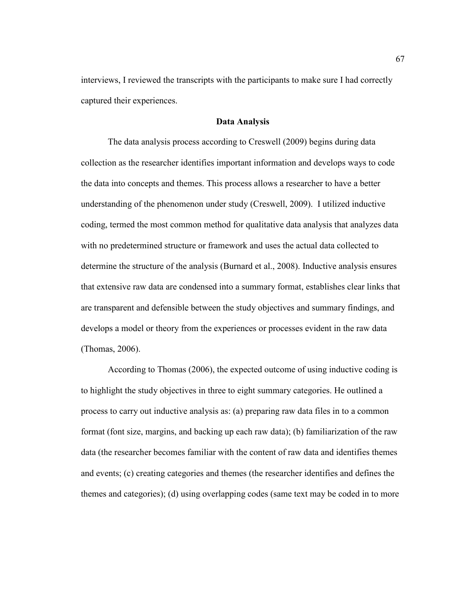interviews, I reviewed the transcripts with the participants to make sure I had correctly captured their experiences.

#### **Data Analysis**

The data analysis process according to Creswell (2009) begins during data collection as the researcher identifies important information and develops ways to code the data into concepts and themes. This process allows a researcher to have a better understanding of the phenomenon under study (Creswell, 2009). I utilized inductive coding, termed the most common method for qualitative data analysis that analyzes data with no predetermined structure or framework and uses the actual data collected to determine the structure of the analysis (Burnard et al., 2008). Inductive analysis ensures that extensive raw data are condensed into a summary format, establishes clear links that are transparent and defensible between the study objectives and summary findings, and develops a model or theory from the experiences or processes evident in the raw data (Thomas, 2006).

According to Thomas (2006), the expected outcome of using inductive coding is to highlight the study objectives in three to eight summary categories. He outlined a process to carry out inductive analysis as: (a) preparing raw data files in to a common format (font size, margins, and backing up each raw data); (b) familiarization of the raw data (the researcher becomes familiar with the content of raw data and identifies themes and events; (c) creating categories and themes (the researcher identifies and defines the themes and categories); (d) using overlapping codes (same text may be coded in to more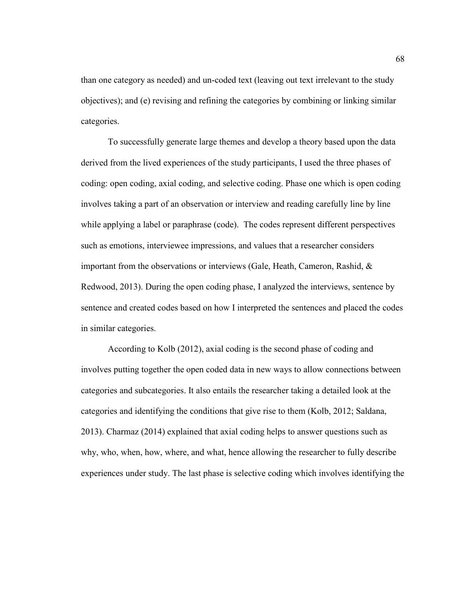than one category as needed) and un-coded text (leaving out text irrelevant to the study objectives); and (e) revising and refining the categories by combining or linking similar categories.

To successfully generate large themes and develop a theory based upon the data derived from the lived experiences of the study participants, I used the three phases of coding: open coding, axial coding, and selective coding. Phase one which is open coding involves taking a part of an observation or interview and reading carefully line by line while applying a label or paraphrase (code). The codes represent different perspectives such as emotions, interviewee impressions, and values that a researcher considers important from the observations or interviews (Gale, Heath, Cameron, Rashid, & Redwood, 2013). During the open coding phase, I analyzed the interviews, sentence by sentence and created codes based on how I interpreted the sentences and placed the codes in similar categories.

According to Kolb (2012), axial coding is the second phase of coding and involves putting together the open coded data in new ways to allow connections between categories and subcategories. It also entails the researcher taking a detailed look at the categories and identifying the conditions that give rise to them (Kolb, 2012; Saldana, 2013). Charmaz (2014) explained that axial coding helps to answer questions such as why, who, when, how, where, and what, hence allowing the researcher to fully describe experiences under study. The last phase is selective coding which involves identifying the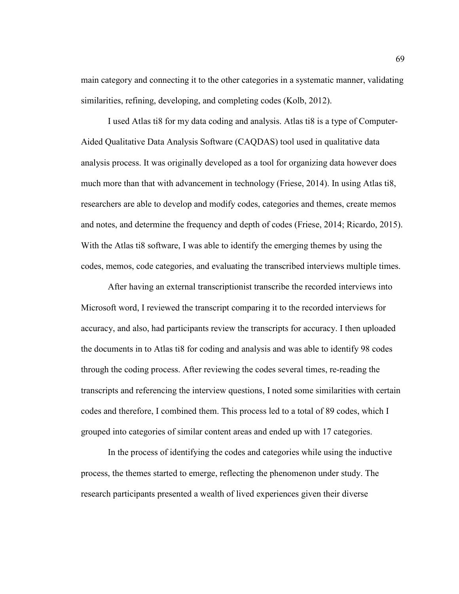main category and connecting it to the other categories in a systematic manner, validating similarities, refining, developing, and completing codes (Kolb, 2012).

I used Atlas ti8 for my data coding and analysis. Atlas ti8 is a type of Computer-Aided Qualitative Data Analysis Software (CAQDAS) tool used in qualitative data analysis process. It was originally developed as a tool for organizing data however does much more than that with advancement in technology (Friese, 2014). In using Atlas ti8, researchers are able to develop and modify codes, categories and themes, create memos and notes, and determine the frequency and depth of codes (Friese, 2014; Ricardo, 2015). With the Atlas ti8 software, I was able to identify the emerging themes by using the codes, memos, code categories, and evaluating the transcribed interviews multiple times.

After having an external transcriptionist transcribe the recorded interviews into Microsoft word, I reviewed the transcript comparing it to the recorded interviews for accuracy, and also, had participants review the transcripts for accuracy. I then uploaded the documents in to Atlas ti8 for coding and analysis and was able to identify 98 codes through the coding process. After reviewing the codes several times, re-reading the transcripts and referencing the interview questions, I noted some similarities with certain codes and therefore, I combined them. This process led to a total of 89 codes, which I grouped into categories of similar content areas and ended up with 17 categories.

In the process of identifying the codes and categories while using the inductive process, the themes started to emerge, reflecting the phenomenon under study. The research participants presented a wealth of lived experiences given their diverse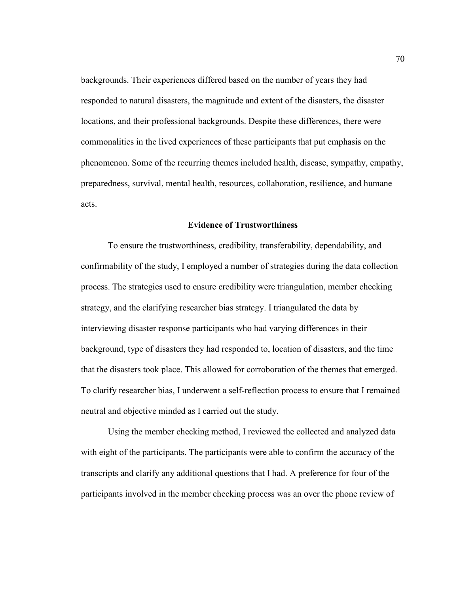backgrounds. Their experiences differed based on the number of years they had responded to natural disasters, the magnitude and extent of the disasters, the disaster locations, and their professional backgrounds. Despite these differences, there were commonalities in the lived experiences of these participants that put emphasis on the phenomenon. Some of the recurring themes included health, disease, sympathy, empathy, preparedness, survival, mental health, resources, collaboration, resilience, and humane acts.

#### **Evidence of Trustworthiness**

To ensure the trustworthiness, credibility, transferability, dependability, and confirmability of the study, I employed a number of strategies during the data collection process. The strategies used to ensure credibility were triangulation, member checking strategy, and the clarifying researcher bias strategy. I triangulated the data by interviewing disaster response participants who had varying differences in their background, type of disasters they had responded to, location of disasters, and the time that the disasters took place. This allowed for corroboration of the themes that emerged. To clarify researcher bias, I underwent a self-reflection process to ensure that I remained neutral and objective minded as I carried out the study.

 Using the member checking method, I reviewed the collected and analyzed data with eight of the participants. The participants were able to confirm the accuracy of the transcripts and clarify any additional questions that I had. A preference for four of the participants involved in the member checking process was an over the phone review of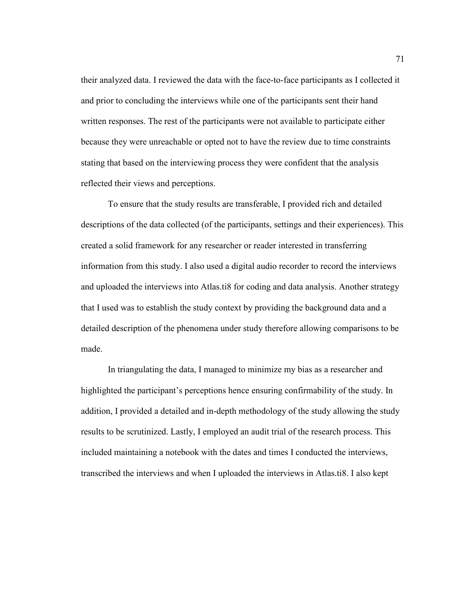their analyzed data. I reviewed the data with the face-to-face participants as I collected it and prior to concluding the interviews while one of the participants sent their hand written responses. The rest of the participants were not available to participate either because they were unreachable or opted not to have the review due to time constraints stating that based on the interviewing process they were confident that the analysis reflected their views and perceptions.

 To ensure that the study results are transferable, I provided rich and detailed descriptions of the data collected (of the participants, settings and their experiences). This created a solid framework for any researcher or reader interested in transferring information from this study. I also used a digital audio recorder to record the interviews and uploaded the interviews into Atlas.ti8 for coding and data analysis. Another strategy that I used was to establish the study context by providing the background data and a detailed description of the phenomena under study therefore allowing comparisons to be made.

 In triangulating the data, I managed to minimize my bias as a researcher and highlighted the participant's perceptions hence ensuring confirmability of the study. In addition, I provided a detailed and in-depth methodology of the study allowing the study results to be scrutinized. Lastly, I employed an audit trial of the research process. This included maintaining a notebook with the dates and times I conducted the interviews, transcribed the interviews and when I uploaded the interviews in Atlas.ti8. I also kept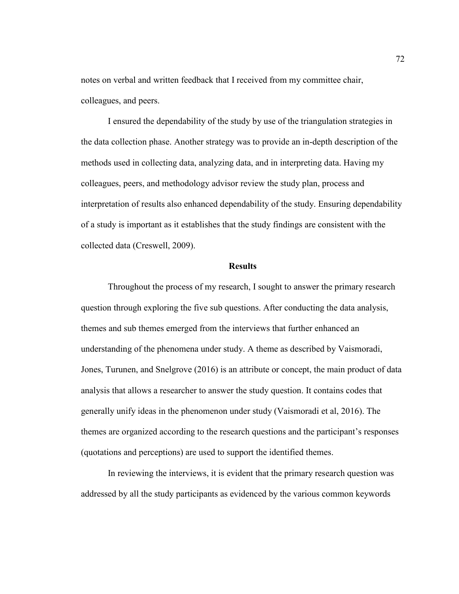notes on verbal and written feedback that I received from my committee chair, colleagues, and peers.

 I ensured the dependability of the study by use of the triangulation strategies in the data collection phase. Another strategy was to provide an in-depth description of the methods used in collecting data, analyzing data, and in interpreting data. Having my colleagues, peers, and methodology advisor review the study plan, process and interpretation of results also enhanced dependability of the study. Ensuring dependability of a study is important as it establishes that the study findings are consistent with the collected data (Creswell, 2009).

#### **Results**

 Throughout the process of my research, I sought to answer the primary research question through exploring the five sub questions. After conducting the data analysis, themes and sub themes emerged from the interviews that further enhanced an understanding of the phenomena under study. A theme as described by Vaismoradi, Jones, Turunen, and Snelgrove (2016) is an attribute or concept, the main product of data analysis that allows a researcher to answer the study question. It contains codes that generally unify ideas in the phenomenon under study (Vaismoradi et al, 2016). The themes are organized according to the research questions and the participant's responses (quotations and perceptions) are used to support the identified themes.

 In reviewing the interviews, it is evident that the primary research question was addressed by all the study participants as evidenced by the various common keywords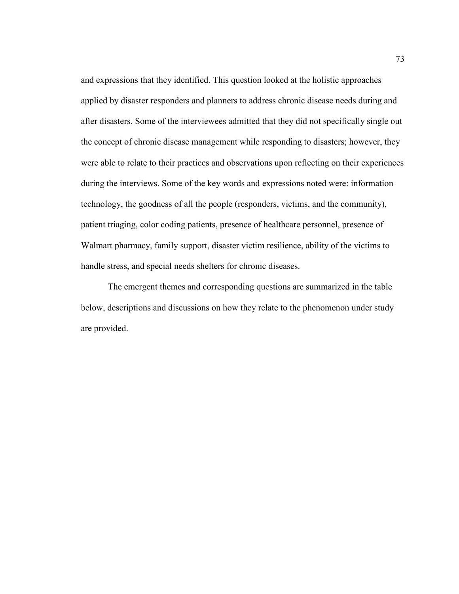and expressions that they identified. This question looked at the holistic approaches applied by disaster responders and planners to address chronic disease needs during and after disasters. Some of the interviewees admitted that they did not specifically single out the concept of chronic disease management while responding to disasters; however, they were able to relate to their practices and observations upon reflecting on their experiences during the interviews. Some of the key words and expressions noted were: information technology, the goodness of all the people (responders, victims, and the community), patient triaging, color coding patients, presence of healthcare personnel, presence of Walmart pharmacy, family support, disaster victim resilience, ability of the victims to handle stress, and special needs shelters for chronic diseases.

The emergent themes and corresponding questions are summarized in the table below, descriptions and discussions on how they relate to the phenomenon under study are provided.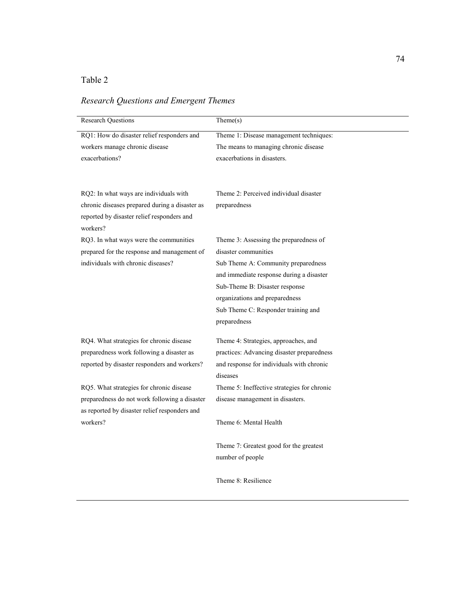### Table 2

| <b>Research Questions</b>                      | Then (s)                                    |  |
|------------------------------------------------|---------------------------------------------|--|
|                                                |                                             |  |
| RQ1: How do disaster relief responders and     | Theme 1: Disease management techniques:     |  |
| workers manage chronic disease                 | The means to managing chronic disease       |  |
| exacerbations?                                 | exacerbations in disasters.                 |  |
|                                                |                                             |  |
|                                                |                                             |  |
| RQ2: In what ways are individuals with         | Theme 2: Perceived individual disaster      |  |
| chronic diseases prepared during a disaster as | preparedness                                |  |
| reported by disaster relief responders and     |                                             |  |
| workers?                                       |                                             |  |
| RQ3. In what ways were the communities         | Theme 3: Assessing the preparedness of      |  |
| prepared for the response and management of    | disaster communities                        |  |
| individuals with chronic diseases?             | Sub Theme A: Community preparedness         |  |
|                                                | and immediate response during a disaster    |  |
|                                                | Sub-Theme B: Disaster response              |  |
|                                                | organizations and preparedness              |  |
|                                                | Sub Theme C: Responder training and         |  |
|                                                | preparedness                                |  |
|                                                |                                             |  |
| RQ4. What strategies for chronic disease       | Theme 4: Strategies, approaches, and        |  |
| preparedness work following a disaster as      | practices: Advancing disaster preparedness  |  |
| reported by disaster responders and workers?   | and response for individuals with chronic   |  |
|                                                | diseases                                    |  |
| RQ5. What strategies for chronic disease       | Theme 5: Ineffective strategies for chronic |  |
| preparedness do not work following a disaster  | disease management in disasters.            |  |
| as reported by disaster relief responders and  |                                             |  |
| workers?                                       | Theme 6: Mental Health                      |  |
|                                                |                                             |  |
|                                                | Theme 7: Greatest good for the greatest     |  |
|                                                | number of people                            |  |
|                                                |                                             |  |

Theme 8: Resilience

## *Research Questions and Emergent Themes*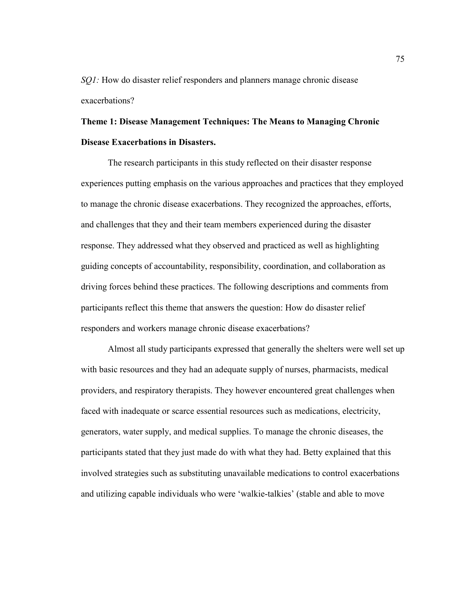*SQ1*: How do disaster relief responders and planners manage chronic disease exacerbations?

**Theme 1: Disease Management Techniques: The Means to Managing Chronic Disease Exacerbations in Disasters.** 

 The research participants in this study reflected on their disaster response experiences putting emphasis on the various approaches and practices that they employed to manage the chronic disease exacerbations. They recognized the approaches, efforts, and challenges that they and their team members experienced during the disaster response. They addressed what they observed and practiced as well as highlighting guiding concepts of accountability, responsibility, coordination, and collaboration as driving forces behind these practices. The following descriptions and comments from participants reflect this theme that answers the question: How do disaster relief responders and workers manage chronic disease exacerbations?

 Almost all study participants expressed that generally the shelters were well set up with basic resources and they had an adequate supply of nurses, pharmacists, medical providers, and respiratory therapists. They however encountered great challenges when faced with inadequate or scarce essential resources such as medications, electricity, generators, water supply, and medical supplies. To manage the chronic diseases, the participants stated that they just made do with what they had. Betty explained that this involved strategies such as substituting unavailable medications to control exacerbations and utilizing capable individuals who were 'walkie-talkies' (stable and able to move

75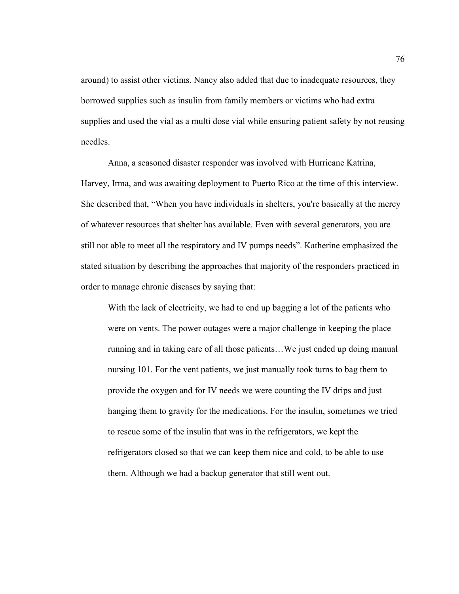around) to assist other victims. Nancy also added that due to inadequate resources, they borrowed supplies such as insulin from family members or victims who had extra supplies and used the vial as a multi dose vial while ensuring patient safety by not reusing needles.

 Anna, a seasoned disaster responder was involved with Hurricane Katrina, Harvey, Irma, and was awaiting deployment to Puerto Rico at the time of this interview. She described that, "When you have individuals in shelters, you're basically at the mercy of whatever resources that shelter has available. Even with several generators, you are still not able to meet all the respiratory and IV pumps needs". Katherine emphasized the stated situation by describing the approaches that majority of the responders practiced in order to manage chronic diseases by saying that:

With the lack of electricity, we had to end up bagging a lot of the patients who were on vents. The power outages were a major challenge in keeping the place running and in taking care of all those patients…We just ended up doing manual nursing 101. For the vent patients, we just manually took turns to bag them to provide the oxygen and for IV needs we were counting the IV drips and just hanging them to gravity for the medications. For the insulin, sometimes we tried to rescue some of the insulin that was in the refrigerators, we kept the refrigerators closed so that we can keep them nice and cold, to be able to use them. Although we had a backup generator that still went out.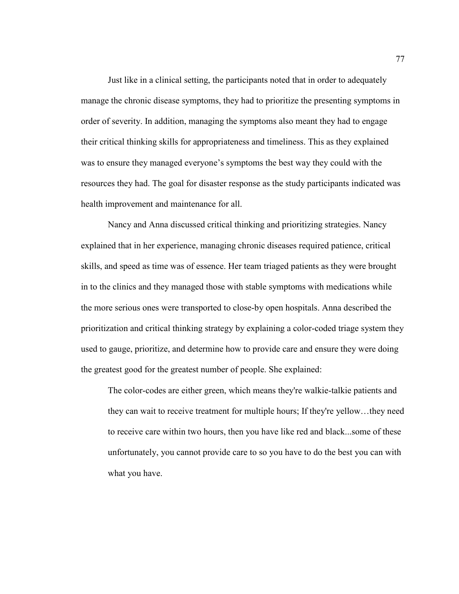Just like in a clinical setting, the participants noted that in order to adequately manage the chronic disease symptoms, they had to prioritize the presenting symptoms in order of severity. In addition, managing the symptoms also meant they had to engage their critical thinking skills for appropriateness and timeliness. This as they explained was to ensure they managed everyone's symptoms the best way they could with the resources they had. The goal for disaster response as the study participants indicated was health improvement and maintenance for all.

Nancy and Anna discussed critical thinking and prioritizing strategies. Nancy explained that in her experience, managing chronic diseases required patience, critical skills, and speed as time was of essence. Her team triaged patients as they were brought in to the clinics and they managed those with stable symptoms with medications while the more serious ones were transported to close-by open hospitals. Anna described the prioritization and critical thinking strategy by explaining a color-coded triage system they used to gauge, prioritize, and determine how to provide care and ensure they were doing the greatest good for the greatest number of people. She explained:

The color-codes are either green, which means they're walkie-talkie patients and they can wait to receive treatment for multiple hours; If they're yellow…they need to receive care within two hours, then you have like red and black...some of these unfortunately, you cannot provide care to so you have to do the best you can with what you have.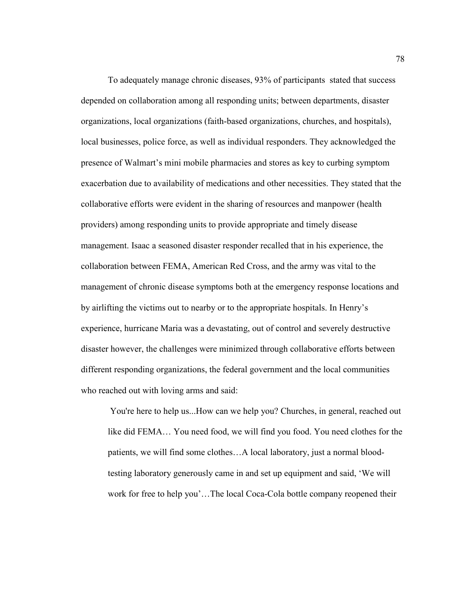To adequately manage chronic diseases, 93% of participants stated that success depended on collaboration among all responding units; between departments, disaster organizations, local organizations (faith-based organizations, churches, and hospitals), local businesses, police force, as well as individual responders. They acknowledged the presence of Walmart's mini mobile pharmacies and stores as key to curbing symptom exacerbation due to availability of medications and other necessities. They stated that the collaborative efforts were evident in the sharing of resources and manpower (health providers) among responding units to provide appropriate and timely disease management. Isaac a seasoned disaster responder recalled that in his experience, the collaboration between FEMA, American Red Cross, and the army was vital to the management of chronic disease symptoms both at the emergency response locations and by airlifting the victims out to nearby or to the appropriate hospitals. In Henry's experience, hurricane Maria was a devastating, out of control and severely destructive disaster however, the challenges were minimized through collaborative efforts between different responding organizations, the federal government and the local communities who reached out with loving arms and said:

You're here to help us...How can we help you? Churches, in general, reached out like did FEMA… You need food, we will find you food. You need clothes for the patients, we will find some clothes…A local laboratory, just a normal bloodtesting laboratory generously came in and set up equipment and said, 'We will work for free to help you'…The local Coca-Cola bottle company reopened their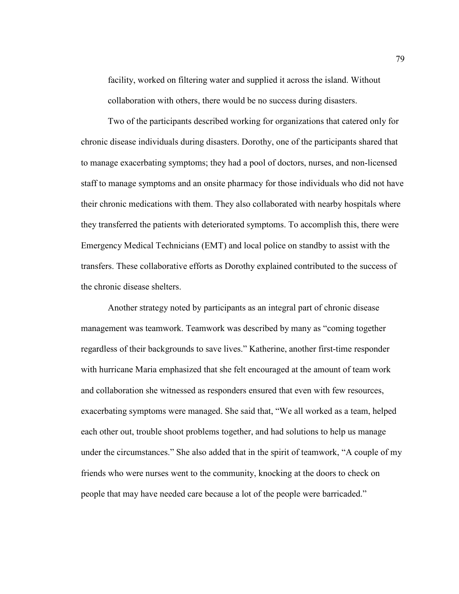facility, worked on filtering water and supplied it across the island. Without collaboration with others, there would be no success during disasters.

 Two of the participants described working for organizations that catered only for chronic disease individuals during disasters. Dorothy, one of the participants shared that to manage exacerbating symptoms; they had a pool of doctors, nurses, and non-licensed staff to manage symptoms and an onsite pharmacy for those individuals who did not have their chronic medications with them. They also collaborated with nearby hospitals where they transferred the patients with deteriorated symptoms. To accomplish this, there were Emergency Medical Technicians (EMT) and local police on standby to assist with the transfers. These collaborative efforts as Dorothy explained contributed to the success of the chronic disease shelters.

Another strategy noted by participants as an integral part of chronic disease management was teamwork. Teamwork was described by many as "coming together regardless of their backgrounds to save lives." Katherine, another first-time responder with hurricane Maria emphasized that she felt encouraged at the amount of team work and collaboration she witnessed as responders ensured that even with few resources, exacerbating symptoms were managed. She said that, "We all worked as a team, helped each other out, trouble shoot problems together, and had solutions to help us manage under the circumstances." She also added that in the spirit of teamwork, "A couple of my friends who were nurses went to the community, knocking at the doors to check on people that may have needed care because a lot of the people were barricaded."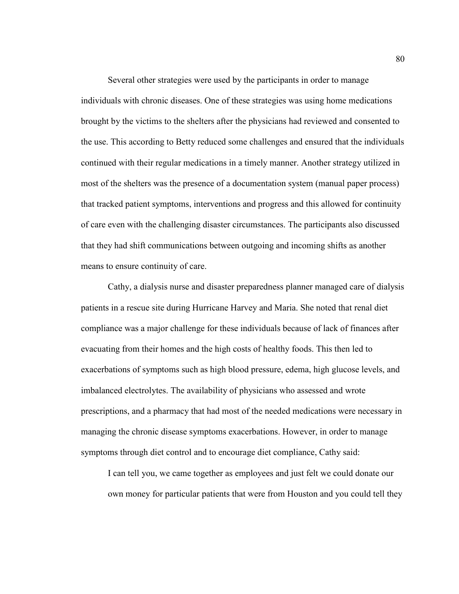Several other strategies were used by the participants in order to manage individuals with chronic diseases. One of these strategies was using home medications brought by the victims to the shelters after the physicians had reviewed and consented to the use. This according to Betty reduced some challenges and ensured that the individuals continued with their regular medications in a timely manner. Another strategy utilized in most of the shelters was the presence of a documentation system (manual paper process) that tracked patient symptoms, interventions and progress and this allowed for continuity of care even with the challenging disaster circumstances. The participants also discussed that they had shift communications between outgoing and incoming shifts as another means to ensure continuity of care.

Cathy, a dialysis nurse and disaster preparedness planner managed care of dialysis patients in a rescue site during Hurricane Harvey and Maria. She noted that renal diet compliance was a major challenge for these individuals because of lack of finances after evacuating from their homes and the high costs of healthy foods. This then led to exacerbations of symptoms such as high blood pressure, edema, high glucose levels, and imbalanced electrolytes. The availability of physicians who assessed and wrote prescriptions, and a pharmacy that had most of the needed medications were necessary in managing the chronic disease symptoms exacerbations. However, in order to manage symptoms through diet control and to encourage diet compliance, Cathy said:

I can tell you, we came together as employees and just felt we could donate our own money for particular patients that were from Houston and you could tell they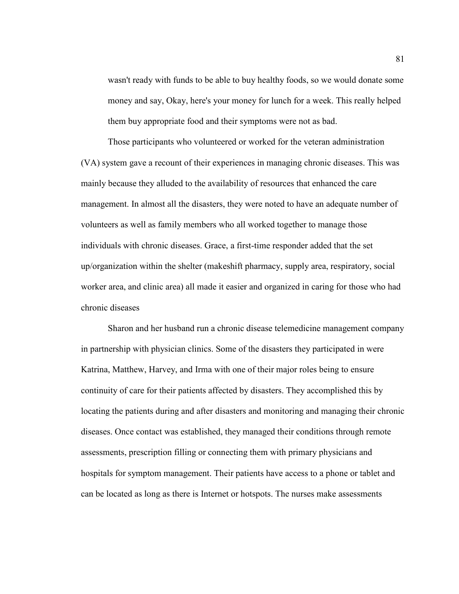wasn't ready with funds to be able to buy healthy foods, so we would donate some money and say, Okay, here's your money for lunch for a week. This really helped them buy appropriate food and their symptoms were not as bad.

Those participants who volunteered or worked for the veteran administration (VA) system gave a recount of their experiences in managing chronic diseases. This was mainly because they alluded to the availability of resources that enhanced the care management. In almost all the disasters, they were noted to have an adequate number of volunteers as well as family members who all worked together to manage those individuals with chronic diseases. Grace, a first-time responder added that the set up/organization within the shelter (makeshift pharmacy, supply area, respiratory, social worker area, and clinic area) all made it easier and organized in caring for those who had chronic diseases

Sharon and her husband run a chronic disease telemedicine management company in partnership with physician clinics. Some of the disasters they participated in were Katrina, Matthew, Harvey, and Irma with one of their major roles being to ensure continuity of care for their patients affected by disasters. They accomplished this by locating the patients during and after disasters and monitoring and managing their chronic diseases. Once contact was established, they managed their conditions through remote assessments, prescription filling or connecting them with primary physicians and hospitals for symptom management. Their patients have access to a phone or tablet and can be located as long as there is Internet or hotspots. The nurses make assessments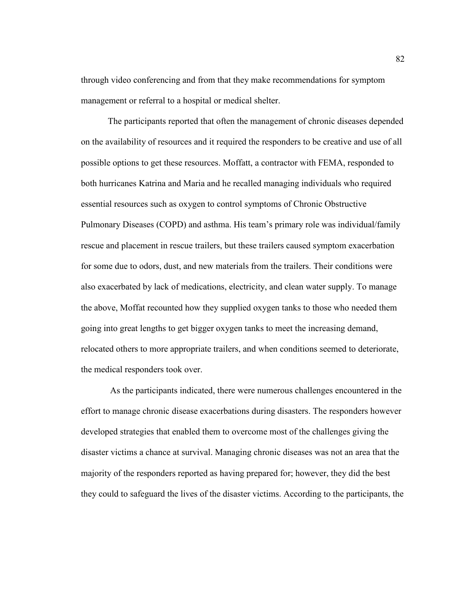through video conferencing and from that they make recommendations for symptom management or referral to a hospital or medical shelter.

The participants reported that often the management of chronic diseases depended on the availability of resources and it required the responders to be creative and use of all possible options to get these resources. Moffatt, a contractor with FEMA, responded to both hurricanes Katrina and Maria and he recalled managing individuals who required essential resources such as oxygen to control symptoms of Chronic Obstructive Pulmonary Diseases (COPD) and asthma. His team's primary role was individual/family rescue and placement in rescue trailers, but these trailers caused symptom exacerbation for some due to odors, dust, and new materials from the trailers. Their conditions were also exacerbated by lack of medications, electricity, and clean water supply. To manage the above, Moffat recounted how they supplied oxygen tanks to those who needed them going into great lengths to get bigger oxygen tanks to meet the increasing demand, relocated others to more appropriate trailers, and when conditions seemed to deteriorate, the medical responders took over.

 As the participants indicated, there were numerous challenges encountered in the effort to manage chronic disease exacerbations during disasters. The responders however developed strategies that enabled them to overcome most of the challenges giving the disaster victims a chance at survival. Managing chronic diseases was not an area that the majority of the responders reported as having prepared for; however, they did the best they could to safeguard the lives of the disaster victims. According to the participants, the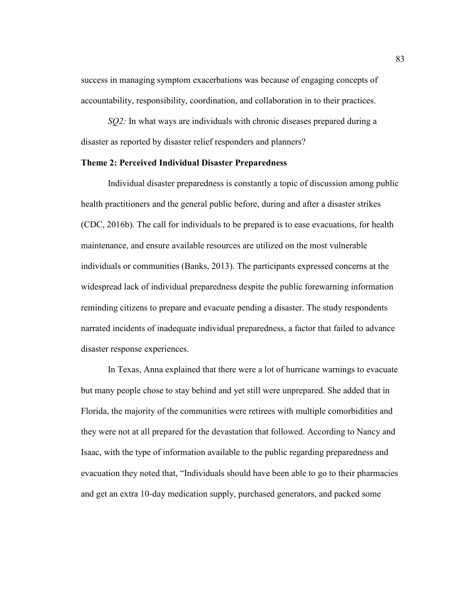success in managing symptom exacerbations was because of engaging concepts of accountability, responsibility, coordination, and collaboration in to their practices.

*SQ2:* In what ways are individuals with chronic diseases prepared during a disaster as reported by disaster relief responders and planners?

#### **Theme 2: Perceived Individual Disaster Preparedness**

Individual disaster preparedness is constantly a topic of discussion among public health practitioners and the general public before, during and after a disaster strikes (CDC, 2016b). The call for individuals to be prepared is to ease evacuations, for health maintenance, and ensure available resources are utilized on the most vulnerable individuals or communities (Banks, 2013). The participants expressed concerns at the widespread lack of individual preparedness despite the public forewarning information reminding citizens to prepare and evacuate pending a disaster. The study respondents narrated incidents of inadequate individual preparedness, a factor that failed to advance disaster response experiences.

In Texas, Anna explained that there were a lot of hurricane warnings to evacuate but many people chose to stay behind and yet still were unprepared. She added that in Florida, the majority of the communities were retirees with multiple comorbidities and they were not at all prepared for the devastation that followed. According to Nancy and Isaac, with the type of information available to the public regarding preparedness and evacuation they noted that, "Individuals should have been able to go to their pharmacies and get an extra 10-day medication supply, purchased generators, and packed some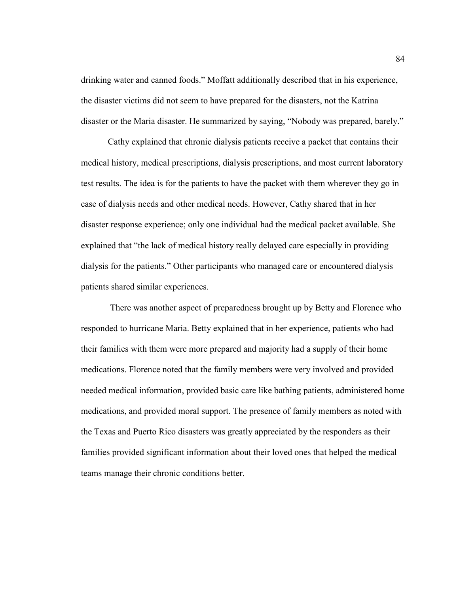drinking water and canned foods." Moffatt additionally described that in his experience, the disaster victims did not seem to have prepared for the disasters, not the Katrina disaster or the Maria disaster. He summarized by saying, "Nobody was prepared, barely."

Cathy explained that chronic dialysis patients receive a packet that contains their medical history, medical prescriptions, dialysis prescriptions, and most current laboratory test results. The idea is for the patients to have the packet with them wherever they go in case of dialysis needs and other medical needs. However, Cathy shared that in her disaster response experience; only one individual had the medical packet available. She explained that "the lack of medical history really delayed care especially in providing dialysis for the patients." Other participants who managed care or encountered dialysis patients shared similar experiences.

 There was another aspect of preparedness brought up by Betty and Florence who responded to hurricane Maria. Betty explained that in her experience, patients who had their families with them were more prepared and majority had a supply of their home medications. Florence noted that the family members were very involved and provided needed medical information, provided basic care like bathing patients, administered home medications, and provided moral support. The presence of family members as noted with the Texas and Puerto Rico disasters was greatly appreciated by the responders as their families provided significant information about their loved ones that helped the medical teams manage their chronic conditions better.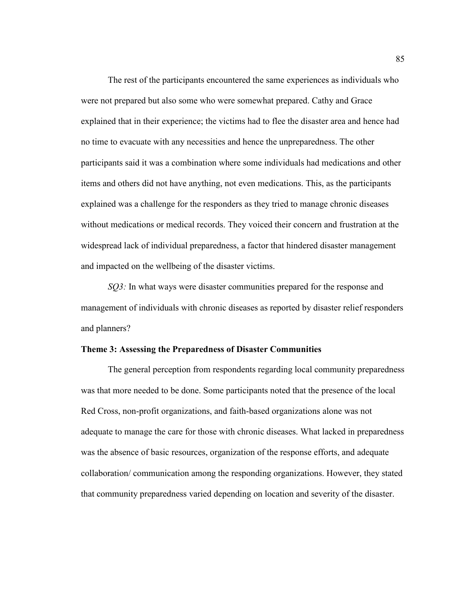The rest of the participants encountered the same experiences as individuals who were not prepared but also some who were somewhat prepared. Cathy and Grace explained that in their experience; the victims had to flee the disaster area and hence had no time to evacuate with any necessities and hence the unpreparedness. The other participants said it was a combination where some individuals had medications and other items and others did not have anything, not even medications. This, as the participants explained was a challenge for the responders as they tried to manage chronic diseases without medications or medical records. They voiced their concern and frustration at the widespread lack of individual preparedness, a factor that hindered disaster management and impacted on the wellbeing of the disaster victims.

*SQ3*: In what ways were disaster communities prepared for the response and management of individuals with chronic diseases as reported by disaster relief responders and planners?

#### **Theme 3: Assessing the Preparedness of Disaster Communities**

The general perception from respondents regarding local community preparedness was that more needed to be done. Some participants noted that the presence of the local Red Cross, non-profit organizations, and faith-based organizations alone was not adequate to manage the care for those with chronic diseases. What lacked in preparedness was the absence of basic resources, organization of the response efforts, and adequate collaboration/ communication among the responding organizations. However, they stated that community preparedness varied depending on location and severity of the disaster.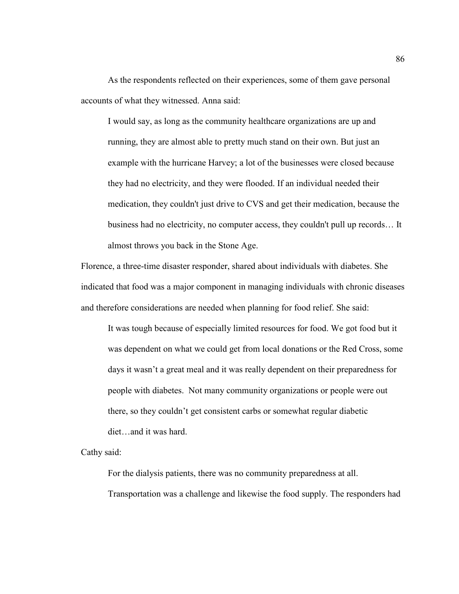As the respondents reflected on their experiences, some of them gave personal accounts of what they witnessed. Anna said:

I would say, as long as the community healthcare organizations are up and running, they are almost able to pretty much stand on their own. But just an example with the hurricane Harvey; a lot of the businesses were closed because they had no electricity, and they were flooded. If an individual needed their medication, they couldn't just drive to CVS and get their medication, because the business had no electricity, no computer access, they couldn't pull up records… It almost throws you back in the Stone Age.

Florence, a three-time disaster responder, shared about individuals with diabetes. She indicated that food was a major component in managing individuals with chronic diseases and therefore considerations are needed when planning for food relief. She said:

It was tough because of especially limited resources for food. We got food but it was dependent on what we could get from local donations or the Red Cross, some days it wasn't a great meal and it was really dependent on their preparedness for people with diabetes. Not many community organizations or people were out there, so they couldn't get consistent carbs or somewhat regular diabetic diet…and it was hard.

Cathy said:

For the dialysis patients, there was no community preparedness at all. Transportation was a challenge and likewise the food supply. The responders had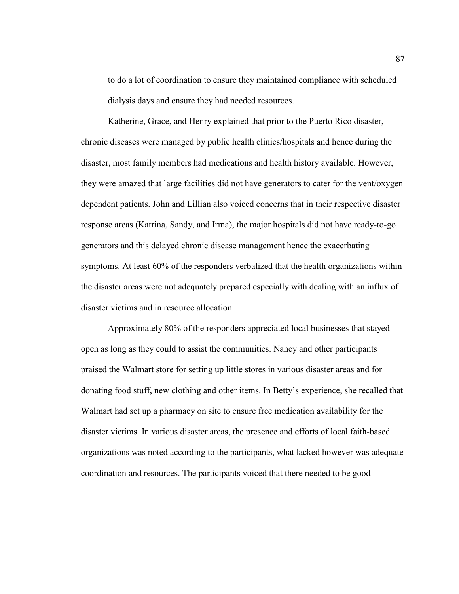to do a lot of coordination to ensure they maintained compliance with scheduled dialysis days and ensure they had needed resources.

 Katherine, Grace, and Henry explained that prior to the Puerto Rico disaster, chronic diseases were managed by public health clinics/hospitals and hence during the disaster, most family members had medications and health history available. However, they were amazed that large facilities did not have generators to cater for the vent/oxygen dependent patients. John and Lillian also voiced concerns that in their respective disaster response areas (Katrina, Sandy, and Irma), the major hospitals did not have ready-to-go generators and this delayed chronic disease management hence the exacerbating symptoms. At least 60% of the responders verbalized that the health organizations within the disaster areas were not adequately prepared especially with dealing with an influx of disaster victims and in resource allocation.

Approximately 80% of the responders appreciated local businesses that stayed open as long as they could to assist the communities. Nancy and other participants praised the Walmart store for setting up little stores in various disaster areas and for donating food stuff, new clothing and other items. In Betty's experience, she recalled that Walmart had set up a pharmacy on site to ensure free medication availability for the disaster victims. In various disaster areas, the presence and efforts of local faith-based organizations was noted according to the participants, what lacked however was adequate coordination and resources. The participants voiced that there needed to be good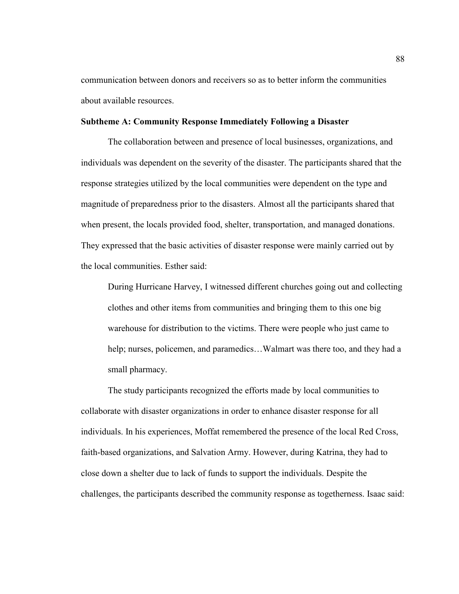communication between donors and receivers so as to better inform the communities about available resources.

#### **Subtheme A: Community Response Immediately Following a Disaster**

The collaboration between and presence of local businesses, organizations, and individuals was dependent on the severity of the disaster. The participants shared that the response strategies utilized by the local communities were dependent on the type and magnitude of preparedness prior to the disasters. Almost all the participants shared that when present, the locals provided food, shelter, transportation, and managed donations. They expressed that the basic activities of disaster response were mainly carried out by the local communities. Esther said:

During Hurricane Harvey, I witnessed different churches going out and collecting clothes and other items from communities and bringing them to this one big warehouse for distribution to the victims. There were people who just came to help; nurses, policemen, and paramedics...Walmart was there too, and they had a small pharmacy.

The study participants recognized the efforts made by local communities to collaborate with disaster organizations in order to enhance disaster response for all individuals. In his experiences, Moffat remembered the presence of the local Red Cross, faith-based organizations, and Salvation Army. However, during Katrina, they had to close down a shelter due to lack of funds to support the individuals. Despite the challenges, the participants described the community response as togetherness. Isaac said: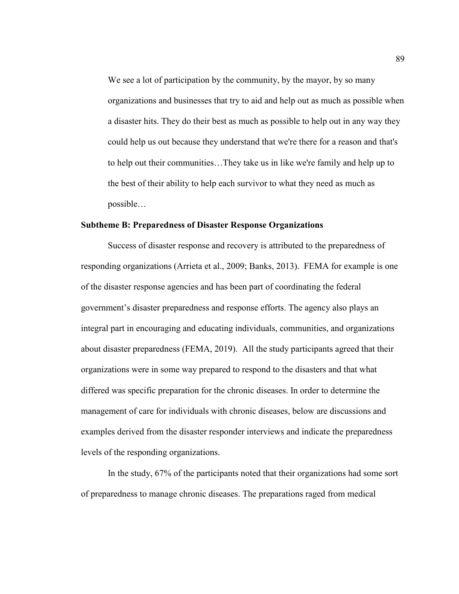We see a lot of participation by the community, by the mayor, by so many organizations and businesses that try to aid and help out as much as possible when a disaster hits. They do their best as much as possible to help out in any way they could help us out because they understand that we're there for a reason and that's to help out their communities…They take us in like we're family and help up to the best of their ability to help each survivor to what they need as much as possible…

#### **Subtheme B: Preparedness of Disaster Response Organizations**

Success of disaster response and recovery is attributed to the preparedness of responding organizations (Arrieta et al., 2009; Banks, 2013). FEMA for example is one of the disaster response agencies and has been part of coordinating the federal government's disaster preparedness and response efforts. The agency also plays an integral part in encouraging and educating individuals, communities, and organizations about disaster preparedness (FEMA, 2019). All the study participants agreed that their organizations were in some way prepared to respond to the disasters and that what differed was specific preparation for the chronic diseases. In order to determine the management of care for individuals with chronic diseases, below are discussions and examples derived from the disaster responder interviews and indicate the preparedness levels of the responding organizations.

In the study, 67% of the participants noted that their organizations had some sort of preparedness to manage chronic diseases. The preparations raged from medical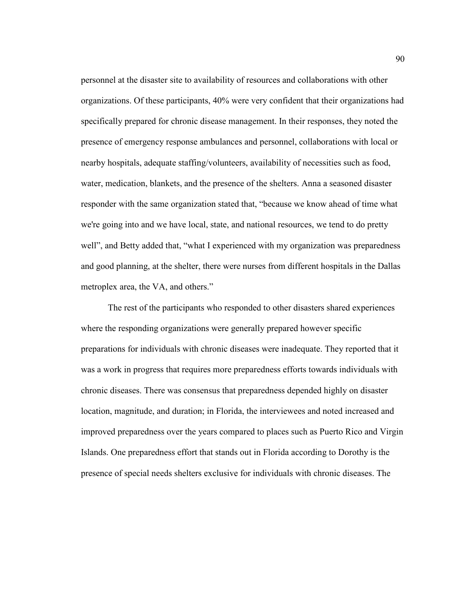personnel at the disaster site to availability of resources and collaborations with other organizations. Of these participants, 40% were very confident that their organizations had specifically prepared for chronic disease management. In their responses, they noted the presence of emergency response ambulances and personnel, collaborations with local or nearby hospitals, adequate staffing/volunteers, availability of necessities such as food, water, medication, blankets, and the presence of the shelters. Anna a seasoned disaster responder with the same organization stated that, "because we know ahead of time what we're going into and we have local, state, and national resources, we tend to do pretty well", and Betty added that, "what I experienced with my organization was preparedness and good planning, at the shelter, there were nurses from different hospitals in the Dallas metroplex area, the VA, and others."

The rest of the participants who responded to other disasters shared experiences where the responding organizations were generally prepared however specific preparations for individuals with chronic diseases were inadequate. They reported that it was a work in progress that requires more preparedness efforts towards individuals with chronic diseases. There was consensus that preparedness depended highly on disaster location, magnitude, and duration; in Florida, the interviewees and noted increased and improved preparedness over the years compared to places such as Puerto Rico and Virgin Islands. One preparedness effort that stands out in Florida according to Dorothy is the presence of special needs shelters exclusive for individuals with chronic diseases. The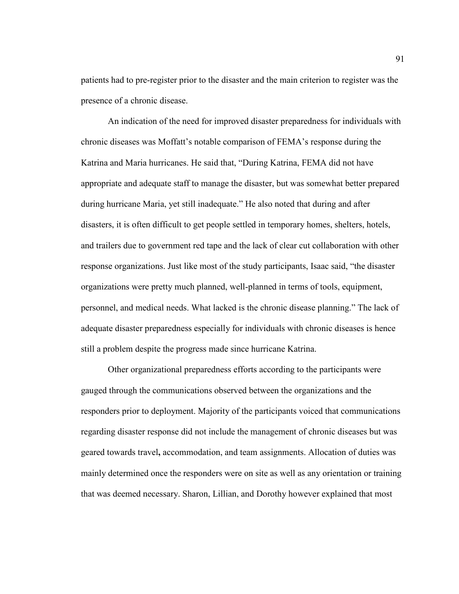patients had to pre-register prior to the disaster and the main criterion to register was the presence of a chronic disease.

An indication of the need for improved disaster preparedness for individuals with chronic diseases was Moffatt's notable comparison of FEMA's response during the Katrina and Maria hurricanes. He said that, "During Katrina, FEMA did not have appropriate and adequate staff to manage the disaster, but was somewhat better prepared during hurricane Maria, yet still inadequate." He also noted that during and after disasters, it is often difficult to get people settled in temporary homes, shelters, hotels, and trailers due to government red tape and the lack of clear cut collaboration with other response organizations. Just like most of the study participants, Isaac said, "the disaster organizations were pretty much planned, well-planned in terms of tools, equipment, personnel, and medical needs. What lacked is the chronic disease planning." The lack of adequate disaster preparedness especially for individuals with chronic diseases is hence still a problem despite the progress made since hurricane Katrina.

Other organizational preparedness efforts according to the participants were gauged through the communications observed between the organizations and the responders prior to deployment. Majority of the participants voiced that communications regarding disaster response did not include the management of chronic diseases but was geared towards travel**,** accommodation, and team assignments. Allocation of duties was mainly determined once the responders were on site as well as any orientation or training that was deemed necessary. Sharon, Lillian, and Dorothy however explained that most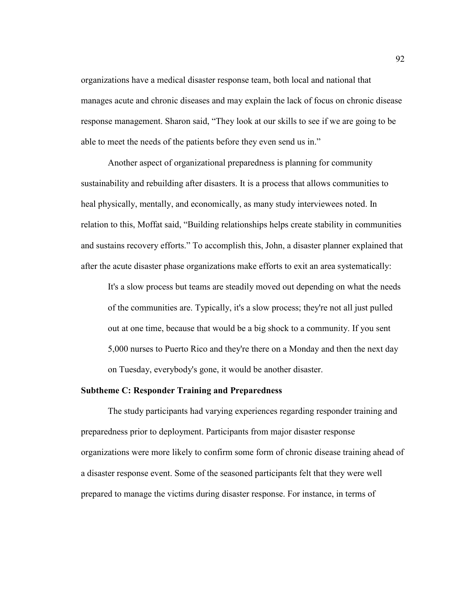organizations have a medical disaster response team, both local and national that manages acute and chronic diseases and may explain the lack of focus on chronic disease response management. Sharon said, "They look at our skills to see if we are going to be able to meet the needs of the patients before they even send us in."

Another aspect of organizational preparedness is planning for community sustainability and rebuilding after disasters. It is a process that allows communities to heal physically, mentally, and economically, as many study interviewees noted. In relation to this, Moffat said, "Building relationships helps create stability in communities and sustains recovery efforts." To accomplish this, John, a disaster planner explained that after the acute disaster phase organizations make efforts to exit an area systematically:

It's a slow process but teams are steadily moved out depending on what the needs of the communities are. Typically, it's a slow process; they're not all just pulled out at one time, because that would be a big shock to a community. If you sent 5,000 nurses to Puerto Rico and they're there on a Monday and then the next day on Tuesday, everybody's gone, it would be another disaster.

#### **Subtheme C: Responder Training and Preparedness**

The study participants had varying experiences regarding responder training and preparedness prior to deployment. Participants from major disaster response organizations were more likely to confirm some form of chronic disease training ahead of a disaster response event. Some of the seasoned participants felt that they were well prepared to manage the victims during disaster response. For instance, in terms of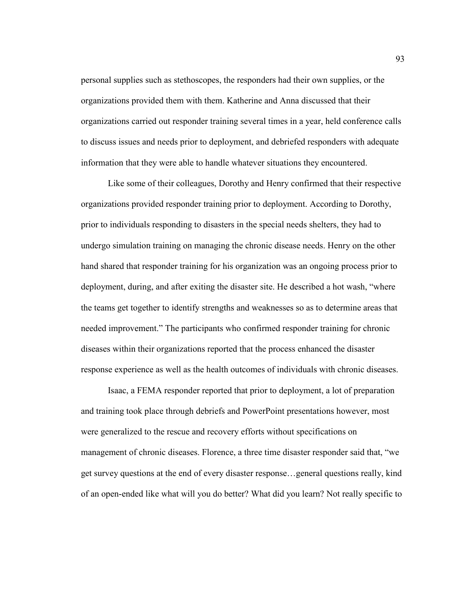personal supplies such as stethoscopes, the responders had their own supplies, or the organizations provided them with them. Katherine and Anna discussed that their organizations carried out responder training several times in a year, held conference calls to discuss issues and needs prior to deployment, and debriefed responders with adequate information that they were able to handle whatever situations they encountered.

Like some of their colleagues, Dorothy and Henry confirmed that their respective organizations provided responder training prior to deployment. According to Dorothy, prior to individuals responding to disasters in the special needs shelters, they had to undergo simulation training on managing the chronic disease needs. Henry on the other hand shared that responder training for his organization was an ongoing process prior to deployment, during, and after exiting the disaster site. He described a hot wash, "where the teams get together to identify strengths and weaknesses so as to determine areas that needed improvement." The participants who confirmed responder training for chronic diseases within their organizations reported that the process enhanced the disaster response experience as well as the health outcomes of individuals with chronic diseases.

Isaac, a FEMA responder reported that prior to deployment, a lot of preparation and training took place through debriefs and PowerPoint presentations however, most were generalized to the rescue and recovery efforts without specifications on management of chronic diseases. Florence, a three time disaster responder said that, "we get survey questions at the end of every disaster response…general questions really, kind of an open-ended like what will you do better? What did you learn? Not really specific to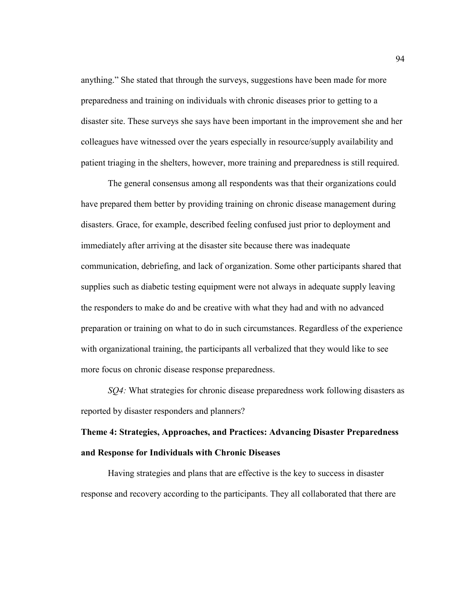anything." She stated that through the surveys, suggestions have been made for more preparedness and training on individuals with chronic diseases prior to getting to a disaster site. These surveys she says have been important in the improvement she and her colleagues have witnessed over the years especially in resource/supply availability and patient triaging in the shelters, however, more training and preparedness is still required.

The general consensus among all respondents was that their organizations could have prepared them better by providing training on chronic disease management during disasters. Grace, for example, described feeling confused just prior to deployment and immediately after arriving at the disaster site because there was inadequate communication, debriefing, and lack of organization. Some other participants shared that supplies such as diabetic testing equipment were not always in adequate supply leaving the responders to make do and be creative with what they had and with no advanced preparation or training on what to do in such circumstances. Regardless of the experience with organizational training, the participants all verbalized that they would like to see more focus on chronic disease response preparedness.

*SQ4:* What strategies for chronic disease preparedness work following disasters as reported by disaster responders and planners?

# **Theme 4: Strategies, Approaches, and Practices: Advancing Disaster Preparedness and Response for Individuals with Chronic Diseases**

Having strategies and plans that are effective is the key to success in disaster response and recovery according to the participants. They all collaborated that there are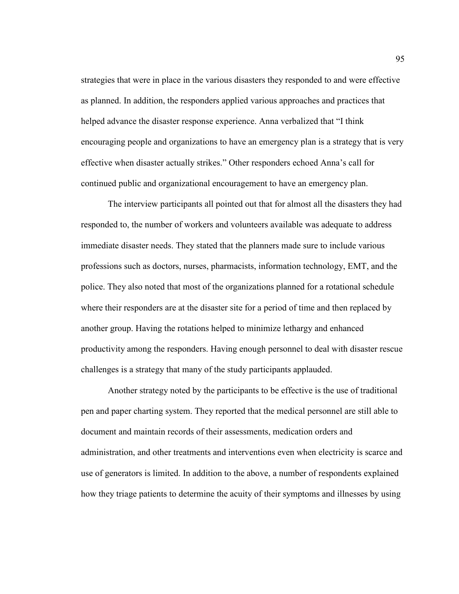strategies that were in place in the various disasters they responded to and were effective as planned. In addition, the responders applied various approaches and practices that helped advance the disaster response experience. Anna verbalized that "I think encouraging people and organizations to have an emergency plan is a strategy that is very effective when disaster actually strikes." Other responders echoed Anna's call for continued public and organizational encouragement to have an emergency plan.

The interview participants all pointed out that for almost all the disasters they had responded to, the number of workers and volunteers available was adequate to address immediate disaster needs. They stated that the planners made sure to include various professions such as doctors, nurses, pharmacists, information technology, EMT, and the police. They also noted that most of the organizations planned for a rotational schedule where their responders are at the disaster site for a period of time and then replaced by another group. Having the rotations helped to minimize lethargy and enhanced productivity among the responders. Having enough personnel to deal with disaster rescue challenges is a strategy that many of the study participants applauded.

Another strategy noted by the participants to be effective is the use of traditional pen and paper charting system. They reported that the medical personnel are still able to document and maintain records of their assessments, medication orders and administration, and other treatments and interventions even when electricity is scarce and use of generators is limited. In addition to the above, a number of respondents explained how they triage patients to determine the acuity of their symptoms and illnesses by using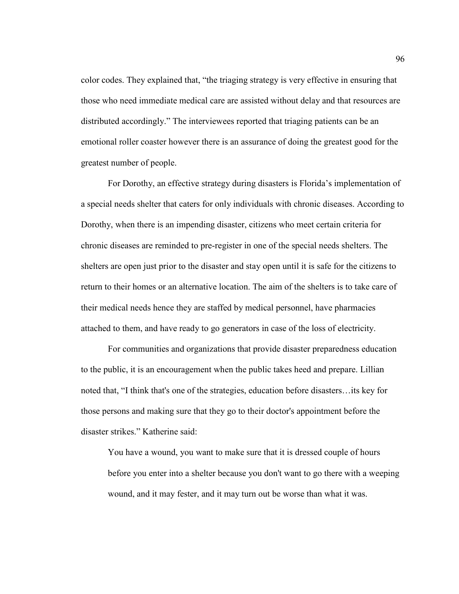color codes. They explained that, "the triaging strategy is very effective in ensuring that those who need immediate medical care are assisted without delay and that resources are distributed accordingly." The interviewees reported that triaging patients can be an emotional roller coaster however there is an assurance of doing the greatest good for the greatest number of people.

For Dorothy, an effective strategy during disasters is Florida's implementation of a special needs shelter that caters for only individuals with chronic diseases. According to Dorothy, when there is an impending disaster, citizens who meet certain criteria for chronic diseases are reminded to pre-register in one of the special needs shelters. The shelters are open just prior to the disaster and stay open until it is safe for the citizens to return to their homes or an alternative location. The aim of the shelters is to take care of their medical needs hence they are staffed by medical personnel, have pharmacies attached to them, and have ready to go generators in case of the loss of electricity.

For communities and organizations that provide disaster preparedness education to the public, it is an encouragement when the public takes heed and prepare. Lillian noted that, "I think that's one of the strategies, education before disasters…its key for those persons and making sure that they go to their doctor's appointment before the disaster strikes." Katherine said:

You have a wound, you want to make sure that it is dressed couple of hours before you enter into a shelter because you don't want to go there with a weeping wound, and it may fester, and it may turn out be worse than what it was.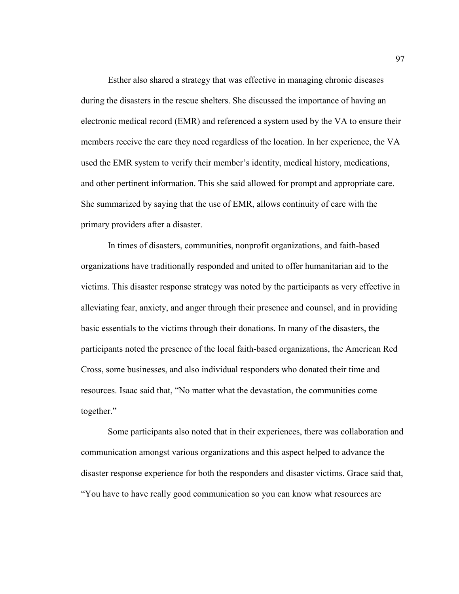Esther also shared a strategy that was effective in managing chronic diseases during the disasters in the rescue shelters. She discussed the importance of having an electronic medical record (EMR) and referenced a system used by the VA to ensure their members receive the care they need regardless of the location. In her experience, the VA used the EMR system to verify their member's identity, medical history, medications, and other pertinent information. This she said allowed for prompt and appropriate care. She summarized by saying that the use of EMR, allows continuity of care with the primary providers after a disaster.

In times of disasters, communities, nonprofit organizations, and faith-based organizations have traditionally responded and united to offer humanitarian aid to the victims. This disaster response strategy was noted by the participants as very effective in alleviating fear, anxiety, and anger through their presence and counsel, and in providing basic essentials to the victims through their donations. In many of the disasters, the participants noted the presence of the local faith-based organizations, the American Red Cross, some businesses, and also individual responders who donated their time and resources. Isaac said that, "No matter what the devastation, the communities come together."

Some participants also noted that in their experiences, there was collaboration and communication amongst various organizations and this aspect helped to advance the disaster response experience for both the responders and disaster victims. Grace said that, "You have to have really good communication so you can know what resources are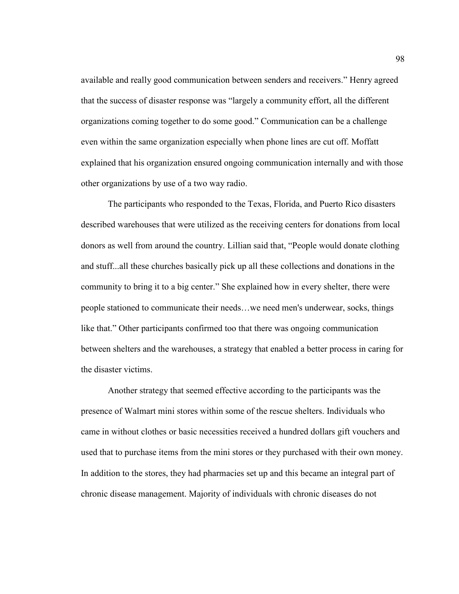available and really good communication between senders and receivers." Henry agreed that the success of disaster response was "largely a community effort, all the different organizations coming together to do some good." Communication can be a challenge even within the same organization especially when phone lines are cut off. Moffatt explained that his organization ensured ongoing communication internally and with those other organizations by use of a two way radio.

The participants who responded to the Texas, Florida, and Puerto Rico disasters described warehouses that were utilized as the receiving centers for donations from local donors as well from around the country. Lillian said that, "People would donate clothing and stuff...all these churches basically pick up all these collections and donations in the community to bring it to a big center." She explained how in every shelter, there were people stationed to communicate their needs…we need men's underwear, socks, things like that." Other participants confirmed too that there was ongoing communication between shelters and the warehouses, a strategy that enabled a better process in caring for the disaster victims.

Another strategy that seemed effective according to the participants was the presence of Walmart mini stores within some of the rescue shelters. Individuals who came in without clothes or basic necessities received a hundred dollars gift vouchers and used that to purchase items from the mini stores or they purchased with their own money. In addition to the stores, they had pharmacies set up and this became an integral part of chronic disease management. Majority of individuals with chronic diseases do not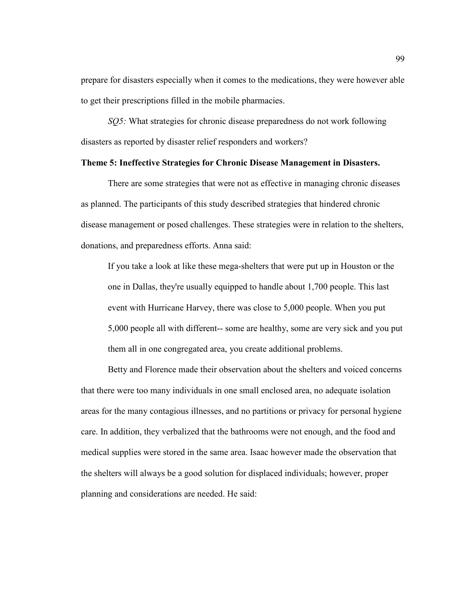prepare for disasters especially when it comes to the medications, they were however able to get their prescriptions filled in the mobile pharmacies.

*SQ5:* What strategies for chronic disease preparedness do not work following disasters as reported by disaster relief responders and workers?

# **Theme 5: Ineffective Strategies for Chronic Disease Management in Disasters.**

There are some strategies that were not as effective in managing chronic diseases as planned. The participants of this study described strategies that hindered chronic disease management or posed challenges. These strategies were in relation to the shelters, donations, and preparedness efforts. Anna said:

If you take a look at like these mega-shelters that were put up in Houston or the one in Dallas, they're usually equipped to handle about 1,700 people. This last event with Hurricane Harvey, there was close to 5,000 people. When you put 5,000 people all with different-- some are healthy, some are very sick and you put them all in one congregated area, you create additional problems.

Betty and Florence made their observation about the shelters and voiced concerns that there were too many individuals in one small enclosed area, no adequate isolation areas for the many contagious illnesses, and no partitions or privacy for personal hygiene care. In addition, they verbalized that the bathrooms were not enough, and the food and medical supplies were stored in the same area. Isaac however made the observation that the shelters will always be a good solution for displaced individuals; however, proper planning and considerations are needed. He said: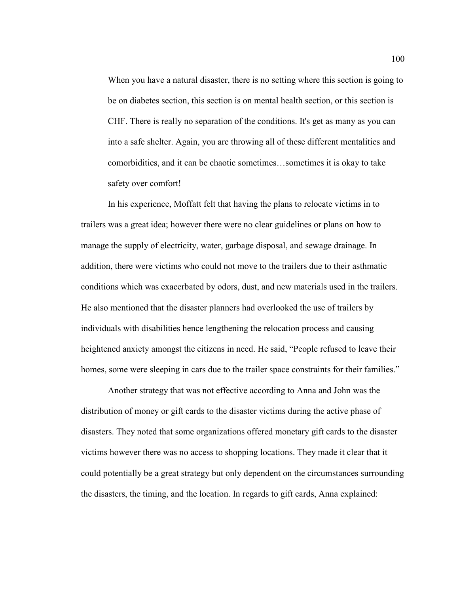When you have a natural disaster, there is no setting where this section is going to be on diabetes section, this section is on mental health section, or this section is CHF. There is really no separation of the conditions. It's get as many as you can into a safe shelter. Again, you are throwing all of these different mentalities and comorbidities, and it can be chaotic sometimes…sometimes it is okay to take safety over comfort!

In his experience, Moffatt felt that having the plans to relocate victims in to trailers was a great idea; however there were no clear guidelines or plans on how to manage the supply of electricity, water, garbage disposal, and sewage drainage. In addition, there were victims who could not move to the trailers due to their asthmatic conditions which was exacerbated by odors, dust, and new materials used in the trailers. He also mentioned that the disaster planners had overlooked the use of trailers by individuals with disabilities hence lengthening the relocation process and causing heightened anxiety amongst the citizens in need. He said, "People refused to leave their homes, some were sleeping in cars due to the trailer space constraints for their families."

Another strategy that was not effective according to Anna and John was the distribution of money or gift cards to the disaster victims during the active phase of disasters. They noted that some organizations offered monetary gift cards to the disaster victims however there was no access to shopping locations. They made it clear that it could potentially be a great strategy but only dependent on the circumstances surrounding the disasters, the timing, and the location. In regards to gift cards, Anna explained: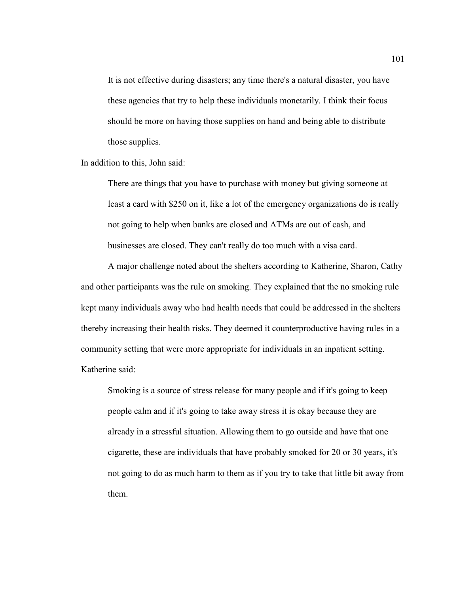It is not effective during disasters; any time there's a natural disaster, you have these agencies that try to help these individuals monetarily. I think their focus should be more on having those supplies on hand and being able to distribute those supplies.

In addition to this, John said:

There are things that you have to purchase with money but giving someone at least a card with \$250 on it, like a lot of the emergency organizations do is really not going to help when banks are closed and ATMs are out of cash, and businesses are closed. They can't really do too much with a visa card.

A major challenge noted about the shelters according to Katherine, Sharon, Cathy and other participants was the rule on smoking. They explained that the no smoking rule kept many individuals away who had health needs that could be addressed in the shelters thereby increasing their health risks. They deemed it counterproductive having rules in a community setting that were more appropriate for individuals in an inpatient setting. Katherine said:

Smoking is a source of stress release for many people and if it's going to keep people calm and if it's going to take away stress it is okay because they are already in a stressful situation. Allowing them to go outside and have that one cigarette, these are individuals that have probably smoked for 20 or 30 years, it's not going to do as much harm to them as if you try to take that little bit away from them.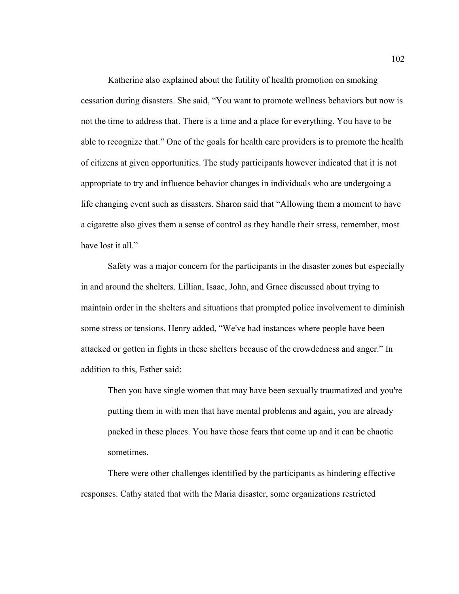Katherine also explained about the futility of health promotion on smoking cessation during disasters. She said, "You want to promote wellness behaviors but now is not the time to address that. There is a time and a place for everything. You have to be able to recognize that." One of the goals for health care providers is to promote the health of citizens at given opportunities. The study participants however indicated that it is not appropriate to try and influence behavior changes in individuals who are undergoing a life changing event such as disasters. Sharon said that "Allowing them a moment to have a cigarette also gives them a sense of control as they handle their stress, remember, most have lost it all."

Safety was a major concern for the participants in the disaster zones but especially in and around the shelters. Lillian, Isaac, John, and Grace discussed about trying to maintain order in the shelters and situations that prompted police involvement to diminish some stress or tensions. Henry added, "We've had instances where people have been attacked or gotten in fights in these shelters because of the crowdedness and anger." In addition to this, Esther said:

Then you have single women that may have been sexually traumatized and you're putting them in with men that have mental problems and again, you are already packed in these places. You have those fears that come up and it can be chaotic sometimes.

There were other challenges identified by the participants as hindering effective responses. Cathy stated that with the Maria disaster, some organizations restricted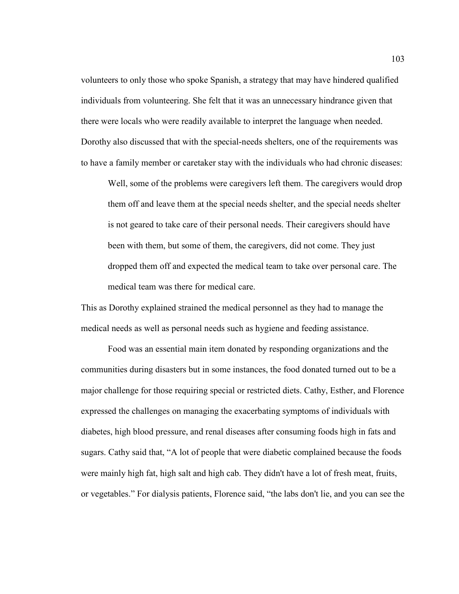volunteers to only those who spoke Spanish, a strategy that may have hindered qualified individuals from volunteering. She felt that it was an unnecessary hindrance given that there were locals who were readily available to interpret the language when needed. Dorothy also discussed that with the special-needs shelters, one of the requirements was to have a family member or caretaker stay with the individuals who had chronic diseases:

Well, some of the problems were caregivers left them. The caregivers would drop them off and leave them at the special needs shelter, and the special needs shelter is not geared to take care of their personal needs. Their caregivers should have been with them, but some of them, the caregivers, did not come. They just dropped them off and expected the medical team to take over personal care. The medical team was there for medical care.

This as Dorothy explained strained the medical personnel as they had to manage the medical needs as well as personal needs such as hygiene and feeding assistance.

Food was an essential main item donated by responding organizations and the communities during disasters but in some instances, the food donated turned out to be a major challenge for those requiring special or restricted diets. Cathy, Esther, and Florence expressed the challenges on managing the exacerbating symptoms of individuals with diabetes, high blood pressure, and renal diseases after consuming foods high in fats and sugars. Cathy said that, "A lot of people that were diabetic complained because the foods were mainly high fat, high salt and high cab. They didn't have a lot of fresh meat, fruits, or vegetables." For dialysis patients, Florence said, "the labs don't lie, and you can see the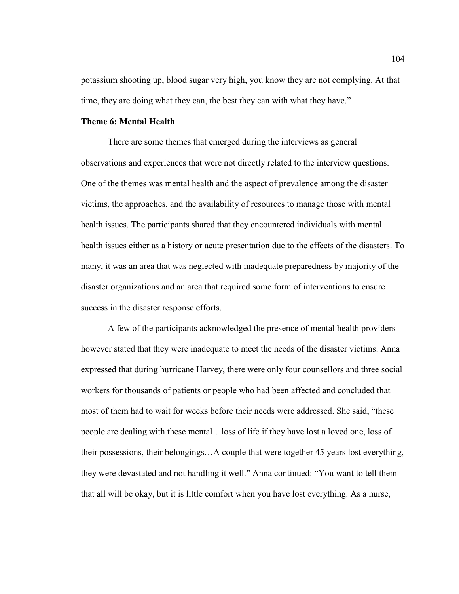potassium shooting up, blood sugar very high, you know they are not complying. At that time, they are doing what they can, the best they can with what they have."

# **Theme 6: Mental Health**

 There are some themes that emerged during the interviews as general observations and experiences that were not directly related to the interview questions. One of the themes was mental health and the aspect of prevalence among the disaster victims, the approaches, and the availability of resources to manage those with mental health issues. The participants shared that they encountered individuals with mental health issues either as a history or acute presentation due to the effects of the disasters. To many, it was an area that was neglected with inadequate preparedness by majority of the disaster organizations and an area that required some form of interventions to ensure success in the disaster response efforts.

A few of the participants acknowledged the presence of mental health providers however stated that they were inadequate to meet the needs of the disaster victims. Anna expressed that during hurricane Harvey, there were only four counsellors and three social workers for thousands of patients or people who had been affected and concluded that most of them had to wait for weeks before their needs were addressed. She said, "these people are dealing with these mental…loss of life if they have lost a loved one, loss of their possessions, their belongings…A couple that were together 45 years lost everything, they were devastated and not handling it well." Anna continued: "You want to tell them that all will be okay, but it is little comfort when you have lost everything. As a nurse,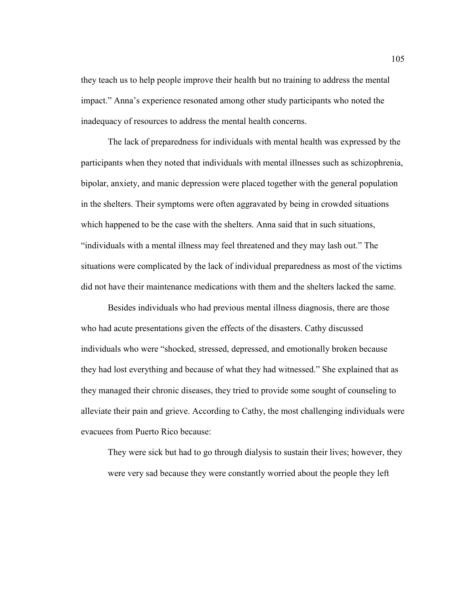they teach us to help people improve their health but no training to address the mental impact." Anna's experience resonated among other study participants who noted the inadequacy of resources to address the mental health concerns.

The lack of preparedness for individuals with mental health was expressed by the participants when they noted that individuals with mental illnesses such as schizophrenia, bipolar, anxiety, and manic depression were placed together with the general population in the shelters. Their symptoms were often aggravated by being in crowded situations which happened to be the case with the shelters. Anna said that in such situations, "individuals with a mental illness may feel threatened and they may lash out." The situations were complicated by the lack of individual preparedness as most of the victims did not have their maintenance medications with them and the shelters lacked the same.

Besides individuals who had previous mental illness diagnosis, there are those who had acute presentations given the effects of the disasters. Cathy discussed individuals who were "shocked, stressed, depressed, and emotionally broken because they had lost everything and because of what they had witnessed." She explained that as they managed their chronic diseases, they tried to provide some sought of counseling to alleviate their pain and grieve. According to Cathy, the most challenging individuals were evacuees from Puerto Rico because:

They were sick but had to go through dialysis to sustain their lives; however, they were very sad because they were constantly worried about the people they left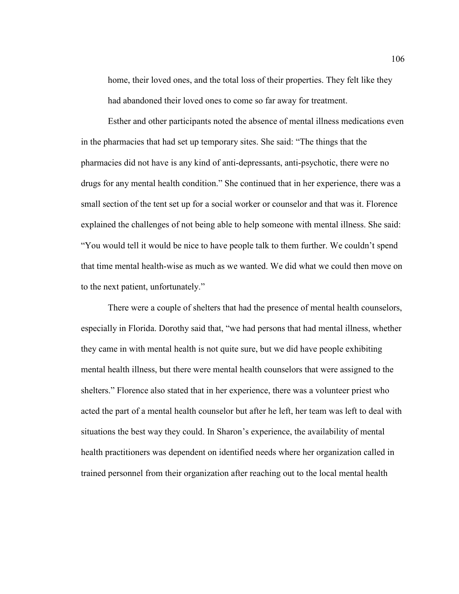home, their loved ones, and the total loss of their properties. They felt like they had abandoned their loved ones to come so far away for treatment.

Esther and other participants noted the absence of mental illness medications even in the pharmacies that had set up temporary sites. She said: "The things that the pharmacies did not have is any kind of anti-depressants, anti-psychotic, there were no drugs for any mental health condition." She continued that in her experience, there was a small section of the tent set up for a social worker or counselor and that was it. Florence explained the challenges of not being able to help someone with mental illness. She said: "You would tell it would be nice to have people talk to them further. We couldn't spend that time mental health-wise as much as we wanted. We did what we could then move on to the next patient, unfortunately."

There were a couple of shelters that had the presence of mental health counselors, especially in Florida. Dorothy said that, "we had persons that had mental illness, whether they came in with mental health is not quite sure, but we did have people exhibiting mental health illness, but there were mental health counselors that were assigned to the shelters." Florence also stated that in her experience, there was a volunteer priest who acted the part of a mental health counselor but after he left, her team was left to deal with situations the best way they could. In Sharon's experience, the availability of mental health practitioners was dependent on identified needs where her organization called in trained personnel from their organization after reaching out to the local mental health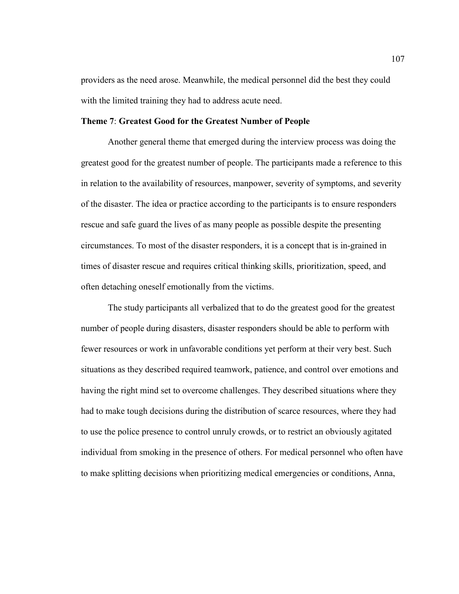providers as the need arose. Meanwhile, the medical personnel did the best they could with the limited training they had to address acute need.

### **Theme 7**: **Greatest Good for the Greatest Number of People**

Another general theme that emerged during the interview process was doing the greatest good for the greatest number of people. The participants made a reference to this in relation to the availability of resources, manpower, severity of symptoms, and severity of the disaster. The idea or practice according to the participants is to ensure responders rescue and safe guard the lives of as many people as possible despite the presenting circumstances. To most of the disaster responders, it is a concept that is in-grained in times of disaster rescue and requires critical thinking skills, prioritization, speed, and often detaching oneself emotionally from the victims.

The study participants all verbalized that to do the greatest good for the greatest number of people during disasters, disaster responders should be able to perform with fewer resources or work in unfavorable conditions yet perform at their very best. Such situations as they described required teamwork, patience, and control over emotions and having the right mind set to overcome challenges. They described situations where they had to make tough decisions during the distribution of scarce resources, where they had to use the police presence to control unruly crowds, or to restrict an obviously agitated individual from smoking in the presence of others. For medical personnel who often have to make splitting decisions when prioritizing medical emergencies or conditions, Anna,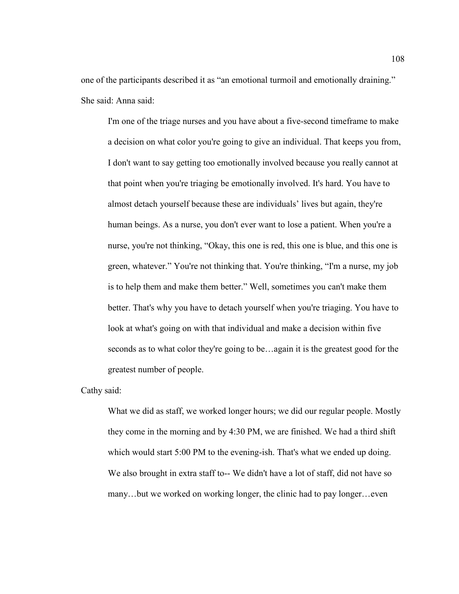one of the participants described it as "an emotional turmoil and emotionally draining." She said: Anna said:

I'm one of the triage nurses and you have about a five-second timeframe to make a decision on what color you're going to give an individual. That keeps you from, I don't want to say getting too emotionally involved because you really cannot at that point when you're triaging be emotionally involved. It's hard. You have to almost detach yourself because these are individuals' lives but again, they're human beings. As a nurse, you don't ever want to lose a patient. When you're a nurse, you're not thinking, "Okay, this one is red, this one is blue, and this one is green, whatever." You're not thinking that. You're thinking, "I'm a nurse, my job is to help them and make them better." Well, sometimes you can't make them better. That's why you have to detach yourself when you're triaging. You have to look at what's going on with that individual and make a decision within five seconds as to what color they're going to be…again it is the greatest good for the greatest number of people.

Cathy said:

What we did as staff, we worked longer hours; we did our regular people. Mostly they come in the morning and by 4:30 PM, we are finished. We had a third shift which would start 5:00 PM to the evening-ish. That's what we ended up doing. We also brought in extra staff to-- We didn't have a lot of staff, did not have so many…but we worked on working longer, the clinic had to pay longer…even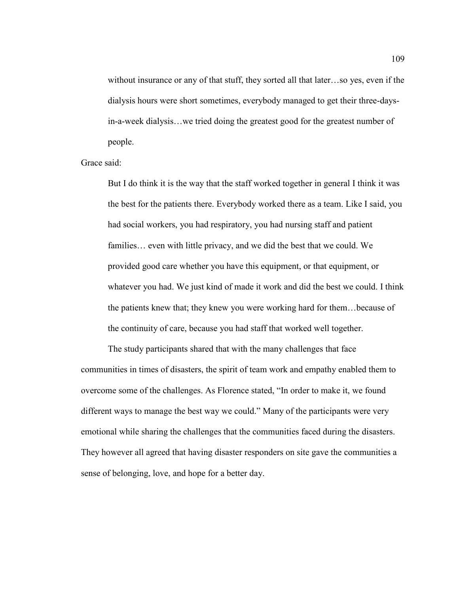without insurance or any of that stuff, they sorted all that later…so yes, even if the dialysis hours were short sometimes, everybody managed to get their three-daysin-a-week dialysis…we tried doing the greatest good for the greatest number of people.

Grace said:

But I do think it is the way that the staff worked together in general I think it was the best for the patients there. Everybody worked there as a team. Like I said, you had social workers, you had respiratory, you had nursing staff and patient families… even with little privacy, and we did the best that we could. We provided good care whether you have this equipment, or that equipment, or whatever you had. We just kind of made it work and did the best we could. I think the patients knew that; they knew you were working hard for them…because of the continuity of care, because you had staff that worked well together.

The study participants shared that with the many challenges that face communities in times of disasters, the spirit of team work and empathy enabled them to overcome some of the challenges. As Florence stated, "In order to make it, we found different ways to manage the best way we could." Many of the participants were very emotional while sharing the challenges that the communities faced during the disasters. They however all agreed that having disaster responders on site gave the communities a sense of belonging, love, and hope for a better day.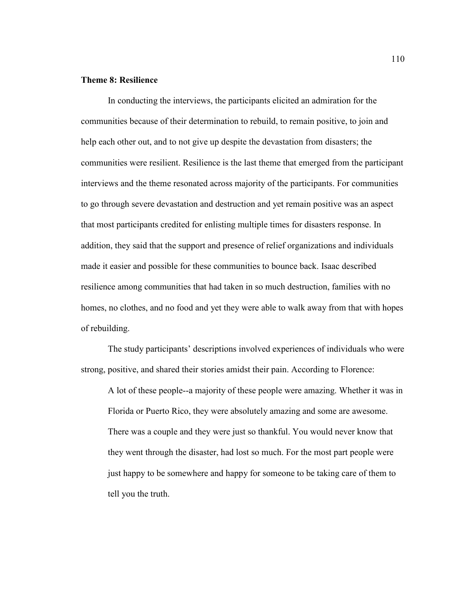# **Theme 8: Resilience**

In conducting the interviews, the participants elicited an admiration for the communities because of their determination to rebuild, to remain positive, to join and help each other out, and to not give up despite the devastation from disasters; the communities were resilient. Resilience is the last theme that emerged from the participant interviews and the theme resonated across majority of the participants. For communities to go through severe devastation and destruction and yet remain positive was an aspect that most participants credited for enlisting multiple times for disasters response. In addition, they said that the support and presence of relief organizations and individuals made it easier and possible for these communities to bounce back. Isaac described resilience among communities that had taken in so much destruction, families with no homes, no clothes, and no food and yet they were able to walk away from that with hopes of rebuilding.

 The study participants' descriptions involved experiences of individuals who were strong, positive, and shared their stories amidst their pain. According to Florence:

A lot of these people--a majority of these people were amazing. Whether it was in Florida or Puerto Rico, they were absolutely amazing and some are awesome. There was a couple and they were just so thankful. You would never know that they went through the disaster, had lost so much. For the most part people were just happy to be somewhere and happy for someone to be taking care of them to tell you the truth.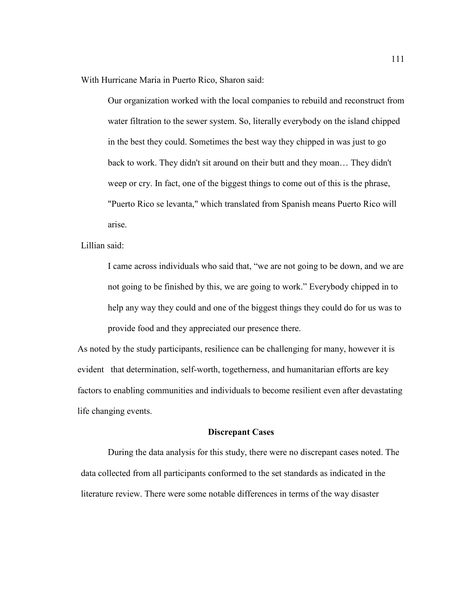With Hurricane Maria in Puerto Rico, Sharon said:

Our organization worked with the local companies to rebuild and reconstruct from water filtration to the sewer system. So, literally everybody on the island chipped in the best they could. Sometimes the best way they chipped in was just to go back to work. They didn't sit around on their butt and they moan… They didn't weep or cry. In fact, one of the biggest things to come out of this is the phrase, "Puerto Rico se levanta," which translated from Spanish means Puerto Rico will arise.

Lillian said:

I came across individuals who said that, "we are not going to be down, and we are not going to be finished by this, we are going to work." Everybody chipped in to help any way they could and one of the biggest things they could do for us was to provide food and they appreciated our presence there.

As noted by the study participants, resilience can be challenging for many, however it is evident that determination, self-worth, togetherness, and humanitarian efforts are key factors to enabling communities and individuals to become resilient even after devastating life changing events.

#### **Discrepant Cases**

During the data analysis for this study, there were no discrepant cases noted. The data collected from all participants conformed to the set standards as indicated in the literature review. There were some notable differences in terms of the way disaster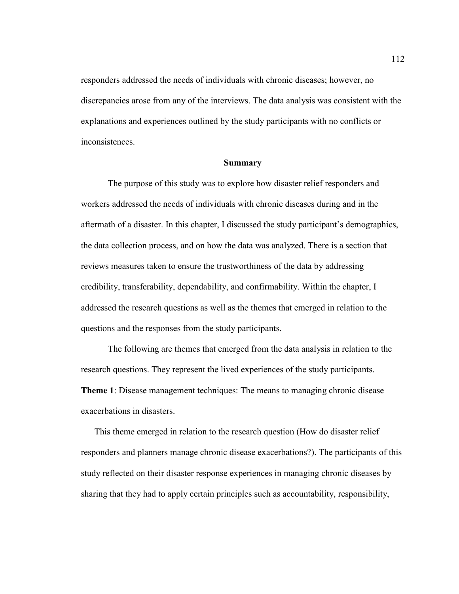responders addressed the needs of individuals with chronic diseases; however, no discrepancies arose from any of the interviews. The data analysis was consistent with the explanations and experiences outlined by the study participants with no conflicts or inconsistences.

# **Summary**

 The purpose of this study was to explore how disaster relief responders and workers addressed the needs of individuals with chronic diseases during and in the aftermath of a disaster. In this chapter, I discussed the study participant's demographics, the data collection process, and on how the data was analyzed. There is a section that reviews measures taken to ensure the trustworthiness of the data by addressing credibility, transferability, dependability, and confirmability. Within the chapter, I addressed the research questions as well as the themes that emerged in relation to the questions and the responses from the study participants.

 The following are themes that emerged from the data analysis in relation to the research questions. They represent the lived experiences of the study participants. **Theme 1**: Disease management techniques: The means to managing chronic disease exacerbations in disasters.

This theme emerged in relation to the research question (How do disaster relief responders and planners manage chronic disease exacerbations?). The participants of this study reflected on their disaster response experiences in managing chronic diseases by sharing that they had to apply certain principles such as accountability, responsibility,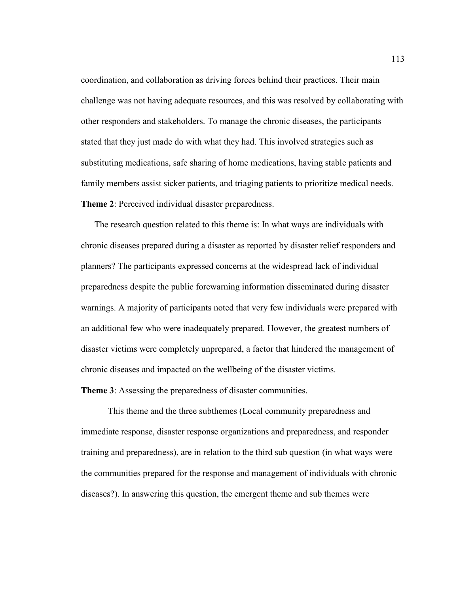coordination, and collaboration as driving forces behind their practices. Their main challenge was not having adequate resources, and this was resolved by collaborating with other responders and stakeholders. To manage the chronic diseases, the participants stated that they just made do with what they had. This involved strategies such as substituting medications, safe sharing of home medications, having stable patients and family members assist sicker patients, and triaging patients to prioritize medical needs. **Theme 2**: Perceived individual disaster preparedness.

The research question related to this theme is: In what ways are individuals with chronic diseases prepared during a disaster as reported by disaster relief responders and planners? The participants expressed concerns at the widespread lack of individual preparedness despite the public forewarning information disseminated during disaster warnings. A majority of participants noted that very few individuals were prepared with an additional few who were inadequately prepared. However, the greatest numbers of disaster victims were completely unprepared, a factor that hindered the management of chronic diseases and impacted on the wellbeing of the disaster victims.

**Theme 3**: Assessing the preparedness of disaster communities.

This theme and the three subthemes (Local community preparedness and immediate response, disaster response organizations and preparedness, and responder training and preparedness), are in relation to the third sub question (in what ways were the communities prepared for the response and management of individuals with chronic diseases?). In answering this question, the emergent theme and sub themes were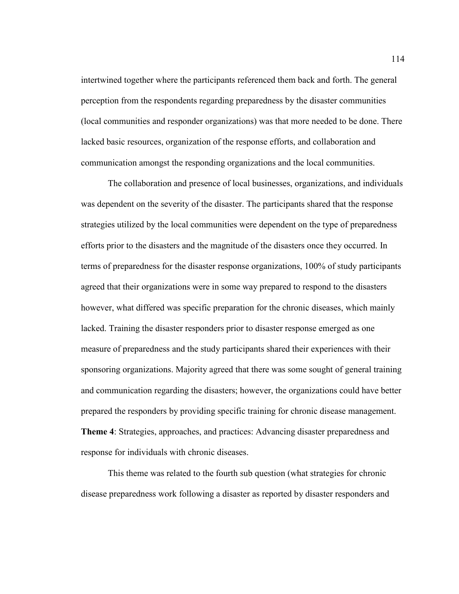intertwined together where the participants referenced them back and forth. The general perception from the respondents regarding preparedness by the disaster communities (local communities and responder organizations) was that more needed to be done. There lacked basic resources, organization of the response efforts, and collaboration and communication amongst the responding organizations and the local communities.

The collaboration and presence of local businesses, organizations, and individuals was dependent on the severity of the disaster. The participants shared that the response strategies utilized by the local communities were dependent on the type of preparedness efforts prior to the disasters and the magnitude of the disasters once they occurred. In terms of preparedness for the disaster response organizations, 100% of study participants agreed that their organizations were in some way prepared to respond to the disasters however, what differed was specific preparation for the chronic diseases, which mainly lacked. Training the disaster responders prior to disaster response emerged as one measure of preparedness and the study participants shared their experiences with their sponsoring organizations. Majority agreed that there was some sought of general training and communication regarding the disasters; however, the organizations could have better prepared the responders by providing specific training for chronic disease management. **Theme 4**: Strategies, approaches, and practices: Advancing disaster preparedness and response for individuals with chronic diseases.

This theme was related to the fourth sub question (what strategies for chronic disease preparedness work following a disaster as reported by disaster responders and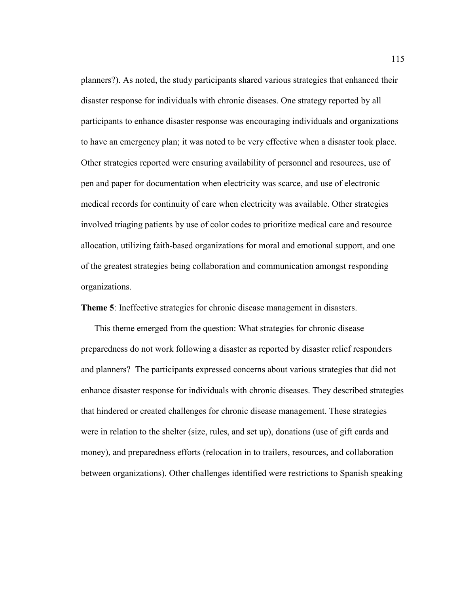planners?). As noted, the study participants shared various strategies that enhanced their disaster response for individuals with chronic diseases. One strategy reported by all participants to enhance disaster response was encouraging individuals and organizations to have an emergency plan; it was noted to be very effective when a disaster took place. Other strategies reported were ensuring availability of personnel and resources, use of pen and paper for documentation when electricity was scarce, and use of electronic medical records for continuity of care when electricity was available. Other strategies involved triaging patients by use of color codes to prioritize medical care and resource allocation, utilizing faith-based organizations for moral and emotional support, and one of the greatest strategies being collaboration and communication amongst responding organizations.

**Theme 5**: Ineffective strategies for chronic disease management in disasters.

This theme emerged from the question: What strategies for chronic disease preparedness do not work following a disaster as reported by disaster relief responders and planners? The participants expressed concerns about various strategies that did not enhance disaster response for individuals with chronic diseases. They described strategies that hindered or created challenges for chronic disease management. These strategies were in relation to the shelter (size, rules, and set up), donations (use of gift cards and money), and preparedness efforts (relocation in to trailers, resources, and collaboration between organizations). Other challenges identified were restrictions to Spanish speaking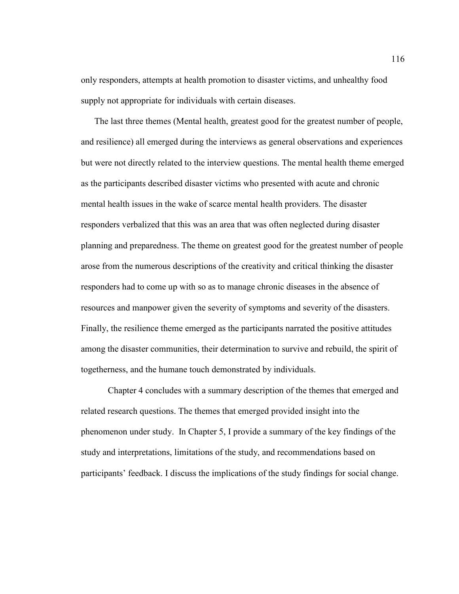only responders, attempts at health promotion to disaster victims, and unhealthy food supply not appropriate for individuals with certain diseases.

The last three themes (Mental health, greatest good for the greatest number of people, and resilience) all emerged during the interviews as general observations and experiences but were not directly related to the interview questions. The mental health theme emerged as the participants described disaster victims who presented with acute and chronic mental health issues in the wake of scarce mental health providers. The disaster responders verbalized that this was an area that was often neglected during disaster planning and preparedness. The theme on greatest good for the greatest number of people arose from the numerous descriptions of the creativity and critical thinking the disaster responders had to come up with so as to manage chronic diseases in the absence of resources and manpower given the severity of symptoms and severity of the disasters. Finally, the resilience theme emerged as the participants narrated the positive attitudes among the disaster communities, their determination to survive and rebuild, the spirit of togetherness, and the humane touch demonstrated by individuals.

Chapter 4 concludes with a summary description of the themes that emerged and related research questions. The themes that emerged provided insight into the phenomenon under study. In Chapter 5, I provide a summary of the key findings of the study and interpretations, limitations of the study, and recommendations based on participants' feedback. I discuss the implications of the study findings for social change.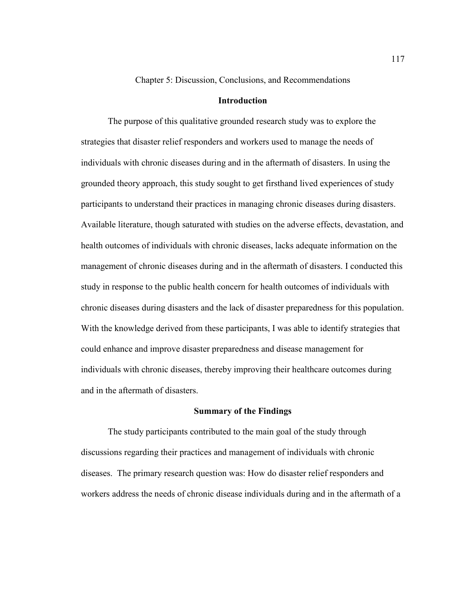Chapter 5: Discussion, Conclusions, and Recommendations

# **Introduction**

The purpose of this qualitative grounded research study was to explore the strategies that disaster relief responders and workers used to manage the needs of individuals with chronic diseases during and in the aftermath of disasters. In using the grounded theory approach, this study sought to get firsthand lived experiences of study participants to understand their practices in managing chronic diseases during disasters. Available literature, though saturated with studies on the adverse effects, devastation, and health outcomes of individuals with chronic diseases, lacks adequate information on the management of chronic diseases during and in the aftermath of disasters. I conducted this study in response to the public health concern for health outcomes of individuals with chronic diseases during disasters and the lack of disaster preparedness for this population. With the knowledge derived from these participants, I was able to identify strategies that could enhance and improve disaster preparedness and disease management for individuals with chronic diseases, thereby improving their healthcare outcomes during and in the aftermath of disasters.

#### **Summary of the Findings**

 The study participants contributed to the main goal of the study through discussions regarding their practices and management of individuals with chronic diseases. The primary research question was: How do disaster relief responders and workers address the needs of chronic disease individuals during and in the aftermath of a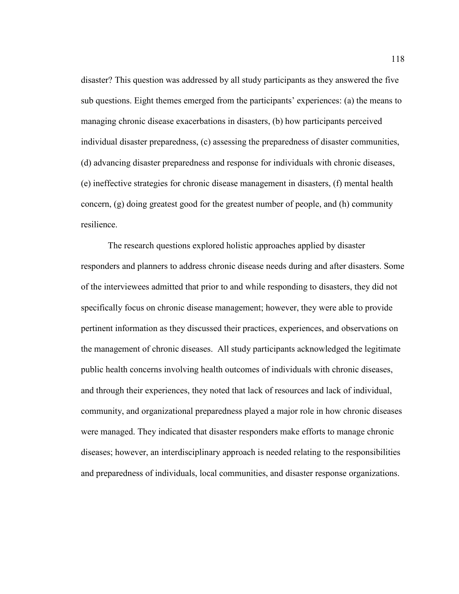disaster? This question was addressed by all study participants as they answered the five sub questions. Eight themes emerged from the participants' experiences: (a) the means to managing chronic disease exacerbations in disasters, (b) how participants perceived individual disaster preparedness, (c) assessing the preparedness of disaster communities, (d) advancing disaster preparedness and response for individuals with chronic diseases, (e) ineffective strategies for chronic disease management in disasters, (f) mental health concern, (g) doing greatest good for the greatest number of people, and (h) community resilience.

 The research questions explored holistic approaches applied by disaster responders and planners to address chronic disease needs during and after disasters. Some of the interviewees admitted that prior to and while responding to disasters, they did not specifically focus on chronic disease management; however, they were able to provide pertinent information as they discussed their practices, experiences, and observations on the management of chronic diseases. All study participants acknowledged the legitimate public health concerns involving health outcomes of individuals with chronic diseases, and through their experiences, they noted that lack of resources and lack of individual, community, and organizational preparedness played a major role in how chronic diseases were managed. They indicated that disaster responders make efforts to manage chronic diseases; however, an interdisciplinary approach is needed relating to the responsibilities and preparedness of individuals, local communities, and disaster response organizations.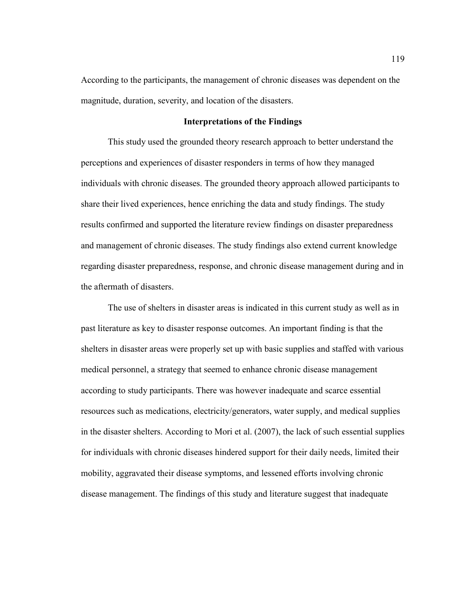According to the participants, the management of chronic diseases was dependent on the magnitude, duration, severity, and location of the disasters.

# **Interpretations of the Findings**

 This study used the grounded theory research approach to better understand the perceptions and experiences of disaster responders in terms of how they managed individuals with chronic diseases. The grounded theory approach allowed participants to share their lived experiences, hence enriching the data and study findings. The study results confirmed and supported the literature review findings on disaster preparedness and management of chronic diseases. The study findings also extend current knowledge regarding disaster preparedness, response, and chronic disease management during and in the aftermath of disasters.

The use of shelters in disaster areas is indicated in this current study as well as in past literature as key to disaster response outcomes. An important finding is that the shelters in disaster areas were properly set up with basic supplies and staffed with various medical personnel, a strategy that seemed to enhance chronic disease management according to study participants. There was however inadequate and scarce essential resources such as medications, electricity/generators, water supply, and medical supplies in the disaster shelters. According to Mori et al. (2007), the lack of such essential supplies for individuals with chronic diseases hindered support for their daily needs, limited their mobility, aggravated their disease symptoms, and lessened efforts involving chronic disease management. The findings of this study and literature suggest that inadequate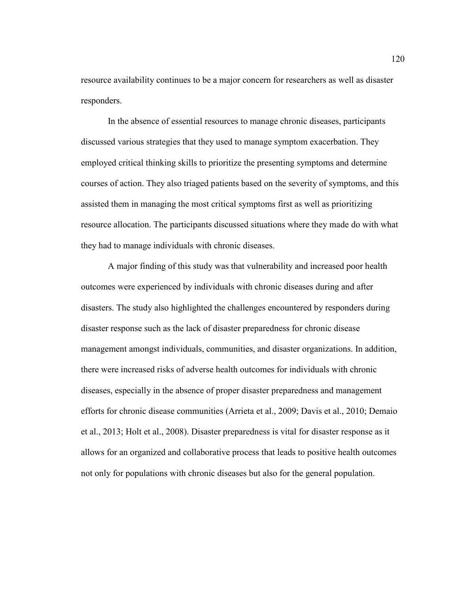resource availability continues to be a major concern for researchers as well as disaster responders.

In the absence of essential resources to manage chronic diseases, participants discussed various strategies that they used to manage symptom exacerbation. They employed critical thinking skills to prioritize the presenting symptoms and determine courses of action. They also triaged patients based on the severity of symptoms, and this assisted them in managing the most critical symptoms first as well as prioritizing resource allocation. The participants discussed situations where they made do with what they had to manage individuals with chronic diseases.

A major finding of this study was that vulnerability and increased poor health outcomes were experienced by individuals with chronic diseases during and after disasters. The study also highlighted the challenges encountered by responders during disaster response such as the lack of disaster preparedness for chronic disease management amongst individuals, communities, and disaster organizations. In addition, there were increased risks of adverse health outcomes for individuals with chronic diseases, especially in the absence of proper disaster preparedness and management efforts for chronic disease communities (Arrieta et al., 2009; Davis et al., 2010; Demaio et al., 2013; Holt et al., 2008). Disaster preparedness is vital for disaster response as it allows for an organized and collaborative process that leads to positive health outcomes not only for populations with chronic diseases but also for the general population.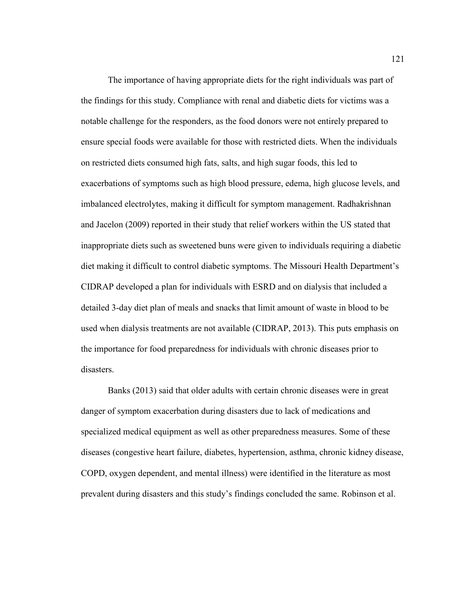The importance of having appropriate diets for the right individuals was part of the findings for this study. Compliance with renal and diabetic diets for victims was a notable challenge for the responders, as the food donors were not entirely prepared to ensure special foods were available for those with restricted diets. When the individuals on restricted diets consumed high fats, salts, and high sugar foods, this led to exacerbations of symptoms such as high blood pressure, edema, high glucose levels, and imbalanced electrolytes, making it difficult for symptom management. Radhakrishnan and Jacelon (2009) reported in their study that relief workers within the US stated that inappropriate diets such as sweetened buns were given to individuals requiring a diabetic diet making it difficult to control diabetic symptoms. The Missouri Health Department's CIDRAP developed a plan for individuals with ESRD and on dialysis that included a detailed 3-day diet plan of meals and snacks that limit amount of waste in blood to be used when dialysis treatments are not available (CIDRAP, 2013). This puts emphasis on the importance for food preparedness for individuals with chronic diseases prior to disasters.

 Banks (2013) said that older adults with certain chronic diseases were in great danger of symptom exacerbation during disasters due to lack of medications and specialized medical equipment as well as other preparedness measures. Some of these diseases (congestive heart failure, diabetes, hypertension, asthma, chronic kidney disease, COPD, oxygen dependent, and mental illness) were identified in the literature as most prevalent during disasters and this study's findings concluded the same. Robinson et al.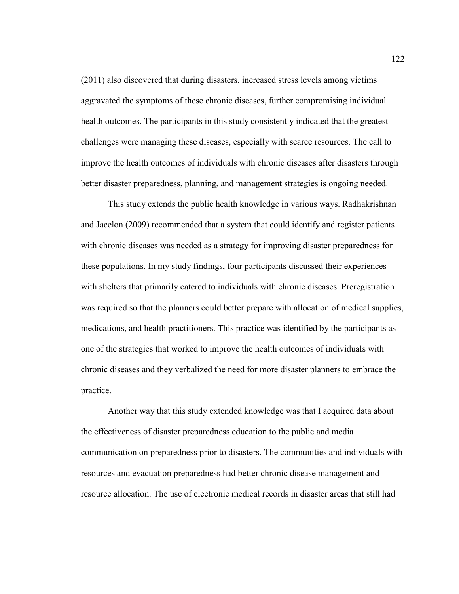(2011) also discovered that during disasters, increased stress levels among victims aggravated the symptoms of these chronic diseases, further compromising individual health outcomes. The participants in this study consistently indicated that the greatest challenges were managing these diseases, especially with scarce resources. The call to improve the health outcomes of individuals with chronic diseases after disasters through better disaster preparedness, planning, and management strategies is ongoing needed.

 This study extends the public health knowledge in various ways. Radhakrishnan and Jacelon (2009) recommended that a system that could identify and register patients with chronic diseases was needed as a strategy for improving disaster preparedness for these populations. In my study findings, four participants discussed their experiences with shelters that primarily catered to individuals with chronic diseases. Preregistration was required so that the planners could better prepare with allocation of medical supplies, medications, and health practitioners. This practice was identified by the participants as one of the strategies that worked to improve the health outcomes of individuals with chronic diseases and they verbalized the need for more disaster planners to embrace the practice.

 Another way that this study extended knowledge was that I acquired data about the effectiveness of disaster preparedness education to the public and media communication on preparedness prior to disasters. The communities and individuals with resources and evacuation preparedness had better chronic disease management and resource allocation. The use of electronic medical records in disaster areas that still had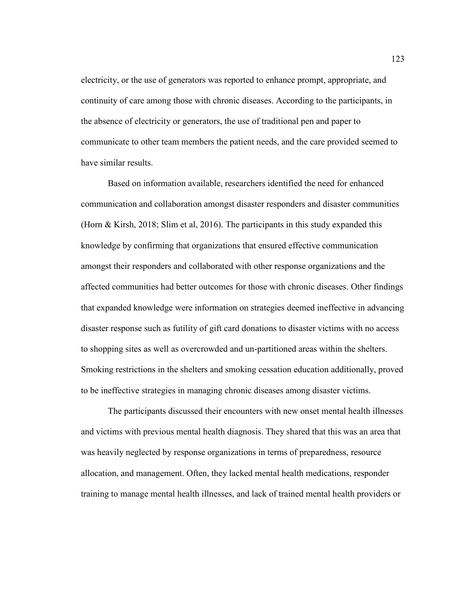electricity, or the use of generators was reported to enhance prompt, appropriate, and continuity of care among those with chronic diseases. According to the participants, in the absence of electricity or generators, the use of traditional pen and paper to communicate to other team members the patient needs, and the care provided seemed to have similar results.

 Based on information available, researchers identified the need for enhanced communication and collaboration amongst disaster responders and disaster communities (Horn & Kirsh, 2018; Slim et al, 2016). The participants in this study expanded this knowledge by confirming that organizations that ensured effective communication amongst their responders and collaborated with other response organizations and the affected communities had better outcomes for those with chronic diseases. Other findings that expanded knowledge were information on strategies deemed ineffective in advancing disaster response such as futility of gift card donations to disaster victims with no access to shopping sites as well as overcrowded and un-partitioned areas within the shelters. Smoking restrictions in the shelters and smoking cessation education additionally, proved to be ineffective strategies in managing chronic diseases among disaster victims.

 The participants discussed their encounters with new onset mental health illnesses and victims with previous mental health diagnosis. They shared that this was an area that was heavily neglected by response organizations in terms of preparedness, resource allocation, and management. Often, they lacked mental health medications, responder training to manage mental health illnesses, and lack of trained mental health providers or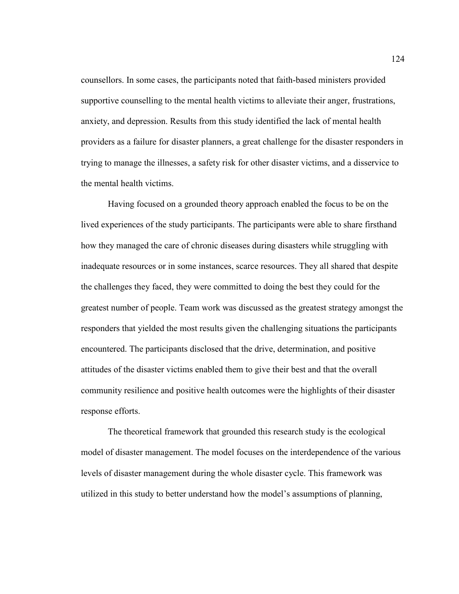counsellors. In some cases, the participants noted that faith-based ministers provided supportive counselling to the mental health victims to alleviate their anger, frustrations, anxiety, and depression. Results from this study identified the lack of mental health providers as a failure for disaster planners, a great challenge for the disaster responders in trying to manage the illnesses, a safety risk for other disaster victims, and a disservice to the mental health victims.

 Having focused on a grounded theory approach enabled the focus to be on the lived experiences of the study participants. The participants were able to share firsthand how they managed the care of chronic diseases during disasters while struggling with inadequate resources or in some instances, scarce resources. They all shared that despite the challenges they faced, they were committed to doing the best they could for the greatest number of people. Team work was discussed as the greatest strategy amongst the responders that yielded the most results given the challenging situations the participants encountered. The participants disclosed that the drive, determination, and positive attitudes of the disaster victims enabled them to give their best and that the overall community resilience and positive health outcomes were the highlights of their disaster response efforts.

 The theoretical framework that grounded this research study is the ecological model of disaster management. The model focuses on the interdependence of the various levels of disaster management during the whole disaster cycle. This framework was utilized in this study to better understand how the model's assumptions of planning,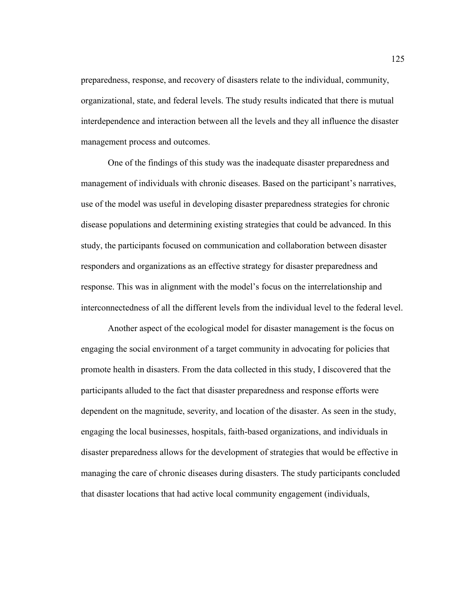preparedness, response, and recovery of disasters relate to the individual, community, organizational, state, and federal levels. The study results indicated that there is mutual interdependence and interaction between all the levels and they all influence the disaster management process and outcomes.

 One of the findings of this study was the inadequate disaster preparedness and management of individuals with chronic diseases. Based on the participant's narratives, use of the model was useful in developing disaster preparedness strategies for chronic disease populations and determining existing strategies that could be advanced. In this study, the participants focused on communication and collaboration between disaster responders and organizations as an effective strategy for disaster preparedness and response. This was in alignment with the model's focus on the interrelationship and interconnectedness of all the different levels from the individual level to the federal level.

 Another aspect of the ecological model for disaster management is the focus on engaging the social environment of a target community in advocating for policies that promote health in disasters. From the data collected in this study, I discovered that the participants alluded to the fact that disaster preparedness and response efforts were dependent on the magnitude, severity, and location of the disaster. As seen in the study, engaging the local businesses, hospitals, faith-based organizations, and individuals in disaster preparedness allows for the development of strategies that would be effective in managing the care of chronic diseases during disasters. The study participants concluded that disaster locations that had active local community engagement (individuals,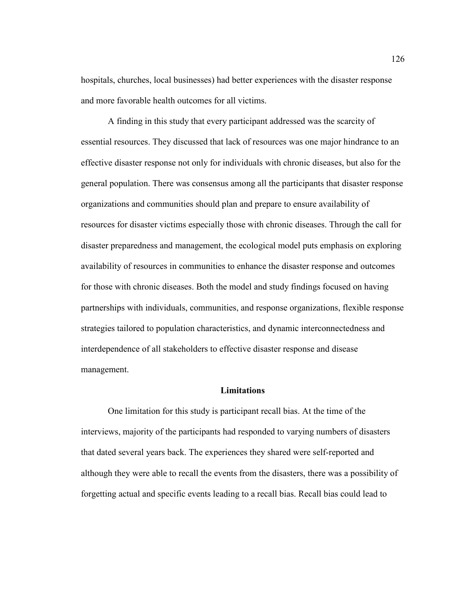hospitals, churches, local businesses) had better experiences with the disaster response and more favorable health outcomes for all victims.

 A finding in this study that every participant addressed was the scarcity of essential resources. They discussed that lack of resources was one major hindrance to an effective disaster response not only for individuals with chronic diseases, but also for the general population. There was consensus among all the participants that disaster response organizations and communities should plan and prepare to ensure availability of resources for disaster victims especially those with chronic diseases. Through the call for disaster preparedness and management, the ecological model puts emphasis on exploring availability of resources in communities to enhance the disaster response and outcomes for those with chronic diseases. Both the model and study findings focused on having partnerships with individuals, communities, and response organizations, flexible response strategies tailored to population characteristics, and dynamic interconnectedness and interdependence of all stakeholders to effective disaster response and disease management.

# **Limitations**

 One limitation for this study is participant recall bias. At the time of the interviews, majority of the participants had responded to varying numbers of disasters that dated several years back. The experiences they shared were self-reported and although they were able to recall the events from the disasters, there was a possibility of forgetting actual and specific events leading to a recall bias. Recall bias could lead to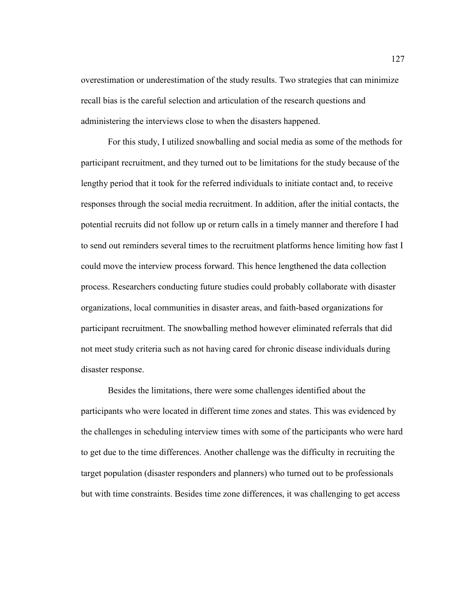overestimation or underestimation of the study results. Two strategies that can minimize recall bias is the careful selection and articulation of the research questions and administering the interviews close to when the disasters happened.

 For this study, I utilized snowballing and social media as some of the methods for participant recruitment, and they turned out to be limitations for the study because of the lengthy period that it took for the referred individuals to initiate contact and, to receive responses through the social media recruitment. In addition, after the initial contacts, the potential recruits did not follow up or return calls in a timely manner and therefore I had to send out reminders several times to the recruitment platforms hence limiting how fast I could move the interview process forward. This hence lengthened the data collection process. Researchers conducting future studies could probably collaborate with disaster organizations, local communities in disaster areas, and faith-based organizations for participant recruitment. The snowballing method however eliminated referrals that did not meet study criteria such as not having cared for chronic disease individuals during disaster response.

 Besides the limitations, there were some challenges identified about the participants who were located in different time zones and states. This was evidenced by the challenges in scheduling interview times with some of the participants who were hard to get due to the time differences. Another challenge was the difficulty in recruiting the target population (disaster responders and planners) who turned out to be professionals but with time constraints. Besides time zone differences, it was challenging to get access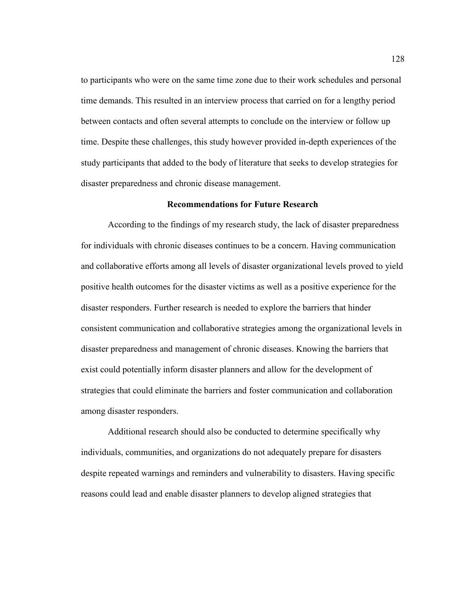to participants who were on the same time zone due to their work schedules and personal time demands. This resulted in an interview process that carried on for a lengthy period between contacts and often several attempts to conclude on the interview or follow up time. Despite these challenges, this study however provided in-depth experiences of the study participants that added to the body of literature that seeks to develop strategies for disaster preparedness and chronic disease management.

# **Recommendations for Future Research**

 According to the findings of my research study, the lack of disaster preparedness for individuals with chronic diseases continues to be a concern. Having communication and collaborative efforts among all levels of disaster organizational levels proved to yield positive health outcomes for the disaster victims as well as a positive experience for the disaster responders. Further research is needed to explore the barriers that hinder consistent communication and collaborative strategies among the organizational levels in disaster preparedness and management of chronic diseases. Knowing the barriers that exist could potentially inform disaster planners and allow for the development of strategies that could eliminate the barriers and foster communication and collaboration among disaster responders.

 Additional research should also be conducted to determine specifically why individuals, communities, and organizations do not adequately prepare for disasters despite repeated warnings and reminders and vulnerability to disasters. Having specific reasons could lead and enable disaster planners to develop aligned strategies that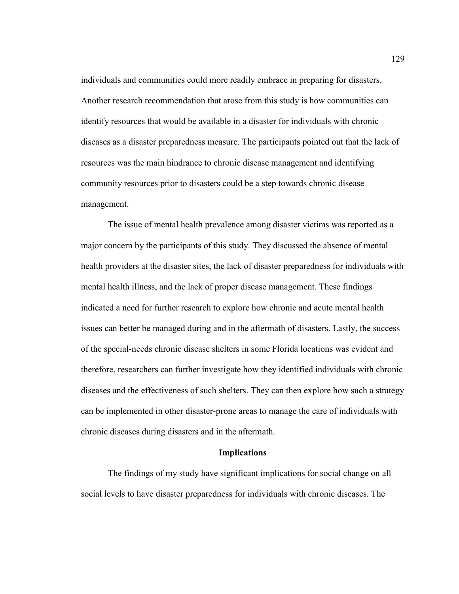individuals and communities could more readily embrace in preparing for disasters. Another research recommendation that arose from this study is how communities can identify resources that would be available in a disaster for individuals with chronic diseases as a disaster preparedness measure. The participants pointed out that the lack of resources was the main hindrance to chronic disease management and identifying community resources prior to disasters could be a step towards chronic disease management.

 The issue of mental health prevalence among disaster victims was reported as a major concern by the participants of this study. They discussed the absence of mental health providers at the disaster sites, the lack of disaster preparedness for individuals with mental health illness, and the lack of proper disease management. These findings indicated a need for further research to explore how chronic and acute mental health issues can better be managed during and in the aftermath of disasters. Lastly, the success of the special-needs chronic disease shelters in some Florida locations was evident and therefore, researchers can further investigate how they identified individuals with chronic diseases and the effectiveness of such shelters. They can then explore how such a strategy can be implemented in other disaster-prone areas to manage the care of individuals with chronic diseases during disasters and in the aftermath.

## **Implications**

 The findings of my study have significant implications for social change on all social levels to have disaster preparedness for individuals with chronic diseases. The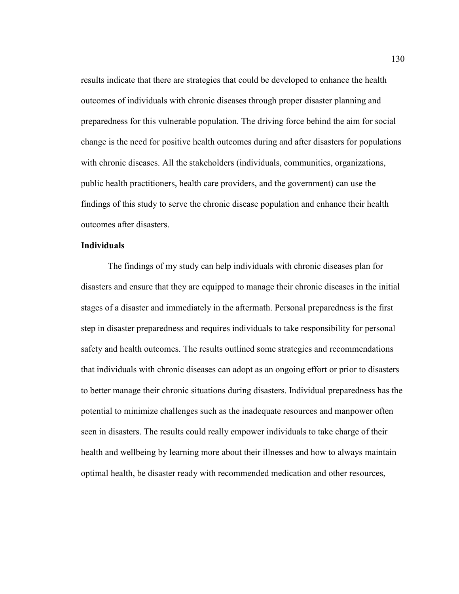results indicate that there are strategies that could be developed to enhance the health outcomes of individuals with chronic diseases through proper disaster planning and preparedness for this vulnerable population. The driving force behind the aim for social change is the need for positive health outcomes during and after disasters for populations with chronic diseases. All the stakeholders (individuals, communities, organizations, public health practitioners, health care providers, and the government) can use the findings of this study to serve the chronic disease population and enhance their health outcomes after disasters.

### **Individuals**

The findings of my study can help individuals with chronic diseases plan for disasters and ensure that they are equipped to manage their chronic diseases in the initial stages of a disaster and immediately in the aftermath. Personal preparedness is the first step in disaster preparedness and requires individuals to take responsibility for personal safety and health outcomes. The results outlined some strategies and recommendations that individuals with chronic diseases can adopt as an ongoing effort or prior to disasters to better manage their chronic situations during disasters. Individual preparedness has the potential to minimize challenges such as the inadequate resources and manpower often seen in disasters. The results could really empower individuals to take charge of their health and wellbeing by learning more about their illnesses and how to always maintain optimal health, be disaster ready with recommended medication and other resources,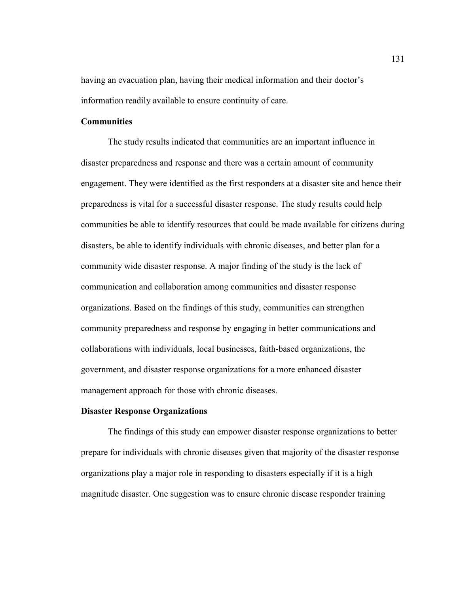having an evacuation plan, having their medical information and their doctor's information readily available to ensure continuity of care.

## **Communities**

 The study results indicated that communities are an important influence in disaster preparedness and response and there was a certain amount of community engagement. They were identified as the first responders at a disaster site and hence their preparedness is vital for a successful disaster response. The study results could help communities be able to identify resources that could be made available for citizens during disasters, be able to identify individuals with chronic diseases, and better plan for a community wide disaster response. A major finding of the study is the lack of communication and collaboration among communities and disaster response organizations. Based on the findings of this study, communities can strengthen community preparedness and response by engaging in better communications and collaborations with individuals, local businesses, faith-based organizations, the government, and disaster response organizations for a more enhanced disaster management approach for those with chronic diseases.

#### **Disaster Response Organizations**

 The findings of this study can empower disaster response organizations to better prepare for individuals with chronic diseases given that majority of the disaster response organizations play a major role in responding to disasters especially if it is a high magnitude disaster. One suggestion was to ensure chronic disease responder training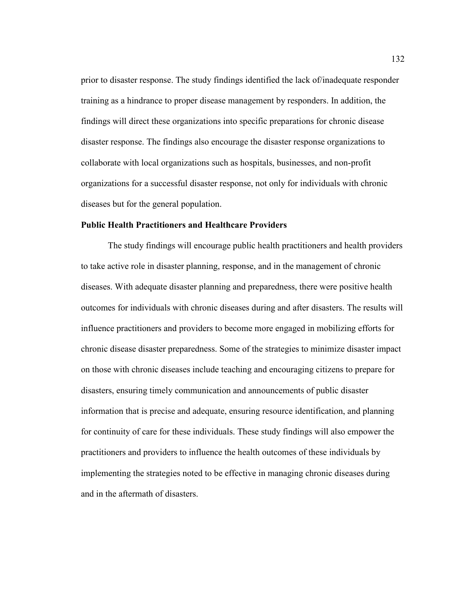prior to disaster response. The study findings identified the lack of/inadequate responder training as a hindrance to proper disease management by responders. In addition, the findings will direct these organizations into specific preparations for chronic disease disaster response. The findings also encourage the disaster response organizations to collaborate with local organizations such as hospitals, businesses, and non-profit organizations for a successful disaster response, not only for individuals with chronic diseases but for the general population.

#### **Public Health Practitioners and Healthcare Providers**

 The study findings will encourage public health practitioners and health providers to take active role in disaster planning, response, and in the management of chronic diseases. With adequate disaster planning and preparedness, there were positive health outcomes for individuals with chronic diseases during and after disasters. The results will influence practitioners and providers to become more engaged in mobilizing efforts for chronic disease disaster preparedness. Some of the strategies to minimize disaster impact on those with chronic diseases include teaching and encouraging citizens to prepare for disasters, ensuring timely communication and announcements of public disaster information that is precise and adequate, ensuring resource identification, and planning for continuity of care for these individuals. These study findings will also empower the practitioners and providers to influence the health outcomes of these individuals by implementing the strategies noted to be effective in managing chronic diseases during and in the aftermath of disasters.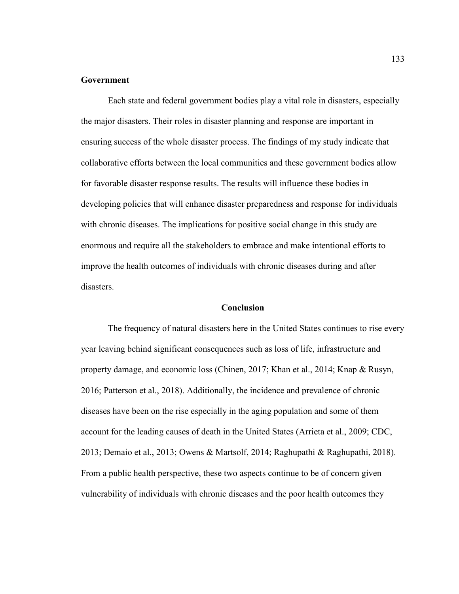### **Government**

 Each state and federal government bodies play a vital role in disasters, especially the major disasters. Their roles in disaster planning and response are important in ensuring success of the whole disaster process. The findings of my study indicate that collaborative efforts between the local communities and these government bodies allow for favorable disaster response results. The results will influence these bodies in developing policies that will enhance disaster preparedness and response for individuals with chronic diseases. The implications for positive social change in this study are enormous and require all the stakeholders to embrace and make intentional efforts to improve the health outcomes of individuals with chronic diseases during and after disasters.

### **Conclusion**

 The frequency of natural disasters here in the United States continues to rise every year leaving behind significant consequences such as loss of life, infrastructure and property damage, and economic loss (Chinen, 2017; Khan et al., 2014; Knap & Rusyn, 2016; Patterson et al., 2018). Additionally, the incidence and prevalence of chronic diseases have been on the rise especially in the aging population and some of them account for the leading causes of death in the United States (Arrieta et al., 2009; CDC, 2013; Demaio et al., 2013; Owens & Martsolf, 2014; Raghupathi & Raghupathi, 2018). From a public health perspective, these two aspects continue to be of concern given vulnerability of individuals with chronic diseases and the poor health outcomes they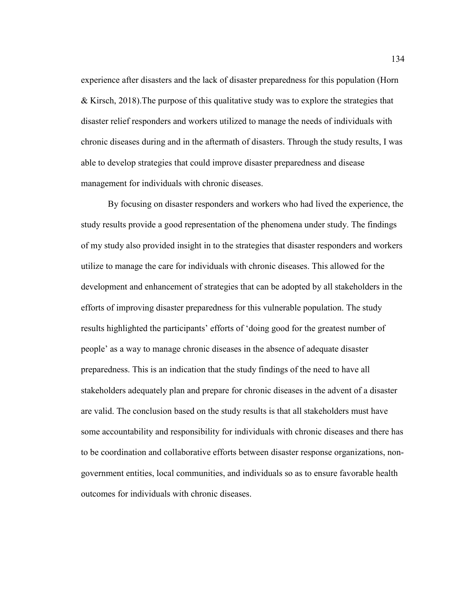experience after disasters and the lack of disaster preparedness for this population (Horn & Kirsch, 2018).The purpose of this qualitative study was to explore the strategies that disaster relief responders and workers utilized to manage the needs of individuals with chronic diseases during and in the aftermath of disasters. Through the study results, I was able to develop strategies that could improve disaster preparedness and disease management for individuals with chronic diseases.

 By focusing on disaster responders and workers who had lived the experience, the study results provide a good representation of the phenomena under study. The findings of my study also provided insight in to the strategies that disaster responders and workers utilize to manage the care for individuals with chronic diseases. This allowed for the development and enhancement of strategies that can be adopted by all stakeholders in the efforts of improving disaster preparedness for this vulnerable population. The study results highlighted the participants' efforts of 'doing good for the greatest number of people' as a way to manage chronic diseases in the absence of adequate disaster preparedness. This is an indication that the study findings of the need to have all stakeholders adequately plan and prepare for chronic diseases in the advent of a disaster are valid. The conclusion based on the study results is that all stakeholders must have some accountability and responsibility for individuals with chronic diseases and there has to be coordination and collaborative efforts between disaster response organizations, nongovernment entities, local communities, and individuals so as to ensure favorable health outcomes for individuals with chronic diseases.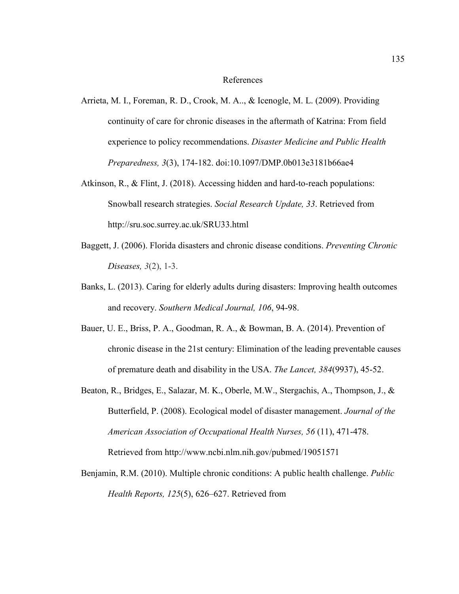#### References

- Arrieta, M. I., Foreman, R. D., Crook, M. A.., & Icenogle, M. L. (2009). Providing continuity of care for chronic diseases in the aftermath of Katrina: From field experience to policy recommendations. *Disaster Medicine and Public Health Preparedness, 3*(3), 174-182. doi:10.1097/DMP.0b013e3181b66ae4
- Atkinson, R., & Flint, J. (2018). Accessing hidden and hard-to-reach populations: Snowball research strategies. *Social Research Update, 33*. Retrieved from http://sru.soc.surrey.ac.uk/SRU33.html
- Baggett, J. (2006). Florida disasters and chronic disease conditions. *Preventing Chronic Diseases, 3*(2), 1-3.
- Banks, L. (2013). Caring for elderly adults during disasters: Improving health outcomes and recovery. *Southern Medical Journal, 106*, 94-98.
- Bauer, U. E., Briss, P. A., Goodman, R. A., & Bowman, B. A. (2014). Prevention of chronic disease in the 21st century: Elimination of the leading preventable causes of premature death and disability in the USA. *The Lancet, 384*(9937), 45-52.
- Beaton, R., Bridges, E., Salazar, M. K., Oberle, M.W., Stergachis, A., Thompson, J., & Butterfield, P. (2008). Ecological model of disaster management. *Journal of the American Association of Occupational Health Nurses, 56* (11), 471-478. Retrieved from http://www.ncbi.nlm.nih.gov/pubmed/19051571
- Benjamin, R.M. (2010). Multiple chronic conditions: A public health challenge. *Public Health Reports, 125*(5), 626–627. Retrieved from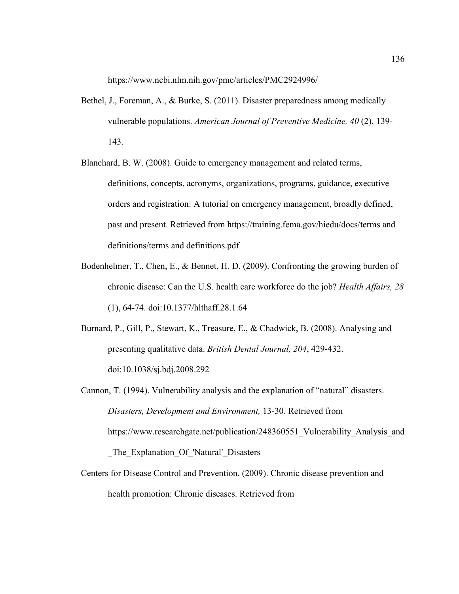https://www.ncbi.nlm.nih.gov/pmc/articles/PMC2924996/

- Bethel, J., Foreman, A., & Burke, S. (2011). Disaster preparedness among medically vulnerable populations. *American Journal of Preventive Medicine, 40* (2), 139- 143.
- Blanchard, B. W. (2008). Guide to emergency management and related terms, definitions, concepts, acronyms, organizations, programs, guidance, executive orders and registration: A tutorial on emergency management, broadly defined, past and present. Retrieved from https://training.fema.gov/hiedu/docs/terms and definitions/terms and definitions.pdf
- Bodenhelmer, T., Chen, E., & Bennet, H. D. (2009). Confronting the growing burden of chronic disease: Can the U.S. health care workforce do the job? *Health Affairs, 28* (1), 64-74. doi:10.1377/hlthaff.28.1.64
- Burnard, P., Gill, P., Stewart, K., Treasure, E., & Chadwick, B. (2008). Analysing and presenting qualitative data. *British Dental Journal, 204*, 429-432. doi:10.1038/sj.bdj.2008.292
- Cannon, T. (1994). Vulnerability analysis and the explanation of "natural" disasters. *Disasters, Development and Environment,* 13-30. Retrieved from https://www.researchgate.net/publication/248360551\_Vulnerability\_Analysis\_and \_The\_Explanation\_Of\_'Natural'\_Disasters
- Centers for Disease Control and Prevention. (2009). Chronic disease prevention and health promotion: Chronic diseases. Retrieved from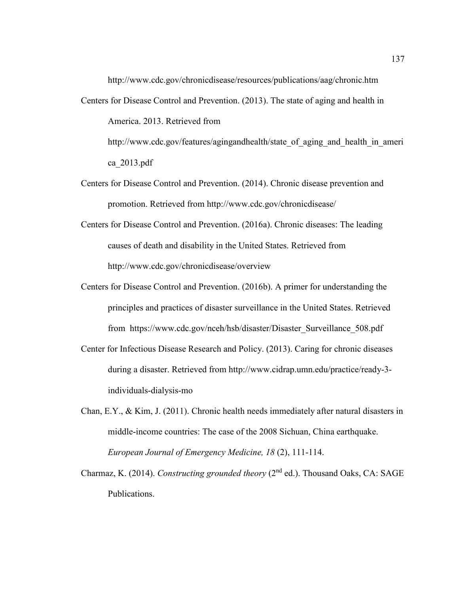http://www.cdc.gov/chronicdisease/resources/publications/aag/chronic.htm

Centers for Disease Control and Prevention. (2013). The state of aging and health in America. 2013. Retrieved from

http://www.cdc.gov/features/agingandhealth/state\_of\_aging\_and\_health\_in\_ameri ca\_2013.pdf

- Centers for Disease Control and Prevention. (2014). Chronic disease prevention and promotion. Retrieved from http://www.cdc.gov/chronicdisease/
- Centers for Disease Control and Prevention. (2016a). Chronic diseases: The leading causes of death and disability in the United States. Retrieved from http://www.cdc.gov/chronicdisease/overview
- Centers for Disease Control and Prevention. (2016b). A primer for understanding the principles and practices of disaster surveillance in the United States. Retrieved from https://www.cdc.gov/nceh/hsb/disaster/Disaster\_Surveillance\_508.pdf
- Center for Infectious Disease Research and Policy. (2013). Caring for chronic diseases during a disaster. Retrieved from http://www.cidrap.umn.edu/practice/ready-3 individuals-dialysis-mo
- Chan, E.Y., & Kim, J. (2011). Chronic health needs immediately after natural disasters in middle-income countries: The case of the 2008 Sichuan, China earthquake. *European Journal of Emergency Medicine, 18* (2), 111-114.
- Charmaz, K. (2014). *Constructing grounded theory* (2nd ed.). Thousand Oaks, CA: SAGE Publications.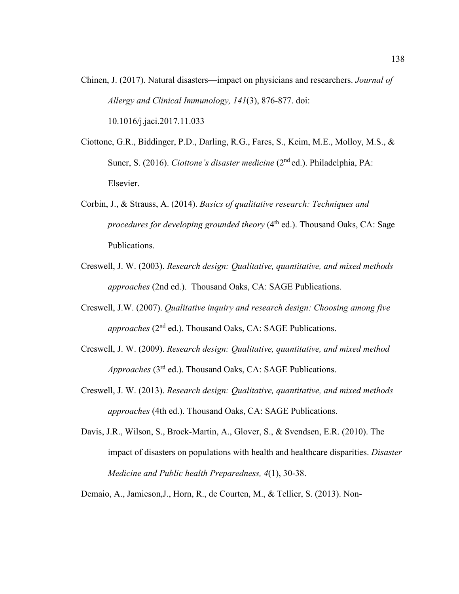Chinen, J. (2017). Natural disasters—impact on physicians and researchers. *Journal of Allergy and Clinical Immunology, 141*(3), 876-877. doi:

10.1016/j.jaci.2017.11.033

- Ciottone, G.R., Biddinger, P.D., Darling, R.G., Fares, S., Keim, M.E., Molloy, M.S., & Suner, S. (2016). *Ciottone's disaster medicine* (2nd ed.). Philadelphia, PA: Elsevier.
- Corbin, J., & Strauss, A. (2014). *Basics of qualitative research: Techniques and procedures for developing grounded theory* (4<sup>th</sup> ed.). Thousand Oaks, CA: Sage Publications.
- Creswell, J. W. (2003). *Research design: Qualitative, quantitative, and mixed methods approaches* (2nd ed.). Thousand Oaks, CA: SAGE Publications.
- Creswell, J.W. (2007). *Qualitative inquiry and research design: Choosing among five approaches* (2<sup>nd</sup> ed.). Thousand Oaks, CA: SAGE Publications.
- Creswell, J. W. (2009). *Research design: Qualitative, quantitative, and mixed method Approaches* (3rd ed.). Thousand Oaks, CA: SAGE Publications.
- Creswell, J. W. (2013). *Research design: Qualitative, quantitative, and mixed methods approaches* (4th ed.). Thousand Oaks, CA: SAGE Publications.
- Davis, J.R., Wilson, S., Brock-Martin, A., Glover, S., & Svendsen, E.R. (2010). The impact of disasters on populations with health and healthcare disparities. *Disaster Medicine and Public health Preparedness, 4*(1), 30-38.
- Demaio, A., Jamieson,J., Horn, R., de Courten, M., & Tellier, S. (2013). Non-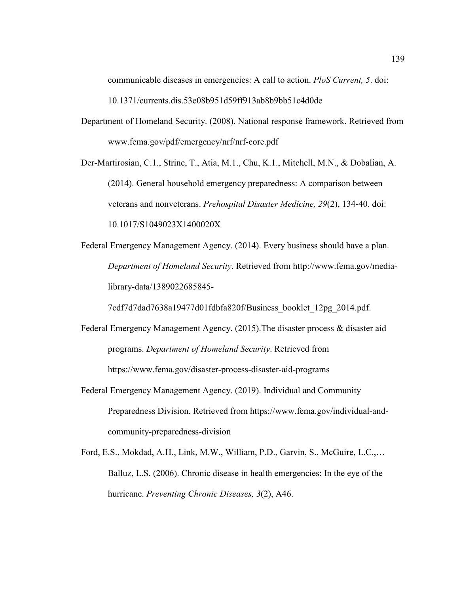communicable diseases in emergencies: A call to action. *PloS Current, 5*. doi:

10.1371/currents.dis.53e08b951d59ff913ab8b9bb51c4d0de

Department of Homeland Security. (2008). National response framework. Retrieved from www.fema.gov/pdf/emergency/nrf/nrf-core.pdf

Der-Martirosian, C.1., Strine, T., Atia, M.1., Chu, K.1., Mitchell, M.N., & Dobalian, A. (2014). General household emergency preparedness: A comparison between veterans and nonveterans. *Prehospital Disaster Medicine, 29*(2), 134-40. doi: 10.1017/S1049023X1400020X

Federal Emergency Management Agency. (2014). Every business should have a plan. *Department of Homeland Security*. Retrieved from http://www.fema.gov/medialibrary-data/1389022685845-

7cdf7d7dad7638a19477d01fdbfa820f/Business\_booklet\_12pg\_2014.pdf.

- Federal Emergency Management Agency. (2015).The disaster process & disaster aid programs. *Department of Homeland Security*. Retrieved from https://www.fema.gov/disaster-process-disaster-aid-programs
- Federal Emergency Management Agency. (2019). Individual and Community Preparedness Division. Retrieved from https://www.fema.gov/individual-andcommunity-preparedness-division
- Ford, E.S., Mokdad, A.H., Link, M.W., William, P.D., Garvin, S., McGuire, L.C.,… Balluz, L.S. (2006). Chronic disease in health emergencies: In the eye of the hurricane. *Preventing Chronic Diseases, 3*(2), A46.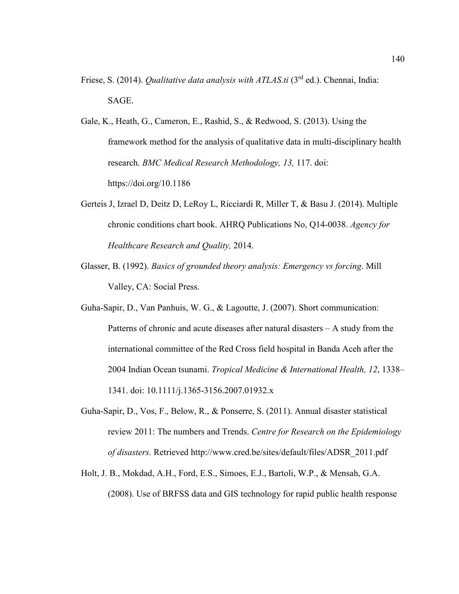- Friese, S. (2014). *Qualitative data analysis with ATLAS.ti* (3rd ed.). Chennai, India: SAGE.
- Gale, K., Heath, G., Cameron, E., Rashid, S., & Redwood, S. (2013). Using the framework method for the analysis of qualitative data in multi-disciplinary health research. *BMC Medical Research Methodology, 13,* 117. doi: https://doi.org/10.1186
- Gerteis J, Izrael D, Deitz D, LeRoy L, Ricciardi R, Miller T, & Basu J. (2014). Multiple chronic conditions chart book. AHRQ Publications No, Q14-0038. *Agency for Healthcare Research and Quality,* 2014.
- Glasser, B. (1992). *Basics of grounded theory analysis: Emergency vs forcing*. Mill Valley, CA: Social Press.
- Guha-Sapir, D., Van Panhuis, W. G., & Lagoutte, J. (2007). Short communication: Patterns of chronic and acute diseases after natural disasters – A study from the international committee of the Red Cross field hospital in Banda Aceh after the 2004 Indian Ocean tsunami. *Tropical Medicine & International Health, 12*, 1338– 1341. doi: 10.1111/j.1365-3156.2007.01932.x
- Guha-Sapir, D., Vos, F., Below, R., & Ponserre, S. (2011). Annual disaster statistical review 2011: The numbers and Trends. *Centre for Research on the Epidemiology of disasters.* Retrieved http://www.cred.be/sites/default/files/ADSR\_2011.pdf
- Holt, J. B., Mokdad, A.H., Ford, E.S., Simoes, E.J., Bartoli, W.P., & Mensah, G.A. (2008). Use of BRFSS data and GIS technology for rapid public health response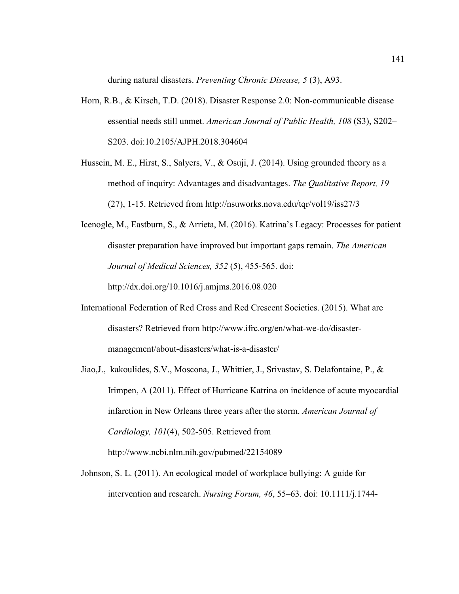during natural disasters. *Preventing Chronic Disease, 5* (3), A93.

- Horn, R.B., & Kirsch, T.D. (2018). Disaster Response 2.0: Non-communicable disease essential needs still unmet. *American Journal of Public Health, 108* (S3), S202– S203. doi:10.2105/AJPH.2018.304604
- Hussein, M. E., Hirst, S., Salyers, V., & Osuji, J. (2014). Using grounded theory as a method of inquiry: Advantages and disadvantages. *The Qualitative Report, 19*  (27), 1-15. Retrieved from http://nsuworks.nova.edu/tqr/vol19/iss27/3
- Icenogle, M., Eastburn, S., & Arrieta, M. (2016). Katrina's Legacy: Processes for patient disaster preparation have improved but important gaps remain. *The American Journal of Medical Sciences, 352* (5), 455-565. doi:

http://dx.doi.org/10.1016/j.amjms.2016.08.020

- International Federation of Red Cross and Red Crescent Societies. (2015). What are disasters? Retrieved from http://www.ifrc.org/en/what-we-do/disastermanagement/about-disasters/what-is-a-disaster/
- Jiao,J., kakoulides, S.V., Moscona, J., Whittier, J., Srivastav, S. Delafontaine, P., & Irimpen, A (2011). Effect of Hurricane Katrina on incidence of acute myocardial infarction in New Orleans three years after the storm. *American Journal of Cardiology, 101*(4), 502-505. Retrieved from http://www.ncbi.nlm.nih.gov/pubmed/22154089
- Johnson, S. L. (2011). An ecological model of workplace bullying: A guide for intervention and research. *Nursing Forum, 46*, 55–63. doi: 10.1111/j.1744-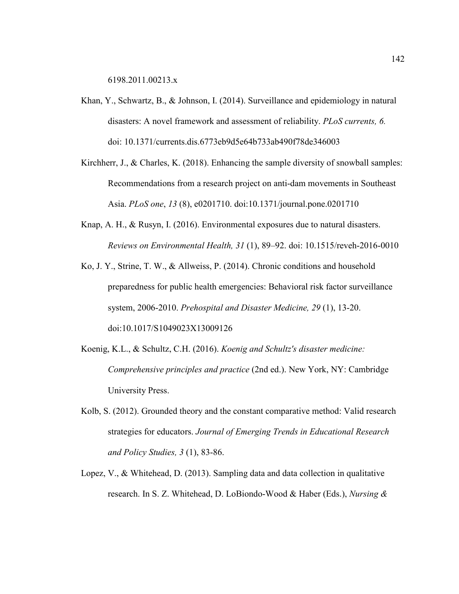6198.2011.00213.x

- Khan, Y., Schwartz, B., & Johnson, I. (2014). Surveillance and epidemiology in natural disasters: A novel framework and assessment of reliability. *PLoS currents, 6.* doi: 10.1371/currents.dis.6773eb9d5e64b733ab490f78de346003
- Kirchherr, J., & Charles, K. (2018). Enhancing the sample diversity of snowball samples: Recommendations from a research project on anti-dam movements in Southeast Asia. *PLoS one*, *13* (8), e0201710. doi:10.1371/journal.pone.0201710
- Knap, A. H., & Rusyn, I. (2016). Environmental exposures due to natural disasters. *Reviews on Environmental Health, 31* (1), 89–92. doi: 10.1515/reveh-2016-0010
- Ko, J. Y., Strine, T. W., & Allweiss, P. (2014). Chronic conditions and household preparedness for public health emergencies: Behavioral risk factor surveillance system, 2006-2010. *Prehospital and Disaster Medicine, 29* (1), 13-20. doi:10.1017/S1049023X13009126
- Koenig, K.L., & Schultz, C.H. (2016). *Koenig and Schultz's disaster medicine: Comprehensive principles and practice* (2nd ed.). New York, NY: Cambridge University Press.
- Kolb, S. (2012). Grounded theory and the constant comparative method: Valid research strategies for educators. *Journal of Emerging Trends in Educational Research and Policy Studies, 3* (1), 83-86.
- Lopez, V., & Whitehead, D. (2013). Sampling data and data collection in qualitative research. In S. Z. Whitehead, D. LoBiondo-Wood & Haber (Eds.), *Nursing &*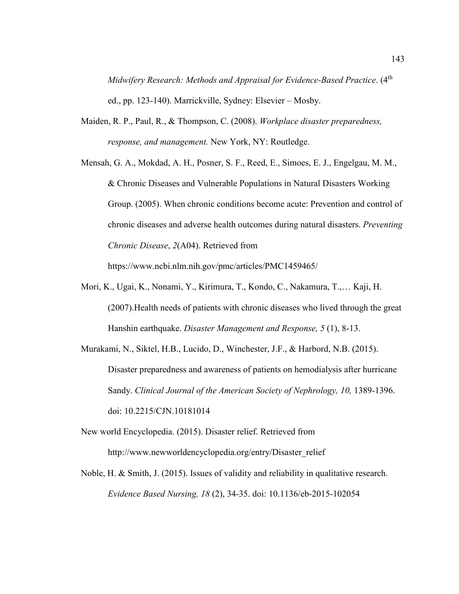*Midwifery Research: Methods and Appraisal for Evidence-Based Practice.* (4<sup>th</sup> ed., pp. 123-140). Marrickville, Sydney: Elsevier – Mosby.

- Maiden, R. P., Paul, R., & Thompson, C. (2008). *Workplace disaster preparedness, response, and management.* New York, NY: Routledge.
- Mensah, G. A., Mokdad, A. H., Posner, S. F., Reed, E., Simoes, E. J., Engelgau, M. M., & Chronic Diseases and Vulnerable Populations in Natural Disasters Working Group. (2005). When chronic conditions become acute: Prevention and control of chronic diseases and adverse health outcomes during natural disasters. *Preventing Chronic Disease*, *2*(A04). Retrieved from

https://www.ncbi.nlm.nih.gov/pmc/articles/PMC1459465/

- Mori, K., Ugai, K., Nonami, Y., Kirimura, T., Kondo, C., Nakamura, T.,… Kaji, H. (2007).Health needs of patients with chronic diseases who lived through the great Hanshin earthquake. *Disaster Management and Response, 5* (1), 8-13.
- Murakami, N., Siktel, H.B., Lucido, D., Winchester, J.F., & Harbord, N.B. (2015). Disaster preparedness and awareness of patients on hemodialysis after hurricane Sandy. *Clinical Journal of the American Society of Nephrology, 10,* 1389-1396. doi: 10.2215/CJN.10181014
- New world Encyclopedia. (2015). Disaster relief. Retrieved from http://www.newworldencyclopedia.org/entry/Disaster\_relief
- Noble, H. & Smith, J. (2015). Issues of validity and reliability in qualitative research. *Evidence Based Nursing, 18* (2), 34-35. doi: 10.1136/eb-2015-102054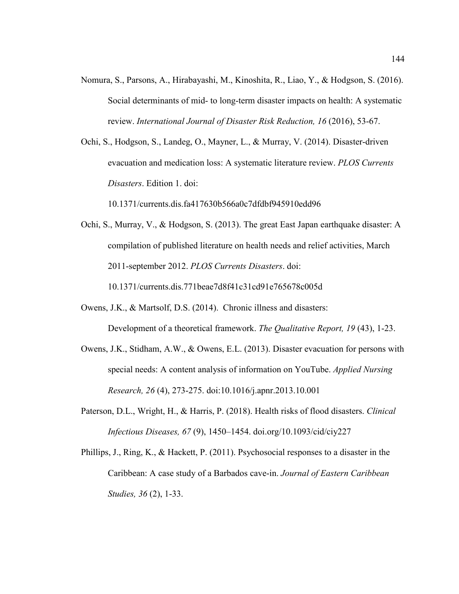- Nomura, S., Parsons, A., Hirabayashi, M., Kinoshita, R., Liao, Y., & Hodgson, S. (2016). Social determinants of mid- to long-term disaster impacts on health: A systematic review. *International Journal of Disaster Risk Reduction, 16* (2016), 53-67.
- Ochi, S., Hodgson, S., Landeg, O., Mayner, L., & Murray, V. (2014). Disaster-driven evacuation and medication loss: A systematic literature review. *PLOS Currents Disasters*. Edition 1. doi:

10.1371/currents.dis.fa417630b566a0c7dfdbf945910edd96

Ochi, S., Murray, V., & Hodgson, S. (2013). The great East Japan earthquake disaster: A compilation of published literature on health needs and relief activities, March 2011-september 2012. *PLOS Currents Disasters*. doi: 10.1371/currents.dis.771beae7d8f41c31cd91e765678c005d

Owens, J.K., & Martsolf, D.S. (2014). Chronic illness and disasters:

Development of a theoretical framework. *The Qualitative Report, 19* (43), 1-23.

- Owens, J.K., Stidham, A.W., & Owens, E.L. (2013). Disaster evacuation for persons with special needs: A content analysis of information on YouTube. *Applied Nursing Research, 26* (4), 273-275. doi:10.1016/j.apnr.2013.10.001
- Paterson, D.L., Wright, H., & Harris, P. (2018). Health risks of flood disasters. *Clinical Infectious Diseases, 67* (9), 1450–1454. doi.org/10.1093/cid/ciy227
- Phillips, J., Ring, K., & Hackett, P. (2011). Psychosocial responses to a disaster in the Caribbean: A case study of a Barbados cave-in. *Journal of Eastern Caribbean Studies, 36* (2), 1-33.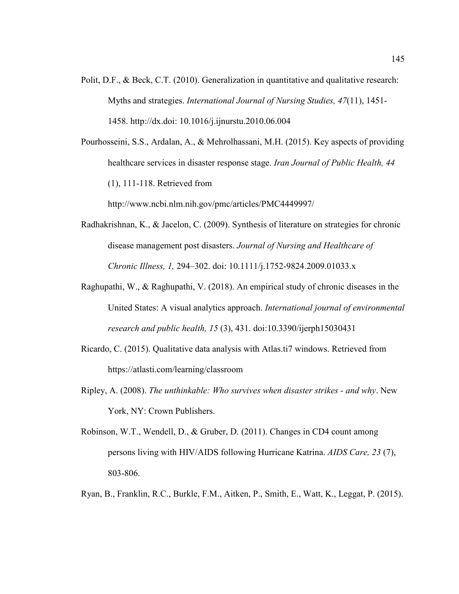Polit, D.F., & Beck, C.T. (2010). Generalization in quantitative and qualitative research: Myths and strategies. *International Journal of Nursing Studies, 47*(11), 1451- 1458. http://dx.doi: 10.1016/j.ijnurstu.2010.06.004

Pourhosseini, S.S., Ardalan, A., & Mehrolhassani, M.H. (2015). Key aspects of providing healthcare services in disaster response stage. *Iran Journal of Public Health, 44*  (1), 111-118. Retrieved from

http://www.ncbi.nlm.nih.gov/pmc/articles/PMC4449997/

- Radhakrishnan, K., & Jacelon, C. (2009). Synthesis of literature on strategies for chronic disease management post disasters. *Journal of Nursing and Healthcare of Chronic Illness, 1,* 294–302. doi: 10.1111/j.1752-9824.2009.01033.x
- Raghupathi, W., & Raghupathi, V. (2018). An empirical study of chronic diseases in the United States: A visual analytics approach. *International journal of environmental research and public health, 15* (3), 431. doi:10.3390/ijerph15030431
- Ricardo, C. (2015). Qualitative data analysis with Atlas.ti7 windows. Retrieved from https://atlasti.com/learning/classroom
- Ripley, A. (2008). *The unthinkable: Who survives when disaster strikes and why*. New York, NY: Crown Publishers.
- Robinson, W.T., Wendell, D., & Gruber, D. (2011). Changes in CD4 count among persons living with HIV/AIDS following Hurricane Katrina. *AIDS Care, 23* (7), 803-806.
- Ryan, B., Franklin, R.C., Burkle, F.M., Aitken, P., Smith, E., Watt, K., Leggat, P. (2015).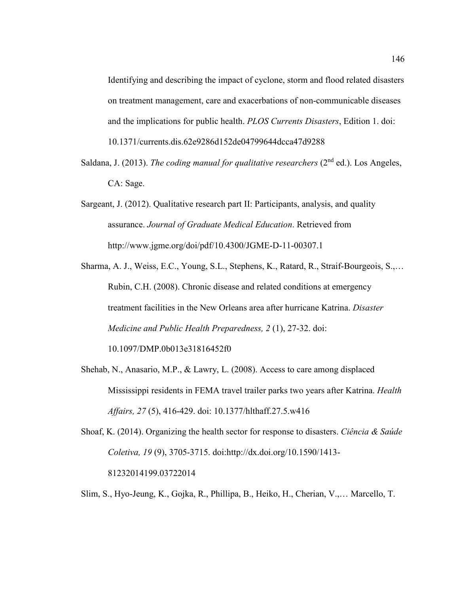Identifying and describing the impact of cyclone, storm and flood related disasters on treatment management, care and exacerbations of non-communicable diseases and the implications for public health. *PLOS Currents Disasters*, Edition 1. doi: 10.1371/currents.dis.62e9286d152de04799644dcca47d9288

- Saldana, J. (2013). *The coding manual for qualitative researchers* (2<sup>nd</sup> ed.). Los Angeles, CA: Sage.
- Sargeant, J. (2012). Qualitative research part II: Participants, analysis, and quality assurance. *Journal of Graduate Medical Education*. Retrieved from http://www.jgme.org/doi/pdf/10.4300/JGME-D-11-00307.1
- Sharma, A. J., Weiss, E.C., Young, S.L., Stephens, K., Ratard, R., Straif-Bourgeois, S.,… Rubin, C.H. (2008). Chronic disease and related conditions at emergency treatment facilities in the New Orleans area after hurricane Katrina. *Disaster Medicine and Public Health Preparedness, 2* (1), 27-32. doi:

10.1097/DMP.0b013e31816452f0

- Shehab, N., Anasario, M.P., & Lawry, L. (2008). Access to care among displaced Mississippi residents in FEMA travel trailer parks two years after Katrina. *Health Affairs, 27* (5), 416-429. doi: 10.1377/hlthaff.27.5.w416
- Shoaf, K. (2014). Organizing the health sector for response to disasters. *Ciência & Saúde Coletiva, 19* (9), 3705-3715. doi:http://dx.doi.org/10.1590/1413- 81232014199.03722014
- Slim, S., Hyo-Jeung, K., Gojka, R., Phillipa, B., Heiko, H., Cherian, V.,… Marcello, T.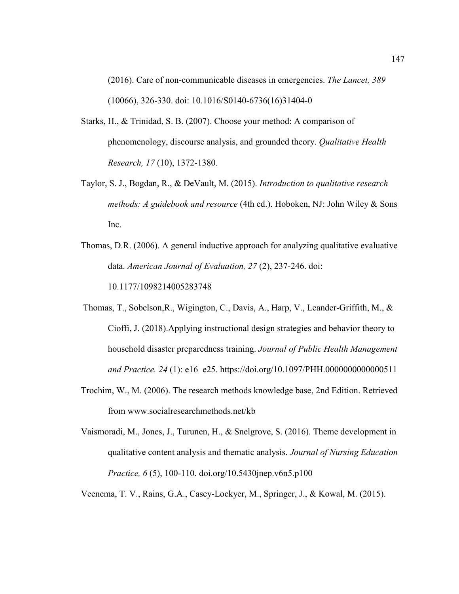(2016). Care of non-communicable diseases in emergencies. *The Lancet, 389*  (10066), 326-330. doi: 10.1016/S0140-6736(16)31404-0

- Starks, H., & Trinidad, S. B. (2007). Choose your method: A comparison of phenomenology, discourse analysis, and grounded theory. *Qualitative Health Research, 17* (10), 1372-1380.
- Taylor, S. J., Bogdan, R., & DeVault, M. (2015). *Introduction to qualitative research methods: A guidebook and resource* (4th ed.). Hoboken, NJ: John Wiley & Sons Inc.
- Thomas, D.R. (2006). A general inductive approach for analyzing qualitative evaluative data. *American Journal of Evaluation, 27* (2), 237-246. doi: 10.1177/1098214005283748
- Thomas, T., Sobelson,R., Wigington, C., Davis, A., Harp, V., Leander-Griffith, M., & Cioffi, J. (2018).Applying instructional design strategies and behavior theory to household disaster preparedness training. *Journal of Public Health Management and Practice. 24* (1): e16–e25. https://doi.org/10.1097/PHH.0000000000000511
- Trochim, W., M. (2006). The research methods knowledge base, 2nd Edition. Retrieved from www.socialresearchmethods.net/kb
- Vaismoradi, M., Jones, J., Turunen, H., & Snelgrove, S. (2016). Theme development in qualitative content analysis and thematic analysis. *Journal of Nursing Education Practice, 6* (5), 100-110. doi.org/10.5430jnep.v6n5.p100

Veenema, T. V., Rains, G.A., Casey-Lockyer, M., Springer, J., & Kowal, M. (2015).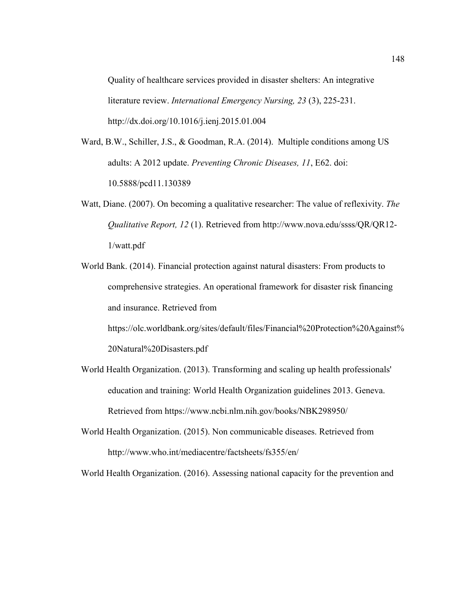Quality of healthcare services provided in disaster shelters: An integrative literature review. *International Emergency Nursing, 23* (3), 225-231. http://dx.doi.org/10.1016/j.ienj.2015.01.004

- Ward, B.W., Schiller, J.S., & Goodman, R.A. (2014). Multiple conditions among US adults: A 2012 update. *Preventing Chronic Diseases, 11*, E62. doi: 10.5888/pcd11.130389
- Watt, Diane. (2007). On becoming a qualitative researcher: The value of reflexivity. *The Qualitative Report, 12* (1). Retrieved from http://www.nova.edu/ssss/QR/QR12- 1/watt.pdf
- World Bank. (2014). Financial protection against natural disasters: From products to comprehensive strategies. An operational framework for disaster risk financing and insurance. Retrieved from

https://olc.worldbank.org/sites/default/files/Financial%20Protection%20Against% 20Natural%20Disasters.pdf

- World Health Organization. (2013). Transforming and scaling up health professionals' education and training: World Health Organization guidelines 2013. Geneva. Retrieved from https://www.ncbi.nlm.nih.gov/books/NBK298950/
- World Health Organization. (2015). Non communicable diseases. Retrieved from http://www.who.int/mediacentre/factsheets/fs355/en/

World Health Organization. (2016). Assessing national capacity for the prevention and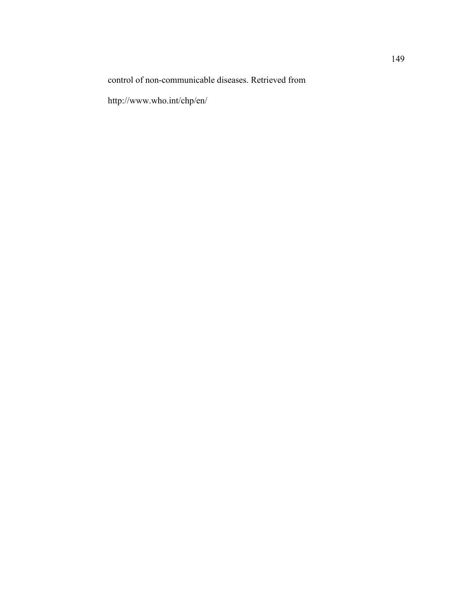control of non-communicable diseases. Retrieved from

http://www.who.int/chp/en/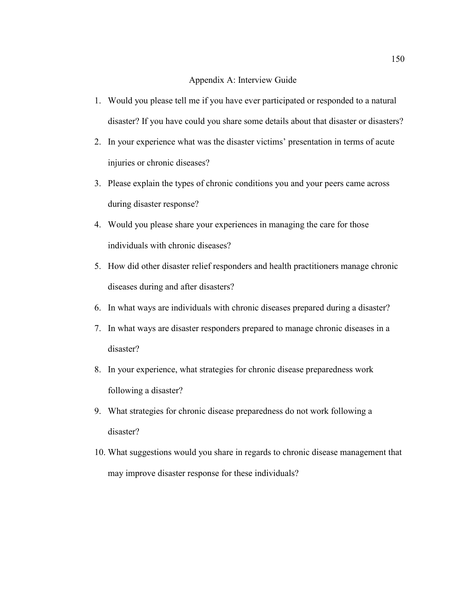### Appendix A: Interview Guide

- 1. Would you please tell me if you have ever participated or responded to a natural disaster? If you have could you share some details about that disaster or disasters?
- 2. In your experience what was the disaster victims' presentation in terms of acute injuries or chronic diseases?
- 3. Please explain the types of chronic conditions you and your peers came across during disaster response?
- 4. Would you please share your experiences in managing the care for those individuals with chronic diseases?
- 5. How did other disaster relief responders and health practitioners manage chronic diseases during and after disasters?
- 6. In what ways are individuals with chronic diseases prepared during a disaster?
- 7. In what ways are disaster responders prepared to manage chronic diseases in a disaster?
- 8. In your experience, what strategies for chronic disease preparedness work following a disaster?
- 9. What strategies for chronic disease preparedness do not work following a disaster?
- 10. What suggestions would you share in regards to chronic disease management that may improve disaster response for these individuals?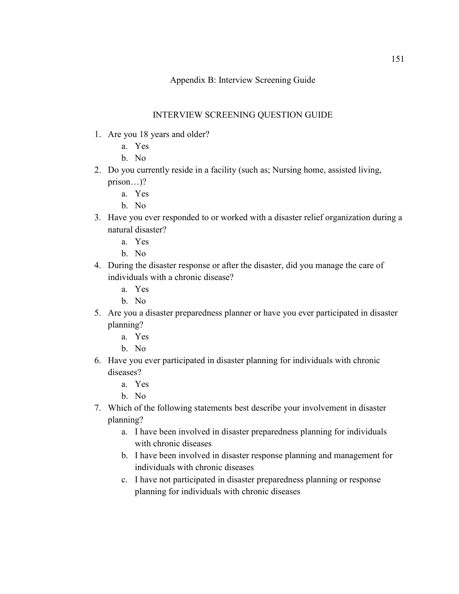# Appendix B: Interview Screening Guide

## INTERVIEW SCREENING QUESTION GUIDE

- 1. Are you 18 years and older?
	- a. Yes
		- b. No
- 2. Do you currently reside in a facility (such as; Nursing home, assisted living, prison…)?
	- a. Yes
	- b. No
- 3. Have you ever responded to or worked with a disaster relief organization during a natural disaster?
	- a. Yes
	- b. No
- 4. During the disaster response or after the disaster, did you manage the care of individuals with a chronic disease?
	- a. Yes
	- b. No
- 5. Are you a disaster preparedness planner or have you ever participated in disaster planning?
	- a. Yes
	- b. No
- 6. Have you ever participated in disaster planning for individuals with chronic diseases?
	- a. Yes
	- b. No
- 7. Which of the following statements best describe your involvement in disaster planning?
	- a. I have been involved in disaster preparedness planning for individuals with chronic diseases
	- b. I have been involved in disaster response planning and management for individuals with chronic diseases
	- c. I have not participated in disaster preparedness planning or response planning for individuals with chronic diseases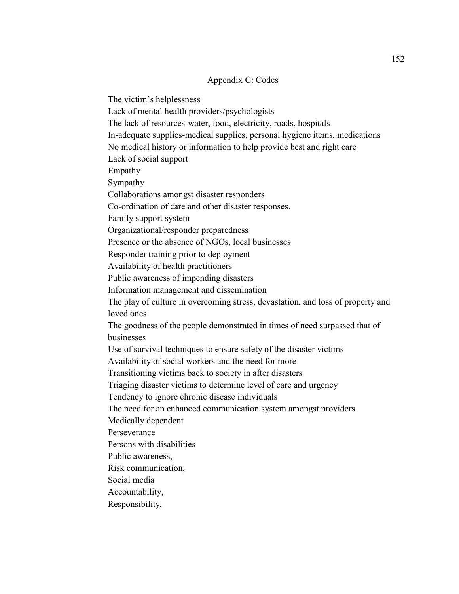### Appendix C: Codes

The victim's helplessness

Lack of mental health providers/psychologists

The lack of resources-water, food, electricity, roads, hospitals

In-adequate supplies-medical supplies, personal hygiene items, medications

No medical history or information to help provide best and right care

Lack of social support

Empathy

Sympathy

Collaborations amongst disaster responders

Co-ordination of care and other disaster responses.

Family support system

Organizational/responder preparedness

Presence or the absence of NGOs, local businesses

Responder training prior to deployment

Availability of health practitioners

Public awareness of impending disasters

Information management and dissemination

The play of culture in overcoming stress, devastation, and loss of property and loved ones

The goodness of the people demonstrated in times of need surpassed that of businesses

Use of survival techniques to ensure safety of the disaster victims

Availability of social workers and the need for more

Transitioning victims back to society in after disasters

Triaging disaster victims to determine level of care and urgency

Tendency to ignore chronic disease individuals

The need for an enhanced communication system amongst providers

Medically dependent

Perseverance

Persons with disabilities

Public awareness,

Risk communication,

Social media

Accountability,

Responsibility,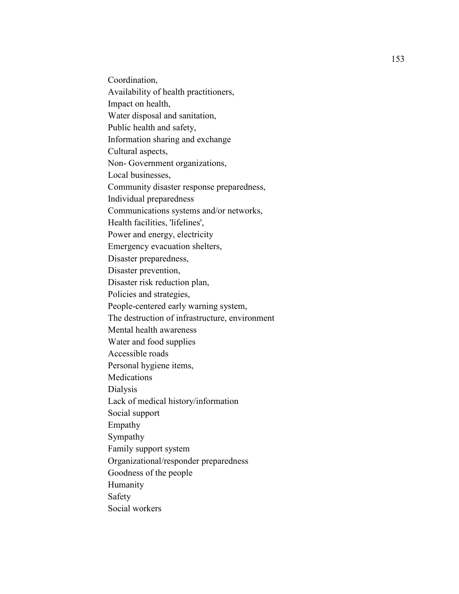Coordination, Availability of health practitioners, Impact on health, Water disposal and sanitation, Public health and safety, Information sharing and exchange Cultural aspects, Non- Government organizations, Local businesses, Community disaster response preparedness, Individual preparedness Communications systems and/or networks, Health facilities, 'lifelines', Power and energy, electricity Emergency evacuation shelters, Disaster preparedness, Disaster prevention, Disaster risk reduction plan, Policies and strategies, People-centered early warning system, The destruction of infrastructure, environment Mental health awareness Water and food supplies Accessible roads Personal hygiene items, **Medications** Dialysis Lack of medical history/information Social support Empathy Sympathy Family support system Organizational/responder preparedness Goodness of the people Humanity Safety Social workers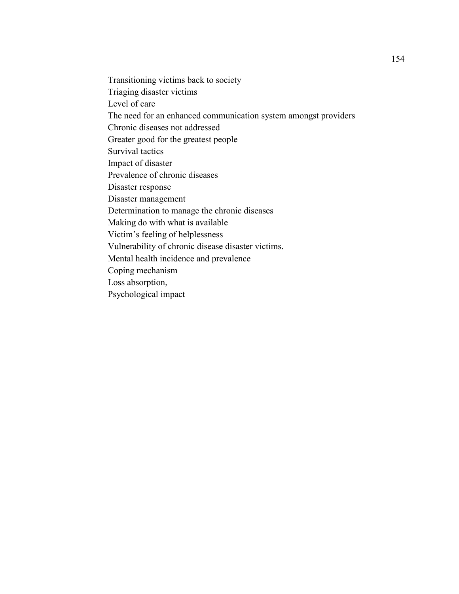Transitioning victims back to society Triaging disaster victims Level of care The need for an enhanced communication system amongst providers Chronic diseases not addressed Greater good for the greatest people Survival tactics Impact of disaster Prevalence of chronic diseases Disaster response Disaster management Determination to manage the chronic diseases Making do with what is available Victim's feeling of helplessness Vulnerability of chronic disease disaster victims. Mental health incidence and prevalence Coping mechanism Loss absorption, Psychological impact